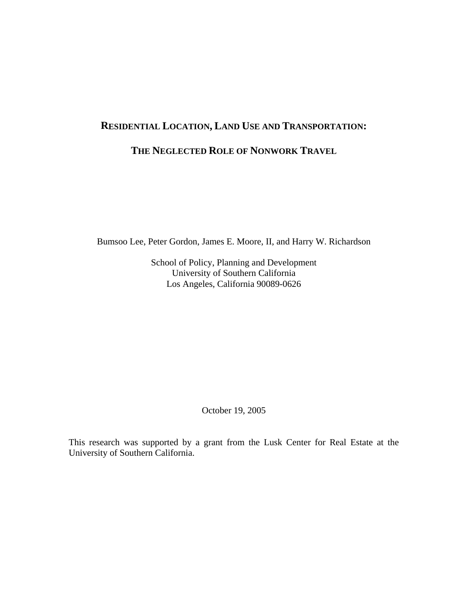# **RESIDENTIAL LOCATION, LAND USE AND TRANSPORTATION: THE NEGLECTED ROLE OF NONWORK TRAVEL**

Bumsoo Lee, Peter Gordon, James E. Moore, II, and Harry W. Richardson

School of Policy, Planning and Development University of Southern California Los Angeles, California 90089-0626

October 19, 2005

This research was supported by a grant from the Lusk Center for Real Estate at the University of Southern California.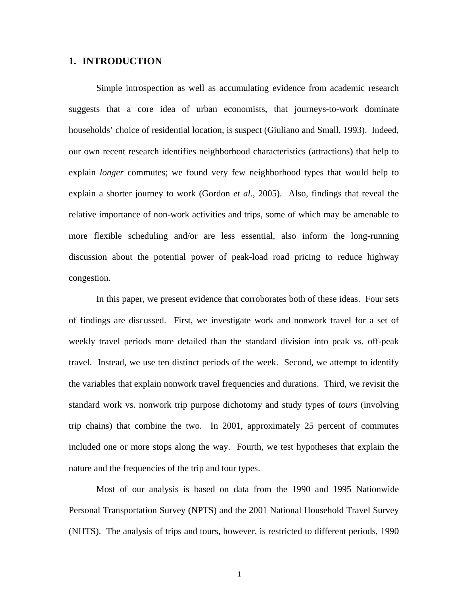## **1. INTRODUCTION**

Simple introspection as well as accumulating evidence from academic research suggests that a core idea of urban economists, that journeys-to-work dominate households' choice of residential location, is suspect (Giuliano and Small, 1993). Indeed, our own recent research identifies neighborhood characteristics (attractions) that help to explain *longer* commutes; we found very few neighborhood types that would help to explain a shorter journey to work (Gordon *et al.*, 2005). Also, findings that reveal the relative importance of non-work activities and trips, some of which may be amenable to more flexible scheduling and/or are less essential, also inform the long-running discussion about the potential power of peak-load road pricing to reduce highway congestion.

In this paper, we present evidence that corroborates both of these ideas. Four sets of findings are discussed. First, we investigate work and nonwork travel for a set of weekly travel periods more detailed than the standard division into peak vs. off-peak travel. Instead, we use ten distinct periods of the week. Second, we attempt to identify the variables that explain nonwork travel frequencies and durations. Third, we revisit the standard work vs. nonwork trip purpose dichotomy and study types of *tours* (involving trip chains) that combine the two. In 2001, approximately 25 percent of commutes included one or more stops along the way. Fourth, we test hypotheses that explain the nature and the frequencies of the trip and tour types.

Most of our analysis is based on data from the 1990 and 1995 Nationwide Personal Transportation Survey (NPTS) and the 2001 National Household Travel Survey (NHTS). The analysis of trips and tours, however, is restricted to different periods, 1990

1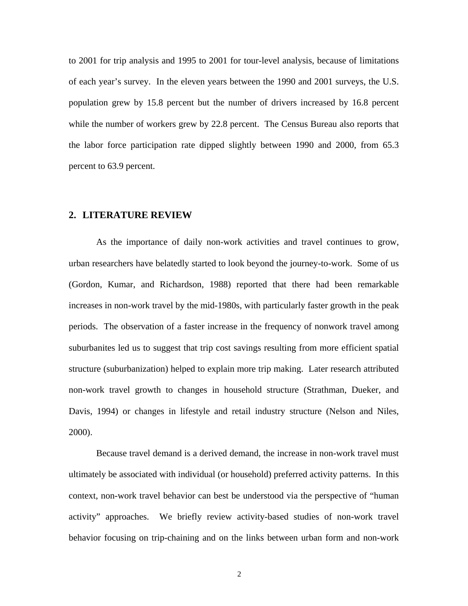to 2001 for trip analysis and 1995 to 2001 for tour-level analysis, because of limitations of each year's survey. In the eleven years between the 1990 and 2001 surveys, the U.S. population grew by 15.8 percent but the number of drivers increased by 16.8 percent while the number of workers grew by 22.8 percent. The Census Bureau also reports that the labor force participation rate dipped slightly between 1990 and 2000, from 65.3 percent to 63.9 percent.

#### **2. LITERATURE REVIEW**

As the importance of daily non-work activities and travel continues to grow, urban researchers have belatedly started to look beyond the journey-to-work. Some of us (Gordon, Kumar, and Richardson, 1988) reported that there had been remarkable increases in non-work travel by the mid-1980s, with particularly faster growth in the peak periods. The observation of a faster increase in the frequency of nonwork travel among suburbanites led us to suggest that trip cost savings resulting from more efficient spatial structure (suburbanization) helped to explain more trip making. Later research attributed non-work travel growth to changes in household structure (Strathman, Dueker, and Davis, 1994) or changes in lifestyle and retail industry structure (Nelson and Niles, 2000).

Because travel demand is a derived demand, the increase in non-work travel must ultimately be associated with individual (or household) preferred activity patterns. In this context, non-work travel behavior can best be understood via the perspective of "human activity" approaches. We briefly review activity-based studies of non-work travel behavior focusing on trip-chaining and on the links between urban form and non-work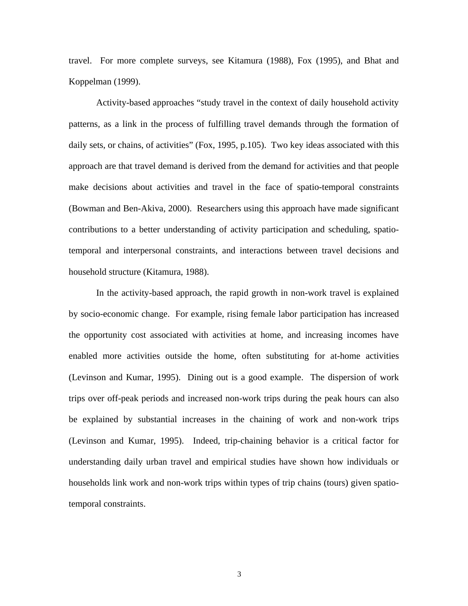travel. For more complete surveys, see Kitamura (1988), Fox (1995), and Bhat and Koppelman (1999).

Activity-based approaches "study travel in the context of daily household activity patterns, as a link in the process of fulfilling travel demands through the formation of daily sets, or chains, of activities" (Fox, 1995, p.105). Two key ideas associated with this approach are that travel demand is derived from the demand for activities and that people make decisions about activities and travel in the face of spatio-temporal constraints (Bowman and Ben-Akiva, 2000). Researchers using this approach have made significant contributions to a better understanding of activity participation and scheduling, spatiotemporal and interpersonal constraints, and interactions between travel decisions and household structure (Kitamura, 1988).

In the activity-based approach, the rapid growth in non-work travel is explained by socio-economic change. For example, rising female labor participation has increased the opportunity cost associated with activities at home, and increasing incomes have enabled more activities outside the home, often substituting for at-home activities (Levinson and Kumar, 1995). Dining out is a good example. The dispersion of work trips over off-peak periods and increased non-work trips during the peak hours can also be explained by substantial increases in the chaining of work and non-work trips (Levinson and Kumar, 1995). Indeed, trip-chaining behavior is a critical factor for understanding daily urban travel and empirical studies have shown how individuals or households link work and non-work trips within types of trip chains (tours) given spatiotemporal constraints.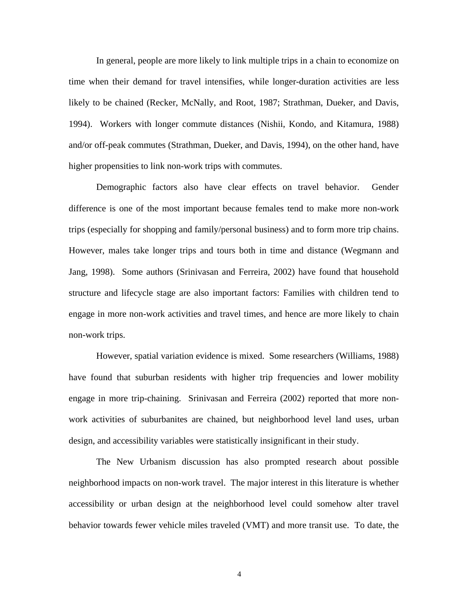In general, people are more likely to link multiple trips in a chain to economize on time when their demand for travel intensifies, while longer-duration activities are less likely to be chained (Recker, McNally, and Root, 1987; Strathman, Dueker, and Davis, 1994). Workers with longer commute distances (Nishii, Kondo, and Kitamura, 1988) and/or off-peak commutes (Strathman, Dueker, and Davis, 1994), on the other hand, have higher propensities to link non-work trips with commutes.

Demographic factors also have clear effects on travel behavior. Gender difference is one of the most important because females tend to make more non-work trips (especially for shopping and family/personal business) and to form more trip chains. However, males take longer trips and tours both in time and distance (Wegmann and Jang, 1998). Some authors (Srinivasan and Ferreira, 2002) have found that household structure and lifecycle stage are also important factors: Families with children tend to engage in more non-work activities and travel times, and hence are more likely to chain non-work trips.

However, spatial variation evidence is mixed. Some researchers (Williams, 1988) have found that suburban residents with higher trip frequencies and lower mobility engage in more trip-chaining. Srinivasan and Ferreira (2002) reported that more nonwork activities of suburbanites are chained, but neighborhood level land uses, urban design, and accessibility variables were statistically insignificant in their study.

The New Urbanism discussion has also prompted research about possible neighborhood impacts on non-work travel. The major interest in this literature is whether accessibility or urban design at the neighborhood level could somehow alter travel behavior towards fewer vehicle miles traveled (VMT) and more transit use. To date, the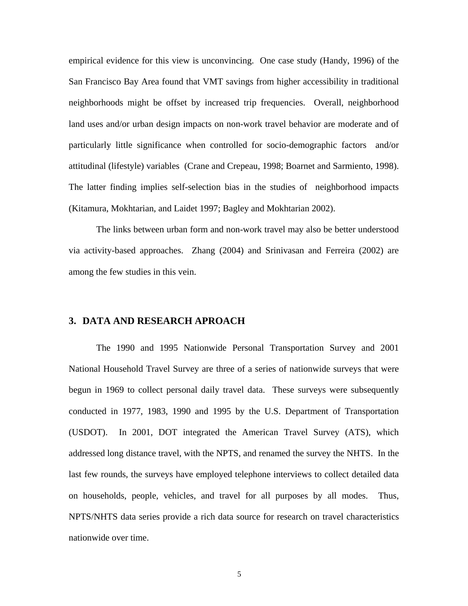empirical evidence for this view is unconvincing. One case study (Handy, 1996) of the San Francisco Bay Area found that VMT savings from higher accessibility in traditional neighborhoods might be offset by increased trip frequencies. Overall, neighborhood land uses and/or urban design impacts on non-work travel behavior are moderate and of particularly little significance when controlled for socio-demographic factors and/or attitudinal (lifestyle) variables (Crane and Crepeau, 1998; Boarnet and Sarmiento, 1998). The latter finding implies self-selection bias in the studies of neighborhood impacts (Kitamura, Mokhtarian, and Laidet 1997; Bagley and Mokhtarian 2002).

The links between urban form and non-work travel may also be better understood via activity-based approaches. Zhang (2004) and Srinivasan and Ferreira (2002) are among the few studies in this vein.

# **3. DATA AND RESEARCH APROACH**

The 1990 and 1995 Nationwide Personal Transportation Survey and 2001 National Household Travel Survey are three of a series of nationwide surveys that were begun in 1969 to collect personal daily travel data. These surveys were subsequently conducted in 1977, 1983, 1990 and 1995 by the U.S. Department of Transportation (USDOT). In 2001, DOT integrated the American Travel Survey (ATS), which addressed long distance travel, with the NPTS, and renamed the survey the NHTS. In the last few rounds, the surveys have employed telephone interviews to collect detailed data on households, people, vehicles, and travel for all purposes by all modes. Thus, NPTS/NHTS data series provide a rich data source for research on travel characteristics nationwide over time.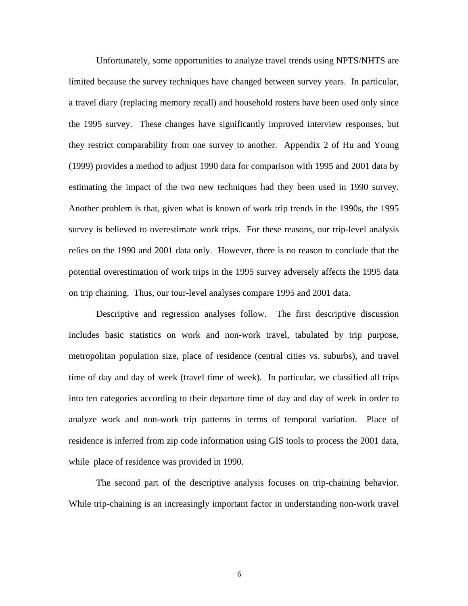Unfortunately, some opportunities to analyze travel trends using NPTS/NHTS are limited because the survey techniques have changed between survey years. In particular, a travel diary (replacing memory recall) and household rosters have been used only since the 1995 survey. These changes have significantly improved interview responses, but they restrict comparability from one survey to another. Appendix 2 of Hu and Young (1999) provides a method to adjust 1990 data for comparison with 1995 and 2001 data by estimating the impact of the two new techniques had they been used in 1990 survey. Another problem is that, given what is known of work trip trends in the 1990s, the 1995 survey is believed to overestimate work trips. For these reasons, our trip-level analysis relies on the 1990 and 2001 data only. However, there is no reason to conclude that the potential overestimation of work trips in the 1995 survey adversely affects the 1995 data on trip chaining. Thus, our tour-level analyses compare 1995 and 2001 data.

Descriptive and regression analyses follow. The first descriptive discussion includes basic statistics on work and non-work travel, tabulated by trip purpose, metropolitan population size, place of residence (central cities vs. suburbs), and travel time of day and day of week (travel time of week). In particular, we classified all trips into ten categories according to their departure time of day and day of week in order to analyze work and non-work trip patterns in terms of temporal variation. Place of residence is inferred from zip code information using GIS tools to process the 2001 data, while place of residence was provided in 1990.

The second part of the descriptive analysis focuses on trip-chaining behavior. While trip-chaining is an increasingly important factor in understanding non-work travel

6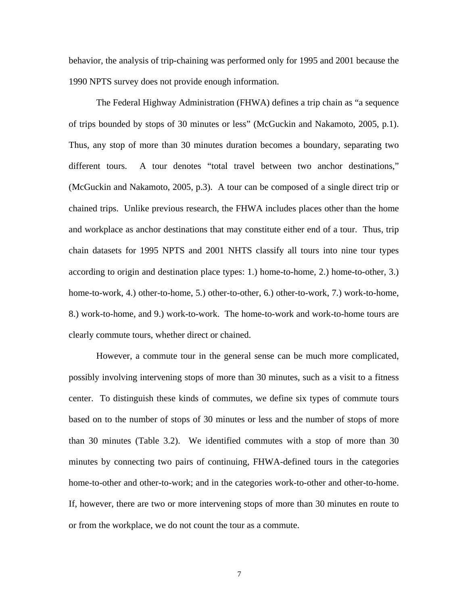behavior, the analysis of trip-chaining was performed only for 1995 and 2001 because the 1990 NPTS survey does not provide enough information.

The Federal Highway Administration (FHWA) defines a trip chain as "a sequence of trips bounded by stops of 30 minutes or less" (McGuckin and Nakamoto, 2005, p.1). Thus, any stop of more than 30 minutes duration becomes a boundary, separating two different tours. A tour denotes "total travel between two anchor destinations," (McGuckin and Nakamoto, 2005, p.3). A tour can be composed of a single direct trip or chained trips. Unlike previous research, the FHWA includes places other than the home and workplace as anchor destinations that may constitute either end of a tour. Thus, trip chain datasets for 1995 NPTS and 2001 NHTS classify all tours into nine tour types according to origin and destination place types: 1.) home-to-home, 2.) home-to-other, 3.) home-to-work, 4.) other-to-home, 5.) other-to-other, 6.) other-to-work, 7.) work-to-home, 8.) work-to-home, and 9.) work-to-work. The home-to-work and work-to-home tours are clearly commute tours, whether direct or chained.

However, a commute tour in the general sense can be much more complicated, possibly involving intervening stops of more than 30 minutes, such as a visit to a fitness center. To distinguish these kinds of commutes, we define six types of commute tours based on to the number of stops of 30 minutes or less and the number of stops of more than 30 minutes (Table 3.2). We identified commutes with a stop of more than 30 minutes by connecting two pairs of continuing, FHWA-defined tours in the categories home-to-other and other-to-work; and in the categories work-to-other and other-to-home. If, however, there are two or more intervening stops of more than 30 minutes en route to or from the workplace, we do not count the tour as a commute.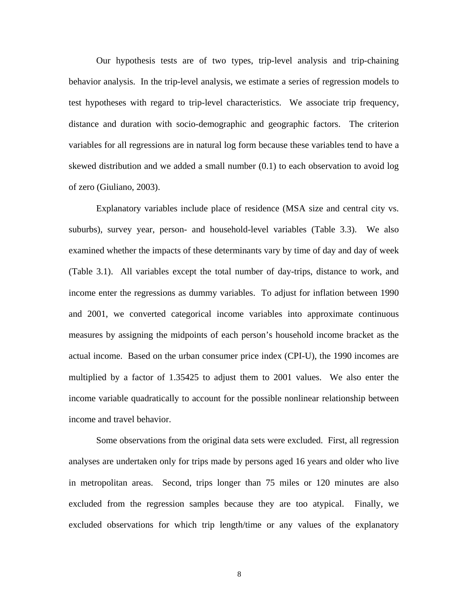Our hypothesis tests are of two types, trip-level analysis and trip-chaining behavior analysis. In the trip-level analysis, we estimate a series of regression models to test hypotheses with regard to trip-level characteristics. We associate trip frequency, distance and duration with socio-demographic and geographic factors. The criterion variables for all regressions are in natural log form because these variables tend to have a skewed distribution and we added a small number (0.1) to each observation to avoid log of zero (Giuliano, 2003).

Explanatory variables include place of residence (MSA size and central city vs. suburbs), survey year, person- and household-level variables (Table 3.3). We also examined whether the impacts of these determinants vary by time of day and day of week (Table 3.1). All variables except the total number of day-trips, distance to work, and income enter the regressions as dummy variables. To adjust for inflation between 1990 and 2001, we converted categorical income variables into approximate continuous measures by assigning the midpoints of each person's household income bracket as the actual income. Based on the urban consumer price index (CPI-U), the 1990 incomes are multiplied by a factor of 1.35425 to adjust them to 2001 values. We also enter the income variable quadratically to account for the possible nonlinear relationship between income and travel behavior.

Some observations from the original data sets were excluded. First, all regression analyses are undertaken only for trips made by persons aged 16 years and older who live in metropolitan areas. Second, trips longer than 75 miles or 120 minutes are also excluded from the regression samples because they are too atypical. Finally, we excluded observations for which trip length/time or any values of the explanatory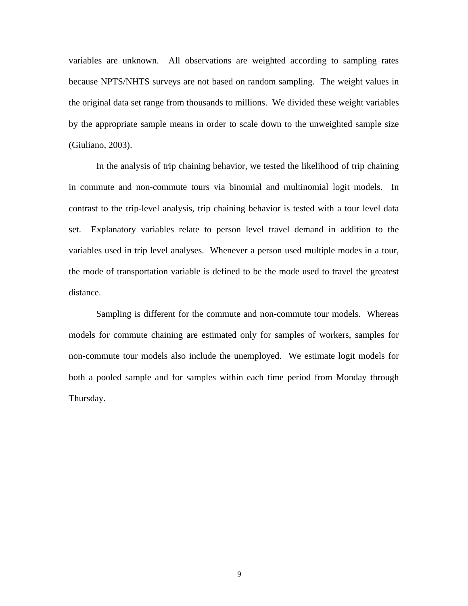variables are unknown. All observations are weighted according to sampling rates because NPTS/NHTS surveys are not based on random sampling. The weight values in the original data set range from thousands to millions. We divided these weight variables by the appropriate sample means in order to scale down to the unweighted sample size (Giuliano, 2003).

In the analysis of trip chaining behavior, we tested the likelihood of trip chaining in commute and non-commute tours via binomial and multinomial logit models. In contrast to the trip-level analysis, trip chaining behavior is tested with a tour level data set. Explanatory variables relate to person level travel demand in addition to the variables used in trip level analyses. Whenever a person used multiple modes in a tour, the mode of transportation variable is defined to be the mode used to travel the greatest distance.

Sampling is different for the commute and non-commute tour models. Whereas models for commute chaining are estimated only for samples of workers, samples for non-commute tour models also include the unemployed. We estimate logit models for both a pooled sample and for samples within each time period from Monday through Thursday.

9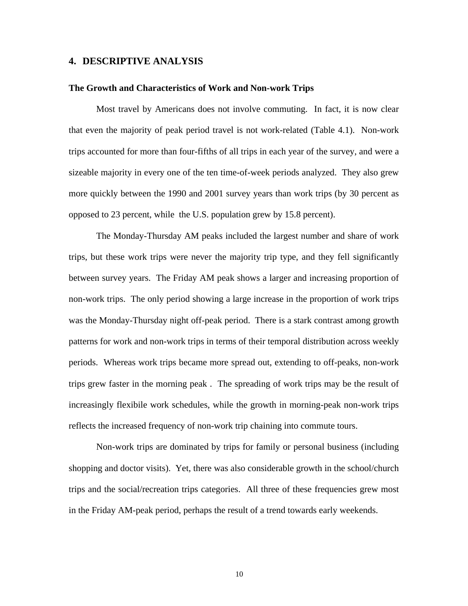#### **4. DESCRIPTIVE ANALYSIS**

#### **The Growth and Characteristics of Work and Non-work Trips**

Most travel by Americans does not involve commuting. In fact, it is now clear that even the majority of peak period travel is not work-related (Table 4.1). Non-work trips accounted for more than four-fifths of all trips in each year of the survey, and were a sizeable majority in every one of the ten time-of-week periods analyzed. They also grew more quickly between the 1990 and 2001 survey years than work trips (by 30 percent as opposed to 23 percent, while the U.S. population grew by 15.8 percent).

The Monday-Thursday AM peaks included the largest number and share of work trips, but these work trips were never the majority trip type, and they fell significantly between survey years. The Friday AM peak shows a larger and increasing proportion of non-work trips. The only period showing a large increase in the proportion of work trips was the Monday-Thursday night off-peak period. There is a stark contrast among growth patterns for work and non-work trips in terms of their temporal distribution across weekly periods. Whereas work trips became more spread out, extending to off-peaks, non-work trips grew faster in the morning peak . The spreading of work trips may be the result of increasingly flexibile work schedules, while the growth in morning-peak non-work trips reflects the increased frequency of non-work trip chaining into commute tours.

Non-work trips are dominated by trips for family or personal business (including shopping and doctor visits). Yet, there was also considerable growth in the school/church trips and the social/recreation trips categories. All three of these frequencies grew most in the Friday AM-peak period, perhaps the result of a trend towards early weekends.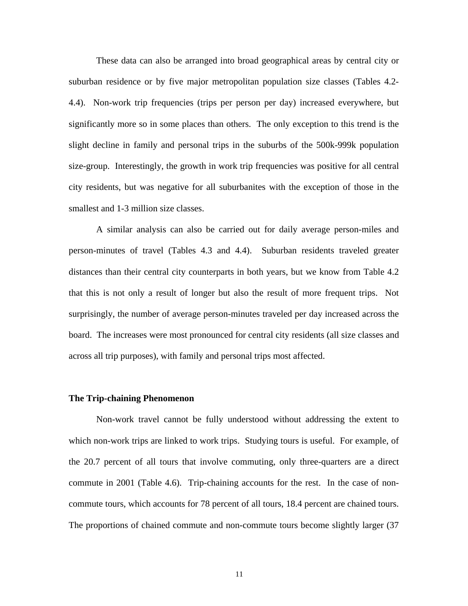These data can also be arranged into broad geographical areas by central city or suburban residence or by five major metropolitan population size classes (Tables 4.2- 4.4). Non-work trip frequencies (trips per person per day) increased everywhere, but significantly more so in some places than others. The only exception to this trend is the slight decline in family and personal trips in the suburbs of the 500k-999k population size-group. Interestingly, the growth in work trip frequencies was positive for all central city residents, but was negative for all suburbanites with the exception of those in the smallest and 1-3 million size classes.

A similar analysis can also be carried out for daily average person-miles and person-minutes of travel (Tables 4.3 and 4.4). Suburban residents traveled greater distances than their central city counterparts in both years, but we know from Table 4.2 that this is not only a result of longer but also the result of more frequent trips. Not surprisingly, the number of average person-minutes traveled per day increased across the board. The increases were most pronounced for central city residents (all size classes and across all trip purposes), with family and personal trips most affected.

#### **The Trip-chaining Phenomenon**

Non-work travel cannot be fully understood without addressing the extent to which non-work trips are linked to work trips. Studying tours is useful. For example, of the 20.7 percent of all tours that involve commuting, only three-quarters are a direct commute in 2001 (Table 4.6). Trip-chaining accounts for the rest. In the case of noncommute tours, which accounts for 78 percent of all tours, 18.4 percent are chained tours. The proportions of chained commute and non-commute tours become slightly larger (37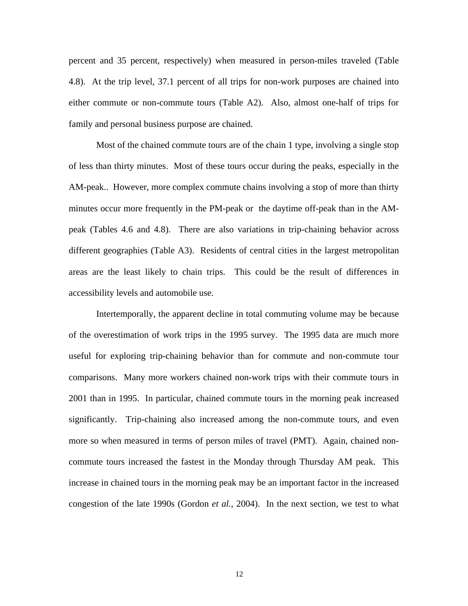percent and 35 percent, respectively) when measured in person-miles traveled (Table 4.8). At the trip level, 37.1 percent of all trips for non-work purposes are chained into either commute or non-commute tours (Table A2). Also, almost one-half of trips for family and personal business purpose are chained.

Most of the chained commute tours are of the chain 1 type, involving a single stop of less than thirty minutes. Most of these tours occur during the peaks, especially in the AM-peak.. However, more complex commute chains involving a stop of more than thirty minutes occur more frequently in the PM-peak or the daytime off-peak than in the AMpeak (Tables 4.6 and 4.8). There are also variations in trip-chaining behavior across different geographies (Table A3). Residents of central cities in the largest metropolitan areas are the least likely to chain trips. This could be the result of differences in accessibility levels and automobile use.

Intertemporally, the apparent decline in total commuting volume may be because of the overestimation of work trips in the 1995 survey. The 1995 data are much more useful for exploring trip-chaining behavior than for commute and non-commute tour comparisons. Many more workers chained non-work trips with their commute tours in 2001 than in 1995. In particular, chained commute tours in the morning peak increased significantly. Trip-chaining also increased among the non-commute tours, and even more so when measured in terms of person miles of travel (PMT). Again, chained noncommute tours increased the fastest in the Monday through Thursday AM peak. This increase in chained tours in the morning peak may be an important factor in the increased congestion of the late 1990s (Gordon *et al.*, 2004). In the next section, we test to what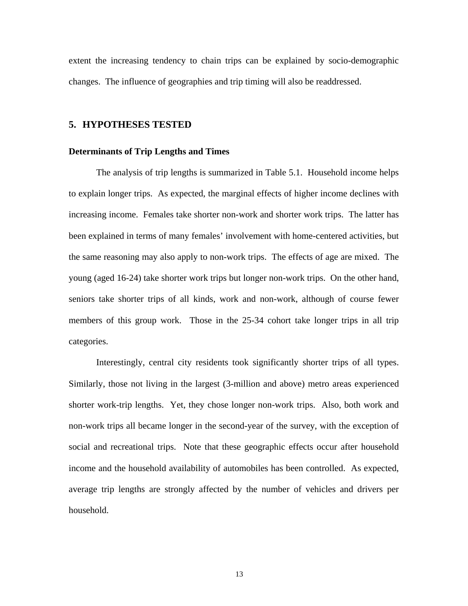extent the increasing tendency to chain trips can be explained by socio-demographic changes. The influence of geographies and trip timing will also be readdressed.

### **5. HYPOTHESES TESTED**

#### **Determinants of Trip Lengths and Times**

The analysis of trip lengths is summarized in Table 5.1. Household income helps to explain longer trips. As expected, the marginal effects of higher income declines with increasing income. Females take shorter non-work and shorter work trips. The latter has been explained in terms of many females' involvement with home-centered activities, but the same reasoning may also apply to non-work trips. The effects of age are mixed. The young (aged 16-24) take shorter work trips but longer non-work trips. On the other hand, seniors take shorter trips of all kinds, work and non-work, although of course fewer members of this group work. Those in the 25-34 cohort take longer trips in all trip categories.

Interestingly, central city residents took significantly shorter trips of all types. Similarly, those not living in the largest (3-million and above) metro areas experienced shorter work-trip lengths. Yet, they chose longer non-work trips. Also, both work and non-work trips all became longer in the second-year of the survey, with the exception of social and recreational trips. Note that these geographic effects occur after household income and the household availability of automobiles has been controlled. As expected, average trip lengths are strongly affected by the number of vehicles and drivers per household.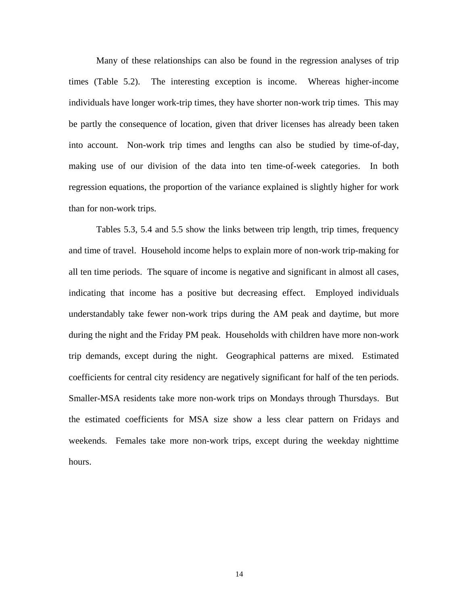Many of these relationships can also be found in the regression analyses of trip times (Table 5.2). The interesting exception is income. Whereas higher-income individuals have longer work-trip times, they have shorter non-work trip times. This may be partly the consequence of location, given that driver licenses has already been taken into account. Non-work trip times and lengths can also be studied by time-of-day, making use of our division of the data into ten time-of-week categories. In both regression equations, the proportion of the variance explained is slightly higher for work than for non-work trips.

Tables 5.3, 5.4 and 5.5 show the links between trip length, trip times, frequency and time of travel. Household income helps to explain more of non-work trip-making for all ten time periods. The square of income is negative and significant in almost all cases, indicating that income has a positive but decreasing effect. Employed individuals understandably take fewer non-work trips during the AM peak and daytime, but more during the night and the Friday PM peak. Households with children have more non-work trip demands, except during the night. Geographical patterns are mixed. Estimated coefficients for central city residency are negatively significant for half of the ten periods. Smaller-MSA residents take more non-work trips on Mondays through Thursdays. But the estimated coefficients for MSA size show a less clear pattern on Fridays and weekends. Females take more non-work trips, except during the weekday nighttime hours.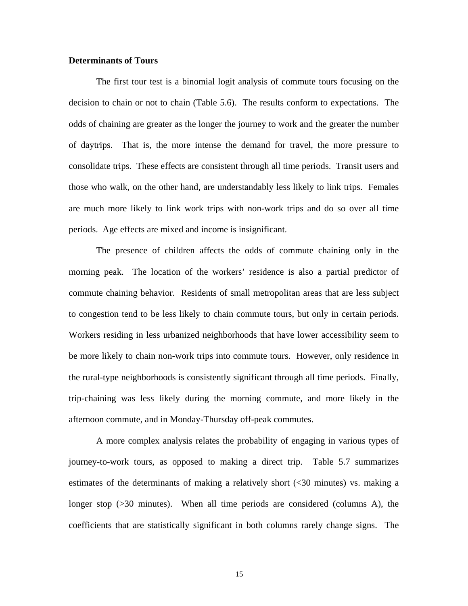#### **Determinants of Tours**

The first tour test is a binomial logit analysis of commute tours focusing on the decision to chain or not to chain (Table 5.6). The results conform to expectations. The odds of chaining are greater as the longer the journey to work and the greater the number of daytrips. That is, the more intense the demand for travel, the more pressure to consolidate trips. These effects are consistent through all time periods. Transit users and those who walk, on the other hand, are understandably less likely to link trips. Females are much more likely to link work trips with non-work trips and do so over all time periods. Age effects are mixed and income is insignificant.

The presence of children affects the odds of commute chaining only in the morning peak. The location of the workers' residence is also a partial predictor of commute chaining behavior. Residents of small metropolitan areas that are less subject to congestion tend to be less likely to chain commute tours, but only in certain periods. Workers residing in less urbanized neighborhoods that have lower accessibility seem to be more likely to chain non-work trips into commute tours. However, only residence in the rural-type neighborhoods is consistently significant through all time periods. Finally, trip-chaining was less likely during the morning commute, and more likely in the afternoon commute, and in Monday-Thursday off-peak commutes.

A more complex analysis relates the probability of engaging in various types of journey-to-work tours, as opposed to making a direct trip. Table 5.7 summarizes estimates of the determinants of making a relatively short (<30 minutes) vs. making a longer stop ( $>30$  minutes). When all time periods are considered (columns A), the coefficients that are statistically significant in both columns rarely change signs. The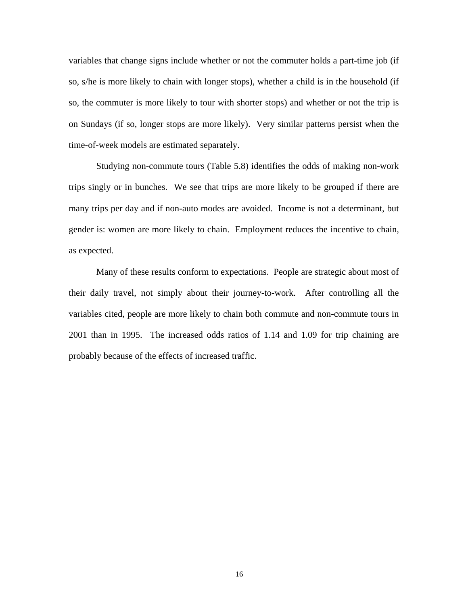variables that change signs include whether or not the commuter holds a part-time job (if so, s/he is more likely to chain with longer stops), whether a child is in the household (if so, the commuter is more likely to tour with shorter stops) and whether or not the trip is on Sundays (if so, longer stops are more likely). Very similar patterns persist when the time-of-week models are estimated separately.

Studying non-commute tours (Table 5.8) identifies the odds of making non-work trips singly or in bunches. We see that trips are more likely to be grouped if there are many trips per day and if non-auto modes are avoided. Income is not a determinant, but gender is: women are more likely to chain. Employment reduces the incentive to chain, as expected.

Many of these results conform to expectations. People are strategic about most of their daily travel, not simply about their journey-to-work. After controlling all the variables cited, people are more likely to chain both commute and non-commute tours in 2001 than in 1995. The increased odds ratios of 1.14 and 1.09 for trip chaining are probably because of the effects of increased traffic.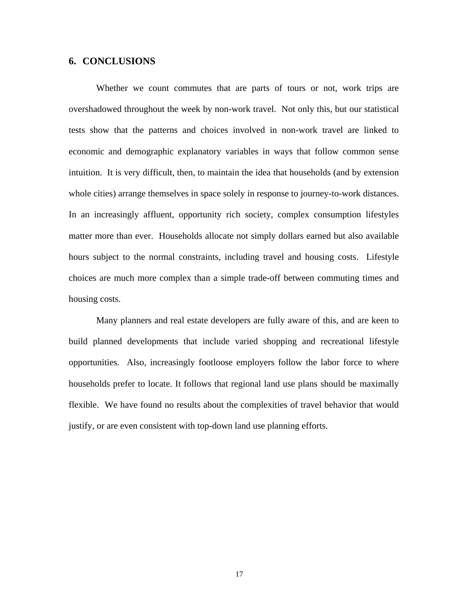### **6. CONCLUSIONS**

Whether we count commutes that are parts of tours or not, work trips are overshadowed throughout the week by non-work travel. Not only this, but our statistical tests show that the patterns and choices involved in non-work travel are linked to economic and demographic explanatory variables in ways that follow common sense intuition. It is very difficult, then, to maintain the idea that households (and by extension whole cities) arrange themselves in space solely in response to journey-to-work distances. In an increasingly affluent, opportunity rich society, complex consumption lifestyles matter more than ever. Households allocate not simply dollars earned but also available hours subject to the normal constraints, including travel and housing costs. Lifestyle choices are much more complex than a simple trade-off between commuting times and housing costs.

Many planners and real estate developers are fully aware of this, and are keen to build planned developments that include varied shopping and recreational lifestyle opportunities. Also, increasingly footloose employers follow the labor force to where households prefer to locate. It follows that regional land use plans should be maximally flexible. We have found no results about the complexities of travel behavior that would justify, or are even consistent with top-down land use planning efforts.

17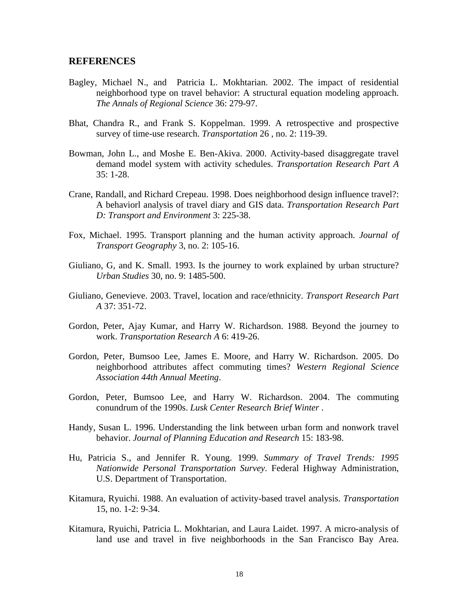#### **REFERENCES**

- Bagley, Michael N., and Patricia L. Mokhtarian. 2002. The impact of residential neighborhood type on travel behavior: A structural equation modeling approach. *The Annals of Regional Science* 36: 279-97.
- Bhat, Chandra R., and Frank S. Koppelman. 1999. A retrospective and prospective survey of time-use research. *Transportation* 26 , no. 2: 119-39.
- Bowman, John L., and Moshe E. Ben-Akiva. 2000. Activity-based disaggregate travel demand model system with activity schedules. *Transportation Research Part A*  $35:1-28$
- Crane, Randall, and Richard Crepeau. 1998. Does neighborhood design influence travel?: A behaviorl analysis of travel diary and GIS data. *Transportation Research Part D: Transport and Environment* 3: 225-38.
- Fox, Michael. 1995. Transport planning and the human activity approach. *Journal of Transport Geography* 3, no. 2: 105-16.
- Giuliano, G, and K. Small. 1993. Is the journey to work explained by urban structure? *Urban Studies* 30, no. 9: 1485-500.
- Giuliano, Genevieve. 2003. Travel, location and race/ethnicity. *Transport Research Part A* 37: 351-72.
- Gordon, Peter, Ajay Kumar, and Harry W. Richardson. 1988. Beyond the journey to work. *Transportation Research A* 6: 419-26.
- Gordon, Peter, Bumsoo Lee, James E. Moore, and Harry W. Richardson. 2005. Do neighborhood attributes affect commuting times? *Western Regional Science Association 44th Annual Meeting*.
- Gordon, Peter, Bumsoo Lee, and Harry W. Richardson. 2004. The commuting conundrum of the 1990s. *Lusk Center Research Brief Winter* .
- Handy, Susan L. 1996. Understanding the link between urban form and nonwork travel behavior. *Journal of Planning Education and Research* 15: 183-98.
- Hu, Patricia S., and Jennifer R. Young. 1999. *Summary of Travel Trends: 1995 Nationwide Personal Transportation Survey*. Federal Highway Administration, U.S. Department of Transportation.
- Kitamura, Ryuichi. 1988. An evaluation of activity-based travel analysis. *Transportation* 15, no. 1-2: 9-34.
- Kitamura, Ryuichi, Patricia L. Mokhtarian, and Laura Laidet. 1997. A micro-analysis of land use and travel in five neighborhoods in the San Francisco Bay Area.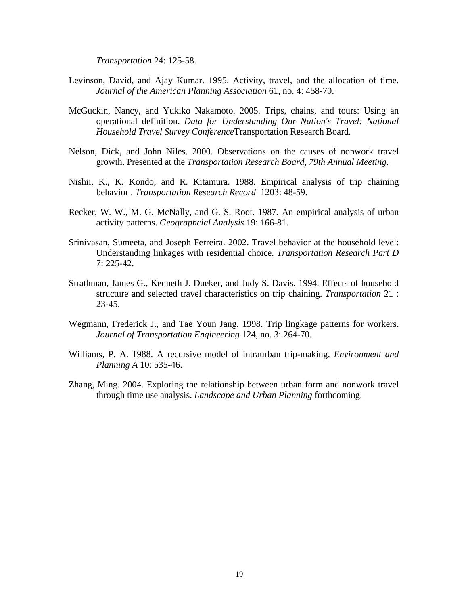*Transportation* 24: 125-58.

- Levinson, David, and Ajay Kumar. 1995. Activity, travel, and the allocation of time. *Journal of the American Planning Association* 61, no. 4: 458-70.
- McGuckin, Nancy, and Yukiko Nakamoto. 2005. Trips, chains, and tours: Using an operational definition. *Data for Understanding Our Nation's Travel: National Household Travel Survey Conference*Transportation Research Board.
- Nelson, Dick, and John Niles. 2000. Observations on the causes of nonwork travel growth. Presented at the *Transportation Research Board, 79th Annual Meeting*.
- Nishii, K., K. Kondo, and R. Kitamura. 1988. Empirical analysis of trip chaining behavior . *Transportation Research Record* 1203: 48-59.
- Recker, W. W., M. G. McNally, and G. S. Root. 1987. An empirical analysis of urban activity patterns. *Geographcial Analysis* 19: 166-81.
- Srinivasan, Sumeeta, and Joseph Ferreira. 2002. Travel behavior at the household level: Understanding linkages with residential choice. *Transportation Research Part D* 7: 225-42.
- Strathman, James G., Kenneth J. Dueker, and Judy S. Davis. 1994. Effects of household structure and selected travel characteristics on trip chaining. *Transportation* 21 : 23-45.
- Wegmann, Frederick J., and Tae Youn Jang. 1998. Trip lingkage patterns for workers. *Journal of Transportation Engineering* 124, no. 3: 264-70.
- Williams, P. A. 1988. A recursive model of intraurban trip-making. *Environment and Planning A* 10: 535-46.
- Zhang, Ming. 2004. Exploring the relationship between urban form and nonwork travel through time use analysis. *Landscape and Urban Planning* forthcoming.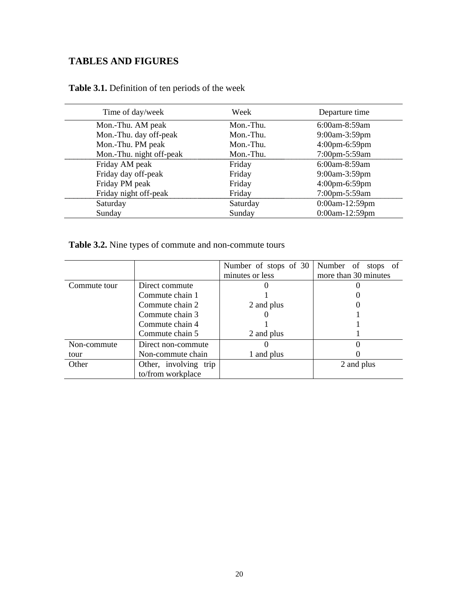# **TABLES AND FIGURES**

| Time of day/week         | Week      | Departure time    |
|--------------------------|-----------|-------------------|
| Mon.-Thu. AM peak        | Mon.-Thu. | $6:00$ am-8:59am  |
| Mon.-Thu. day off-peak   | Mon.-Thu. | 9:00am-3:59pm     |
| Mon.-Thu. PM peak        | Mon.-Thu. | $4:00$ pm-6:59pm  |
| Mon.-Thu. night off-peak | Mon.-Thu. | 7:00pm-5:59am     |
| Friday AM peak           | Friday    | $6:00$ am-8:59am  |
| Friday day off-peak      | Friday    | 9:00am-3:59pm     |
| Friday PM peak           | Friday    | 4:00pm-6:59pm     |
| Friday night off-peak    | Friday    | 7:00pm-5:59am     |
| Saturday                 | Saturday  | $0:00$ am-12:59pm |
| Sunday                   | Sunday    | $0:00$ am-12:59pm |

# **Table 3.1.** Definition of ten periods of the week

**Table 3.2.** Nine types of commute and non-commute tours

|              |                       | Number of stops of 30 | Number of stops of   |
|--------------|-----------------------|-----------------------|----------------------|
|              |                       | minutes or less       | more than 30 minutes |
| Commute tour | Direct commute        |                       |                      |
|              | Commute chain 1       |                       |                      |
|              | Commute chain 2       | 2 and plus            |                      |
|              | Commute chain 3       |                       |                      |
|              | Commute chain 4       |                       |                      |
|              | Commute chain 5       | 2 and plus            |                      |
| Non-commute  | Direct non-commute    |                       |                      |
| tour         | Non-commute chain     | 1 and plus            |                      |
| Other        | Other, involving trip |                       | 2 and plus           |
|              | to/from workplace     |                       |                      |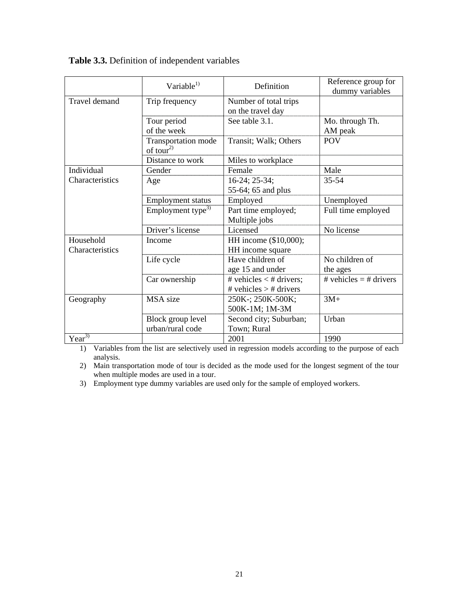|                                     | Variable $^{1)}$                             | Definition                                            | Reference group for<br>dummy variables |
|-------------------------------------|----------------------------------------------|-------------------------------------------------------|----------------------------------------|
| Travel demand                       | Trip frequency                               | Number of total trips<br>on the travel day            |                                        |
|                                     | Tour period<br>of the week                   | See table 3.1.                                        | Mo. through Th.<br>AM peak             |
|                                     | Transportation mode<br>of tour <sup>2)</sup> | Transit; Walk; Others                                 | <b>POV</b>                             |
|                                     | Distance to work                             | Miles to workplace                                    |                                        |
| Individual                          | Gender                                       | Female                                                | Male                                   |
| Characteristics                     | Age                                          | $16-24$ ; 25-34;                                      | $35 - 54$                              |
|                                     |                                              | 55-64; 65 and plus                                    |                                        |
|                                     | <b>Employment status</b>                     | Employed                                              | Unemployed                             |
|                                     | Employment type <sup>3)</sup>                | Part time employed;<br>Multiple jobs                  | Full time employed                     |
|                                     | Driver's license                             | Licensed                                              | No license                             |
| Household<br><b>Characteristics</b> | Income                                       | HH income (\$10,000);<br>HH income square             |                                        |
|                                     | Life cycle                                   | Have children of<br>age 15 and under                  | No children of<br>the ages             |
|                                     | Car ownership                                | # vehicles $<$ # drivers;<br># vehicles $>$ # drivers | # vehicles $=$ # drivers               |
| Geography                           | MSA size                                     | 250K-; 250K-500K;<br>500K-1M; 1M-3M                   | $3M+$                                  |
|                                     | Block group level                            | Second city; Suburban;                                | Urban                                  |
|                                     | urban/rural code                             | Town; Rural                                           |                                        |
| $Year^{3)}$                         |                                              | 2001                                                  | 1990                                   |

**Table 3.3.** Definition of independent variables

1) Variables from the list are selectively used in regression models according to the purpose of each analysis.

2) Main transportation mode of tour is decided as the mode used for the longest segment of the tour when multiple modes are used in a tour.

3) Employment type dummy variables are used only for the sample of employed workers.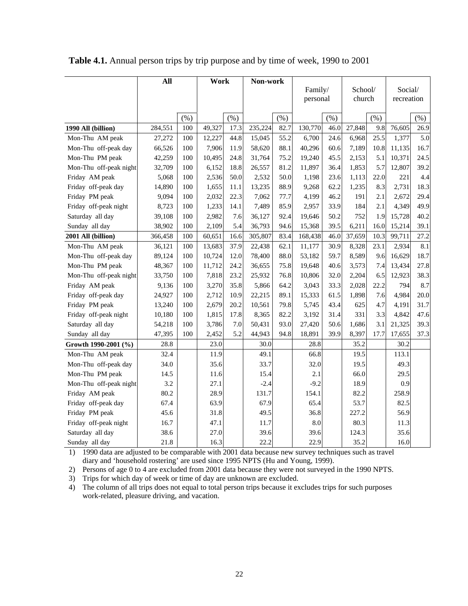|                        | All     |      | Work   |      | Non-work |      |          |      |         |      |            |         |
|------------------------|---------|------|--------|------|----------|------|----------|------|---------|------|------------|---------|
|                        |         |      |        |      |          |      | Family/  |      | School/ |      | Social/    |         |
|                        |         |      |        |      |          |      | personal |      | church  |      | recreation |         |
|                        |         |      |        |      |          |      |          |      |         |      |            |         |
|                        |         | (% ) |        | (% ) |          | (% ) |          | (% ) |         | (% ) |            | $(\% )$ |
| 1990 All (billion)     | 284,551 | 100  | 49,327 | 17.3 | 235,224  | 82.7 | 130,770  | 46.0 | 27,848  | 9.8  | 76,605     | 26.9    |
| Mon-Thu AM peak        | 27,272  | 100  | 12,227 | 44.8 | 15,045   | 55.2 | 6,700    | 24.6 | 6,968   | 25.5 | 1,377      | 5.0     |
| Mon-Thu off-peak day   | 66,526  | 100  | 7,906  | 11.9 | 58,620   | 88.1 | 40,296   | 60.6 | 7,189   | 10.8 | 11,135     | 16.7    |
| Mon-Thu PM peak        | 42,259  | 100  | 10,495 | 24.8 | 31,764   | 75.2 | 19,240   | 45.5 | 2,153   | 5.1  | 10,371     | 24.5    |
| Mon-Thu off-peak night | 32,709  | 100  | 6,152  | 18.8 | 26,557   | 81.2 | 11,897   | 36.4 | 1,853   | 5.7  | 12,807     | 39.2    |
| Friday AM peak         | 5,068   | 100  | 2,536  | 50.0 | 2,532    | 50.0 | 1,198    | 23.6 | 1,113   | 22.0 | 221        | 4.4     |
| Friday off-peak day    | 14,890  | 100  | 1,655  | 11.1 | 13,235   | 88.9 | 9,268    | 62.2 | 1,235   | 8.3  | 2,731      | 18.3    |
| Friday PM peak         | 9,094   | 100  | 2,032  | 22.3 | 7,062    | 77.7 | 4,199    | 46.2 | 191     | 2.1  | 2,672      | 29.4    |
| Friday off-peak night  | 8,723   | 100  | 1,233  | 14.1 | 7,489    | 85.9 | 2,957    | 33.9 | 184     | 2.1  | 4,349      | 49.9    |
| Saturday all day       | 39,108  | 100  | 2,982  | 7.6  | 36,127   | 92.4 | 19,646   | 50.2 | 752     | 1.9  | 15,728     | 40.2    |
| Sunday all day         | 38,902  | 100  | 2,109  | 5.4  | 36,793   | 94.6 | 15,368   | 39.5 | 6,211   | 16.0 | 15,214     | 39.1    |
| 2001 All (billion)     | 366,458 | 100  | 60,651 | 16.6 | 305,807  | 83.4 | 168,438  | 46.0 | 37,659  | 10.3 | 99,711     | 27.2    |
| Mon-Thu AM peak        | 36,121  | 100  | 13,683 | 37.9 | 22,438   | 62.1 | 11,177   | 30.9 | 8,328   | 23.1 | 2,934      | 8.1     |
| Mon-Thu off-peak day   | 89,124  | 100  | 10,724 | 12.0 | 78,400   | 88.0 | 53,182   | 59.7 | 8,589   | 9.6  | 16,629     | 18.7    |
| Mon-Thu PM peak        | 48,367  | 100  | 11,712 | 24.2 | 36,655   | 75.8 | 19,648   | 40.6 | 3,573   | 7.4  | 13,434     | 27.8    |
| Mon-Thu off-peak night | 33,750  | 100  | 7,818  | 23.2 | 25,932   | 76.8 | 10,806   | 32.0 | 2,204   | 6.5  | 12,923     | 38.3    |
| Friday AM peak         | 9,136   | 100  | 3,270  | 35.8 | 5,866    | 64.2 | 3,043    | 33.3 | 2,028   | 22.2 | 794        | 8.7     |
| Friday off-peak day    | 24,927  | 100  | 2,712  | 10.9 | 22,215   | 89.1 | 15,333   | 61.5 | 1,898   | 7.6  | 4,984      | 20.0    |
| Friday PM peak         | 13,240  | 100  | 2,679  | 20.2 | 10,561   | 79.8 | 5,745    | 43.4 | 625     | 4.7  | 4,191      | 31.7    |
| Friday off-peak night  | 10,180  | 100  | 1,815  | 17.8 | 8,365    | 82.2 | 3,192    | 31.4 | 331     | 3.3  | 4,842      | 47.6    |
| Saturday all day       | 54,218  | 100  | 3,786  | 7.0  | 50,431   | 93.0 | 27,420   | 50.6 | 1,686   | 3.1  | 21,325     | 39.3    |
| Sunday all day         | 47,395  | 100  | 2,452  | 5.2  | 44,943   | 94.8 | 18,891   | 39.9 | 8,397   | 17.7 | 17,655     | 37.3    |
| Growth 1990-2001 (%)   | 28.8    |      | 23.0   |      | 30.0     |      | 28.8     |      | 35.2    |      | 30.2       |         |
| Mon-Thu AM peak        | 32.4    |      | 11.9   |      | 49.1     |      | 66.8     |      | 19.5    |      | 113.1      |         |
| Mon-Thu off-peak day   | 34.0    |      | 35.6   |      | 33.7     |      | 32.0     |      | 19.5    |      | 49.3       |         |
| Mon-Thu PM peak        | 14.5    |      | 11.6   |      | 15.4     |      | 2.1      |      | 66.0    |      | 29.5       |         |
| Mon-Thu off-peak night | 3.2     |      | 27.1   |      | $-2.4$   |      | $-9.2$   |      | 18.9    |      | 0.9        |         |
| Friday AM peak         | 80.2    |      | 28.9   |      | 131.7    |      | 154.1    |      | 82.2    |      | 258.9      |         |
| Friday off-peak day    | 67.4    |      | 63.9   |      | 67.9     |      | 65.4     |      | 53.7    |      | 82.5       |         |
| Friday PM peak         | 45.6    |      | 31.8   |      | 49.5     |      | 36.8     |      | 227.2   |      | 56.9       |         |
| Friday off-peak night  | 16.7    |      | 47.1   |      | 11.7     |      | 8.0      |      | 80.3    |      | 11.3       |         |
| Saturday all day       | 38.6    |      | 27.0   |      | 39.6     |      | 39.6     |      | 124.3   |      | 35.6       |         |
| Sunday all day         | 21.8    |      | 16.3   |      | 22.2     |      | 22.9     |      | 35.2    |      | 16.0       |         |

**Table 4.1.** Annual person trips by trip purpose and by time of week, 1990 to 2001

1) 1990 data are adjusted to be comparable with 2001 data because new survey techniques such as travel diary and 'household rostering' are used since 1995 NPTS (Hu and Young, 1999).

2) Persons of age 0 to 4 are excluded from 2001 data because they were not surveyed in the 1990 NPTS.

3) Trips for which day of week or time of day are unknown are excluded.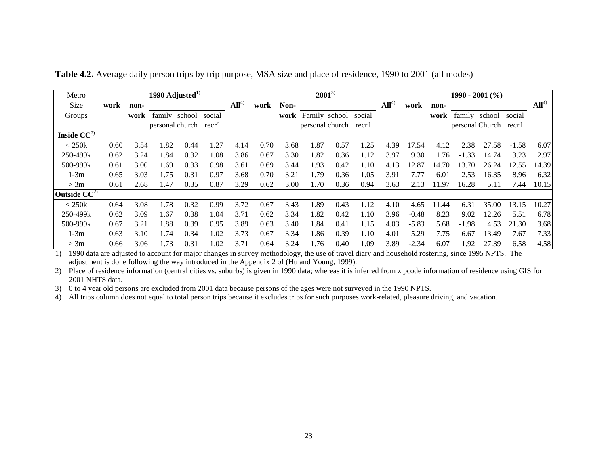| Metro                      |      |      |      | 1990 Adjusted $^{1)}$ |        |                  |      |      |               | $2001^{3}$      |        | $1990 - 2001$ (%) |         |       |         |                        |         |                  |
|----------------------------|------|------|------|-----------------------|--------|------------------|------|------|---------------|-----------------|--------|-------------------|---------|-------|---------|------------------------|---------|------------------|
| Size                       | work | non- |      |                       |        | All <sup>4</sup> | work | Non- |               |                 |        | All <sup>4</sup>  | work    | non-  |         |                        |         | All <sup>4</sup> |
| Groups                     |      | work |      | family school         | social |                  |      | work | Family school |                 | social |                   |         | work  |         | family school          | social  |                  |
|                            |      |      |      | personal church       | recr'l |                  |      |      |               | personal church | recr'l |                   |         |       |         | personal Church recr'l |         |                  |
| Inside $C\overline{C^{2}}$ |      |      |      |                       |        |                  |      |      |               |                 |        |                   |         |       |         |                        |         |                  |
| $<$ 250 $k$                | 0.60 | 3.54 | 1.82 | 0.44                  | 1.27   | 4.14             | 0.70 | 3.68 | 1.87          | 0.57            | 1.25   | 4.39              | 17.54   | 4.12  | 2.38    | 27.58                  | $-1.58$ | 6.07             |
| 250-499k                   | 0.62 | 3.24 | 1.84 | 0.32                  | 1.08   | 3.86             | 0.67 | 3.30 | 1.82          | 0.36            | 1.12   | 3.97              | 9.30    | 1.76  | $-1.33$ | 14.74                  | 3.23    | 2.97             |
| 500-999k                   | 0.61 | 3.00 | 1.69 | 0.33                  | 0.98   | 3.61             | 0.69 | 3.44 | 1.93          | 0.42            | 1.10   | 4.13              | 12.87   | 14.70 | 13.70   | 26.24                  | 12.55   | 14.39            |
| $1-3m$                     | 0.65 | 3.03 | 1.75 | 0.31                  | 0.97   | 3.68             | 0.70 | 3.21 | 1.79          | 0.36            | 1.05   | 3.91              | 7.77    | 6.01  | 2.53    | 16.35                  | 8.96    | 6.32             |
| > 3m                       | 0.61 | 2.68 | 1.47 | 0.35                  | 0.87   | 3.29             | 0.62 | 3.00 | 1.70          | 0.36            | 0.94   | 3.63              | 2.13    | 11.97 | 16.28   | 5.11                   | 7.44    | 10.15            |
| Outside $CC^2$             |      |      |      |                       |        |                  |      |      |               |                 |        |                   |         |       |         |                        |         |                  |
| $<$ 250 $k$                | 0.64 | 3.08 | 1.78 | 0.32                  | 0.99   | 3.72             | 0.67 | 3.43 | 1.89          | 0.43            | 1.12   | 4.10              | 4.65    | 11.44 | 6.31    | 35.00                  | 13.15   | 10.27            |
| 250-499k                   | 0.62 | 3.09 | 1.67 | 0.38                  | 1.04   | 3.71             | 0.62 | 3.34 | 1.82          | 0.42            | 1.10   | 3.96              | $-0.48$ | 8.23  | 9.02    | 2.26                   | 5.51    | 6.78             |
| 500-999k                   | 0.67 | 3.21 | 1.88 | 0.39                  | 0.95   | 3.89             | 0.63 | 3.40 | 1.84          | 0.41            | 1.15   | 4.03              | $-5.83$ | 5.68  | $-1.98$ | 4.53                   | 21.30   | 3.68             |
| $1-3m$                     | 0.63 | 3.10 | 1.74 | 0.34                  | 1.02   | 3.73             | 0.67 | 3.34 | 1.86          | 0.39            | 1.10   | 4.01              | 5.29    | 7.75  | 6.67    | 3.49                   | 7.67    | 7.33             |
| > 3m                       | 0.66 | 3.06 | 1.73 | 0.31                  | 1.02   | 3.71             | 0.64 | 3.24 | 1.76          | 0.40            | 1.09   | 3.89              | $-2.34$ | 6.07  | 1.92    | 27.39                  | 6.58    | 4.58             |

**Table 4.2.** Average daily person trips by trip purpose, MSA size and place of residence, 1990 to 2001 (all modes)

1) 1990 data are adjusted to account for major changes in survey methodology, the use of travel diary and household rostering, since 1995 NPTS. The adjustment is done following the way introduced in the Appendix 2 of (Hu and Young, 1999).

2) Place of residence information (central cities vs. suburbs) is given in 1990 data; whereas it is inferred from zipcode information of residence using GIS for 2001 NHTS data.

3) 0 to 4 year old persons are excluded from 2001 data because persons of the ages were not surveyed in the 1990 NPTS.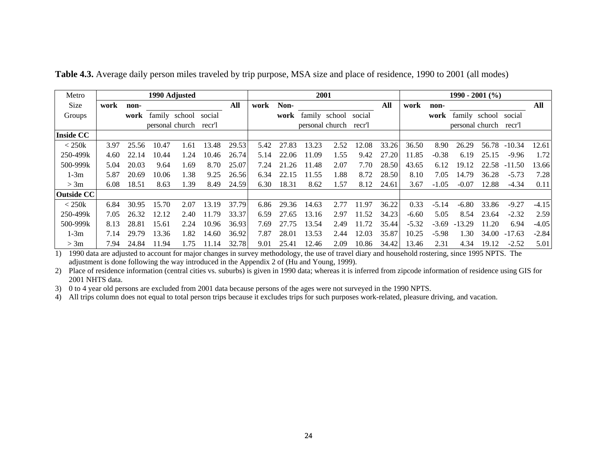| Metro             |      |       |       | 1990 Adjusted        |        |       |      |       |               | 2001            |        |       | $1990 - 2001$ (%) |         |                 |       |          |         |
|-------------------|------|-------|-------|----------------------|--------|-------|------|-------|---------------|-----------------|--------|-------|-------------------|---------|-----------------|-------|----------|---------|
| Size              | work | non-  |       |                      |        | All   | work | Non-  |               |                 |        | All   | work              | non-    |                 |       |          | All     |
| Groups            |      | work  |       | family school social |        |       |      | work  | family school |                 | social |       |                   | work    | family school   |       | social   |         |
|                   |      |       |       | personal church      | recr'l |       |      |       |               | personal church | recr'l |       |                   |         | personal church |       | recr'l   |         |
| <b>Inside CC</b>  |      |       |       |                      |        |       |      |       |               |                 |        |       |                   |         |                 |       |          |         |
| $<$ 250 $k$       | 3.97 | 25.56 | 10.47 | .61                  | 13.48  | 29.53 | 5.42 | 27.83 | 13.23         | 2.52            | 12.08  | 33.26 | 36.50             | 8.90    | 26.29           | 56.78 | $-10.34$ | 12.61   |
| 250-499k          | 4.60 | 22.14 | 10.44 | .24                  | 10.46  | 26.74 | 5.14 | 22.06 | 11.09         | 1.55            | 9.42   | 27.20 | 11.85             | $-0.38$ | 6.19            | 25.15 | $-9.96$  | 1.72    |
| 500-999k          | 5.04 | 20.03 | 9.64  | .69                  | 8.70   | 25.07 | 7.24 | 21.26 | 11.48         | 2.07            | 7.70   | 28.50 | 43.65             | 6.12    | 19.12           | 22.58 | $-11.50$ | 13.66   |
| $1-3m$            | 5.87 | 20.69 | 10.06 | .38                  | 9.25   | 26.56 | 6.34 | 22.15 | 11.55         | 1.88            | 8.72   | 28.50 | 8.10              | 7.05    | 14.79           | 36.28 | $-5.73$  | 7.28    |
| > 3m              | 6.08 | 18.51 | 8.63  | l.39                 | 8.49   | 24.59 | 6.30 | 18.31 | 8.62          | 1.57            | 8.12   | 24.61 | 3.67              | $-1.05$ | $-0.07$         | 12.88 | $-4.34$  | 0.11    |
| <b>Outside CC</b> |      |       |       |                      |        |       |      |       |               |                 |        |       |                   |         |                 |       |          |         |
| $<$ 250 $k$       | 6.84 | 30.95 | 15.70 | 2.07                 | 13.19  | 37.79 | 6.86 | 29.36 | 14.63         | 2.77            | 11.97  | 36.22 | 0.33              | $-5.14$ | $-6.80$         | 33.86 | $-9.27$  | $-4.15$ |
| 250-499k          | 7.05 | 26.32 | 12.12 | 2.40                 | 11.79  | 33.37 | 6.59 | 27.65 | 13.16         | 2.97            | 11.52  | 34.23 | $-6.60$           | 5.05    | 8.54            | 23.64 | $-2.32$  | 2.59    |
| 500-999k          | 8.13 | 28.81 | 15.61 | 2.24                 | 10.96  | 36.93 | 7.69 | 27.75 | 13.54         | 2.49            | 11.72  | 35.44 | $-5.32$           | $-3.69$ | $-13.29$        | 11.20 | 6.94     | $-4.05$ |
| $1-3m$            | 7.14 | 29.79 | 13.36 | .82                  | 14.60  | 36.92 | 7.87 | 28.01 | 13.53         | 2.44            | 12.03  | 35.87 | 10.25             | $-5.98$ | 1.30            | 34.00 | $-17.63$ | $-2.84$ |
| > 3m              | 7.94 | 24.84 | 11.94 | l.75                 | 11.14  | 32.78 | 9.01 | 25.41 | 12.46         | 2.09            | 10.86  | 34.42 | 13.46             | 2.31    | 4.34            | 19.12 | $-2.52$  | 5.01    |

**Table 4.3.** Average daily person miles traveled by trip purpose, MSA size and place of residence, 1990 to 2001 (all modes)

1) 1990 data are adjusted to account for major changes in survey methodology, the use of travel diary and household rostering, since 1995 NPTS. The adjustment is done following the way introduced in the Appendix 2 of (Hu and Young, 1999).

2) Place of residence information (central cities vs. suburbs) is given in 1990 data; whereas it is inferred from zipcode information of residence using GIS for 2001 NHTS data.

3) 0 to 4 year old persons are excluded from 2001 data because persons of the ages were not surveyed in the 1990 NPTS.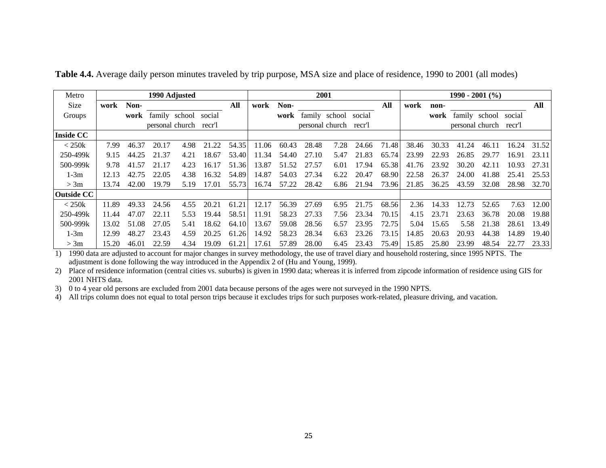| Metro             | 1990 Adjusted |       |       |                        |        |       |       |       | 2001            |      |        |       |       |       | $1990 - 2001$ (%) |                 |        |       |
|-------------------|---------------|-------|-------|------------------------|--------|-------|-------|-------|-----------------|------|--------|-------|-------|-------|-------------------|-----------------|--------|-------|
| Size              | work          | Non-  |       |                        |        | All   | work  | Non-  |                 |      |        | All   | work  | non-  |                   |                 |        | All   |
| Groups            |               | work  |       | family school          | social |       |       | work  | family school   |      | social |       |       | work  |                   | family school   | social |       |
|                   |               |       |       | personal church recr'l |        |       |       |       | personal church |      | recr'l |       |       |       |                   | personal church | recr'l |       |
| <b>Inside CC</b>  |               |       |       |                        |        |       |       |       |                 |      |        |       |       |       |                   |                 |        |       |
| $<$ 250 $k$       | 7.99          | 46.37 | 20.17 | 4.98                   | 21.22  | 54.35 | 11.06 | 60.43 | 28.48           | 7.28 | 24.66  | 71.48 | 38.46 | 30.33 | 41.24             | 46.11           | 16.24  | 31.52 |
| 250-499k          | 9.15          | 44.25 | 21.37 | 4.21                   | 18.67  | 53.40 | 11.34 | 54.40 | 27.10           | 5.47 | 21.83  | 65.74 | 23.99 | 22.93 | 26.85             | 29.77           | 16.91  | 23.11 |
| 500-999k          | 9.78          | 41.57 | 21.17 | 4.23                   | 16.17  | 51.36 | 13.87 | 51.52 | 27.57           | 6.01 | 17.94  | 65.38 | 41.76 | 23.92 | 30.20             | 42.11           | 10.93  | 27.31 |
| $1-3m$            | 12.13         | 42.75 | 22.05 | 4.38                   | 16.32  | 54.89 | 14.87 | 54.03 | 27.34           | 6.22 | 20.47  | 68.90 | 22.58 | 26.37 | 24.00             | 41.88           | 25.41  | 25.53 |
| > 3m              | 13.74         | 42.00 | 19.79 | 5.19                   | 17.01  | 55.73 | 16.74 | 57.22 | 28.42           | 6.86 | 21.94  | 73.96 | 21.85 | 36.25 | 43.59             | 32.08           | 28.98  | 32.70 |
| <b>Outside CC</b> |               |       |       |                        |        |       |       |       |                 |      |        |       |       |       |                   |                 |        |       |
| $<$ 250 $k$       | 11.89         | 49.33 | 24.56 | 4.55                   | 20.21  | 61.21 | 12.17 | 56.39 | 27.69           | 6.95 | 21.75  | 68.56 | 2.36  | 14.33 | 12.73             | 52.65           | 7.63   | 12.00 |
| 250-499k          | 11.44         | 47.07 | 22.11 | 5.53                   | 19.44  | 58.51 | 11.91 | 58.23 | 27.33           | 7.56 | 23.34  | 70.15 | 4.15  | 23.71 | 23.63             | 36.78           | 20.08  | 19.88 |
| 500-999k          | 13.02         | 51.08 | 27.05 | 5.41                   | 18.62  | 64.10 | 13.67 | 59.08 | 28.56           | 6.57 | 23.95  | 72.75 | 5.04  | 15.65 | 5.58              | 21.38           | 28.61  | 13.49 |
| $1-3m$            | 12.99         | 48.27 | 23.43 | 4.59                   | 20.25  | 61.26 | 14.92 | 58.23 | 28.34           | 6.63 | 23.26  | 73.15 | 14.85 | 20.63 | 20.93             | 44.38           | 14.89  | 19.40 |
| > 3m              | 15.20         | 46.01 | 22.59 | 4.34                   | 19.09  | 61.21 | 17.61 | 57.89 | 28.00           | 6.45 | 23.43  | 75.49 | 15.85 | 25.80 | 23.99             | 48.54           | 22.77  | 23.33 |

**Table 4.4.** Average daily person minutes traveled by trip purpose, MSA size and place of residence, 1990 to 2001 (all modes)

1) 1990 data are adjusted to account for major changes in survey methodology, the use of travel diary and household rostering, since 1995 NPTS. The adjustment is done following the way introduced in the Appendix 2 of (Hu and Young, 1999).

2) Place of residence information (central cities vs. suburbs) is given in 1990 data; whereas it is inferred from zipcode information of residence using GIS for 2001 NHTS data.

3) 0 to 4 year old persons are excluded from 2001 data because persons of the ages were not surveyed in the 1990 NPTS.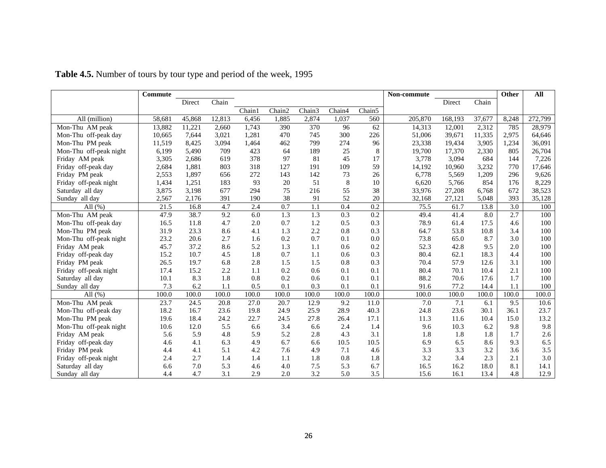|                        | Commute |        |        |        |        |        |                  |        | Non-commute |         |        | Other | All     |
|------------------------|---------|--------|--------|--------|--------|--------|------------------|--------|-------------|---------|--------|-------|---------|
|                        |         | Direct | Chain  |        |        |        |                  |        |             | Direct  | Chain  |       |         |
|                        |         |        |        | Chain1 | Chain2 | Chain3 | Chain4           | Chain5 |             |         |        |       |         |
| All (million)          | 58,681  | 45,868 | 12,813 | 6,456  | 1,885  | 2,874  | 1,037            | 560    | 205,870     | 168,193 | 37,677 | 8,248 | 272,799 |
| Mon-Thu AM peak        | 13,882  | 11,221 | 2,660  | 1,743  | 390    | 370    | 96               | 62     | 14,313      | 12,001  | 2,312  | 785   | 28,979  |
| Mon-Thu off-peak day   | 10,665  | 7,644  | 3,021  | 1,281  | 470    | 745    | 300              | 226    | 51,006      | 39,671  | 11,335 | 2,975 | 64,646  |
| Mon-Thu PM peak        | 11,519  | 8,425  | 3,094  | 1.464  | 462    | 799    | 274              | 96     | 23,338      | 19,434  | 3,905  | 1,234 | 36,091  |
| Mon-Thu off-peak night | 6,199   | 5,490  | 709    | 423    | 64     | 189    | 25               | 8      | 19,700      | 17,370  | 2,330  | 805   | 26,704  |
| Friday AM peak         | 3,305   | 2,686  | 619    | 378    | 97     | 81     | 45               | 17     | 3,778       | 3,094   | 684    | 144   | 7,226   |
| Friday off-peak day    | 2,684   | 1,881  | 803    | 318    | 127    | 191    | 109              | 59     | 14,192      | 10,960  | 3,232  | 770   | 17,646  |
| Friday PM peak         | 2,553   | 1,897  | 656    | 272    | 143    | 142    | 73               | 26     | 6,778       | 5,569   | 1,209  | 296   | 9,626   |
| Friday off-peak night  | 1,434   | 1,251  | 183    | 93     | 20     | 51     | 8                | 10     | 6,620       | 5.766   | 854    | 176   | 8,229   |
| Saturday all day       | 3,875   | 3,198  | 677    | 294    | 75     | 216    | 55               | 38     | 33,976      | 27,208  | 6,768  | 672   | 38,523  |
| Sunday all day         | 2,567   | 2,176  | 391    | 190    | 38     | 91     | 52               | 20     | 32,168      | 27,121  | 5,048  | 393   | 35,128  |
| All $(\% )$            | 21.5    | 16.8   | 4.7    | 2.4    | 0.7    | 1.1    | 0.4              | 0.2    | 75.5        | 61.7    | 13.8   | 3.0   | 100     |
| Mon-Thu AM peak        | 47.9    | 38.7   | 9.2    | 6.0    | 1.3    | 1.3    | $\overline{0.3}$ | 0.2    | 49.4        | 41.4    | 8.0    | 2.7   | 100     |
| Mon-Thu off-peak day   | 16.5    | 11.8   | 4.7    | 2.0    | 0.7    | 1.2    | 0.5              | 0.3    | 78.9        | 61.4    | 17.5   | 4.6   | 100     |
| Mon-Thu PM peak        | 31.9    | 23.3   | 8.6    | 4.1    | 1.3    | 2.2    | 0.8              | 0.3    | 64.7        | 53.8    | 10.8   | 3.4   | 100     |
| Mon-Thu off-peak night | 23.2    | 20.6   | 2.7    | 1.6    | 0.2    | 0.7    | 0.1              | 0.0    | 73.8        | 65.0    | 8.7    | 3.0   | 100     |
| Friday AM peak         | 45.7    | 37.2   | 8.6    | 5.2    | 1.3    | 1.1    | 0.6              | 0.2    | 52.3        | 42.8    | 9.5    | 2.0   | 100     |
| Friday off-peak day    | 15.2    | 10.7   | 4.5    | 1.8    | 0.7    | 1.1    | 0.6              | 0.3    | 80.4        | 62.1    | 18.3   | 4.4   | 100     |
| Friday PM peak         | 26.5    | 19.7   | 6.8    | 2.8    | 1.5    | 1.5    | 0.8              | 0.3    | 70.4        | 57.9    | 12.6   | 3.1   | 100     |
| Friday off-peak night  | 17.4    | 15.2   | 2.2    | 1.1    | 0.2    | 0.6    | 0.1              | 0.1    | 80.4        | 70.1    | 10.4   | 2.1   | 100     |
| Saturday all day       | 10.1    | 8.3    | 1.8    | 0.8    | 0.2    | 0.6    | 0.1              | 0.1    | 88.2        | 70.6    | 17.6   | 1.7   | 100     |
| Sunday all day         | 7.3     | 6.2    | 1.1    | 0.5    | 0.1    | 0.3    | 0.1              | 0.1    | 91.6        | 77.2    | 14.4   | 1.1   | 100     |
| All $(\% )$            | 100.0   | 100.0  | 100.0  | 100.0  | 100.0  | 100.0  | 100.0            | 100.0  | 100.0       | 100.0   | 100.0  | 100.0 | 100.0   |
| Mon-Thu AM peak        | 23.7    | 24.5   | 20.8   | 27.0   | 20.7   | 12.9   | 9.2              | 11.0   | 7.0         | 7.1     | 6.1    | 9.5   | 10.6    |
| Mon-Thu off-peak day   | 18.2    | 16.7   | 23.6   | 19.8   | 24.9   | 25.9   | 28.9             | 40.3   | 24.8        | 23.6    | 30.1   | 36.1  | 23.7    |
| Mon-Thu PM peak        | 19.6    | 18.4   | 24.2   | 22.7   | 24.5   | 27.8   | 26.4             | 17.1   | 11.3        | 11.6    | 10.4   | 15.0  | 13.2    |
| Mon-Thu off-peak night | 10.6    | 12.0   | 5.5    | 6.6    | 3.4    | 6.6    | 2.4              | 1.4    | 9.6         | 10.3    | 6.2    | 9.8   | 9.8     |
| Friday AM peak         | 5.6     | 5.9    | 4.8    | 5.9    | 5.2    | 2.8    | 4.3              | 3.1    | 1.8         | 1.8     | 1.8    | 1.7   | 2.6     |
| Friday off-peak day    | 4.6     | 4.1    | 6.3    | 4.9    | 6.7    | 6.6    | 10.5             | 10.5   | 6.9         | 6.5     | 8.6    | 9.3   | 6.5     |
| Friday PM peak         | 4.4     | 4.1    | 5.1    | 4.2    | 7.6    | 4.9    | 7.1              | 4.6    | 3.3         | 3.3     | 3.2    | 3.6   | 3.5     |
| Friday off-peak night  | 2.4     | 2.7    | 1.4    | 1.4    | 1.1    | 1.8    | 0.8              | 1.8    | 3.2         | 3.4     | 2.3    | 2.1   | 3.0     |
| Saturday all day       | 6.6     | 7.0    | 5.3    | 4.6    | 4.0    | 7.5    | 5.3              | 6.7    | 16.5        | 16.2    | 18.0   | 8.1   | 14.1    |
| Sunday all day         | 4.4     | 4.7    | 3.1    | 2.9    | 2.0    | 3.2    | 5.0              | 3.5    | 15.6        | 16.1    | 13.4   | 4.8   | 12.9    |

**Table 4.5.** Number of tours by tour type and period of the week, 1995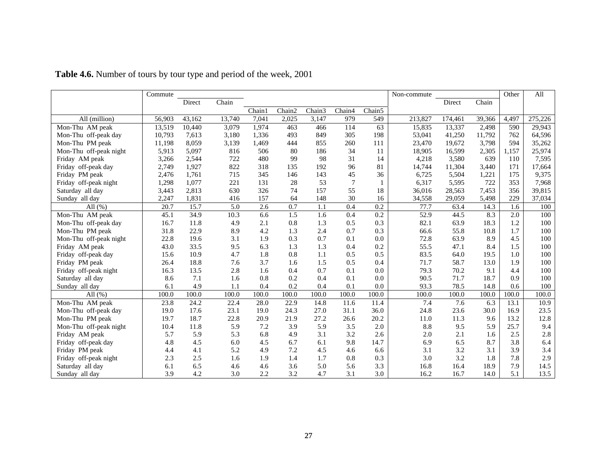|                        | Commute |        |        |        |        |        |                |        | Non-commute |         |        | Other | All     |
|------------------------|---------|--------|--------|--------|--------|--------|----------------|--------|-------------|---------|--------|-------|---------|
|                        |         | Direct | Chain  |        |        |        |                |        |             | Direct  | Chain  |       |         |
|                        |         |        |        | Chain1 | Chain2 | Chain3 | Chain4         | Chain5 |             |         |        |       |         |
| All (million)          | 56,903  | 43,162 | 13,740 | 7,041  | 2,025  | 3,147  | 979            | 549    | 213,827     | 174,461 | 39,366 | 4,497 | 275,226 |
| Mon-Thu AM peak        | 13,519  | 10,440 | 3,079  | 1,974  | 463    | 466    | 114            | 63     | 15,835      | 13,337  | 2,498  | 590   | 29,943  |
| Mon-Thu off-peak day   | 10,793  | 7,613  | 3,180  | 1,336  | 493    | 849    | 305            | 198    | 53,041      | 41,250  | 11,792 | 762   | 64,596  |
| Mon-Thu PM peak        | 11,198  | 8,059  | 3,139  | 1,469  | 444    | 855    | 260            | 111    | 23,470      | 19,672  | 3,798  | 594   | 35,262  |
| Mon-Thu off-peak night | 5,913   | 5,097  | 816    | 506    | 80     | 186    | 34             | 11     | 18,905      | 16,599  | 2,305  | 1,157 | 25,974  |
| Friday AM peak         | 3,266   | 2,544  | 722    | 480    | 99     | 98     | 31             | 14     | 4,218       | 3,580   | 639    | 110   | 7,595   |
| Friday off-peak day    | 2,749   | 1,927  | 822    | 318    | 135    | 192    | 96             | 81     | 14,744      | 11,304  | 3,440  | 171   | 17,664  |
| Friday PM peak         | 2,476   | 1,761  | 715    | 345    | 146    | 143    | 45             | 36     | 6,725       | 5,504   | 1,221  | 175   | 9,375   |
| Friday off-peak night  | 1,298   | 1,077  | 221    | 131    | 28     | 53     | $\overline{7}$ | 1      | 6,317       | 5,595   | 722    | 353   | 7,968   |
| Saturday all day       | 3,443   | 2,813  | 630    | 326    | 74     | 157    | 55             | 18     | 36,016      | 28,563  | 7,453  | 356   | 39,815  |
| Sunday all day         | 2,247   | 1,831  | 416    | 157    | 64     | 148    | 30             | 16     | 34,558      | 29,059  | 5,498  | 229   | 37,034  |
| All $(% )$             | 20.7    | 15.7   | 5.0    | 2.6    | 0.7    | 1.1    | 0.4            | 0.2    | 77.7        | 63.4    | 14.3   | 1.6   | 100     |
| Mon-Thu AM peak        | 45.1    | 34.9   | 10.3   | 6.6    | 1.5    | 1.6    | 0.4            | 0.2    | 52.9        | 44.5    | 8.3    | 2.0   | 100     |
| Mon-Thu off-peak day   | 16.7    | 11.8   | 4.9    | 2.1    | 0.8    | 1.3    | 0.5            | 0.3    | 82.1        | 63.9    | 18.3   | 1.2   | 100     |
| Mon-Thu PM peak        | 31.8    | 22.9   | 8.9    | 4.2    | 1.3    | 2.4    | 0.7            | 0.3    | 66.6        | 55.8    | 10.8   | 1.7   | 100     |
| Mon-Thu off-peak night | 22.8    | 19.6   | 3.1    | 1.9    | 0.3    | 0.7    | 0.1            | 0.0    | 72.8        | 63.9    | 8.9    | 4.5   | 100     |
| Friday AM peak         | 43.0    | 33.5   | 9.5    | 6.3    | 1.3    | 1.3    | 0.4            | 0.2    | 55.5        | 47.1    | 8.4    | 1.5   | 100     |
| Friday off-peak day    | 15.6    | 10.9   | 4.7    | 1.8    | 0.8    | 1.1    | 0.5            | 0.5    | 83.5        | 64.0    | 19.5   | 1.0   | 100     |
| Friday PM peak         | 26.4    | 18.8   | 7.6    | 3.7    | 1.6    | 1.5    | 0.5            | 0.4    | 71.7        | 58.7    | 13.0   | 1.9   | 100     |
| Friday off-peak night  | 16.3    | 13.5   | 2.8    | 1.6    | 0.4    | 0.7    | 0.1            | 0.0    | 79.3        | 70.2    | 9.1    | 4.4   | 100     |
| Saturday all day       | 8.6     | 7.1    | 1.6    | 0.8    | 0.2    | 0.4    | 0.1            | 0.0    | 90.5        | 71.7    | 18.7   | 0.9   | 100     |
| Sunday all day         | 6.1     | 4.9    | 1.1    | 0.4    | 0.2    | 0.4    | 0.1            | 0.0    | 93.3        | 78.5    | 14.8   | 0.6   | 100     |
| All $(\% )$            | 100.0   | 100.0  | 100.0  | 100.0  | 100.0  | 100.0  | 100.0          | 100.0  | 100.0       | 100.0   | 100.0  | 100.0 | 100.0   |
| Mon-Thu AM peak        | 23.8    | 24.2   | 22.4   | 28.0   | 22.9   | 14.8   | 11.6           | 11.4   | 7.4         | 7.6     | 6.3    | 13.1  | 10.9    |
| Mon-Thu off-peak day   | 19.0    | 17.6   | 23.1   | 19.0   | 24.3   | 27.0   | 31.1           | 36.0   | 24.8        | 23.6    | 30.0   | 16.9  | 23.5    |
| Mon-Thu PM peak        | 19.7    | 18.7   | 22.8   | 20.9   | 21.9   | 27.2   | 26.6           | 20.2   | 11.0        | 11.3    | 9.6    | 13.2  | 12.8    |
| Mon-Thu off-peak night | 10.4    | 11.8   | 5.9    | 7.2    | 3.9    | 5.9    | 3.5            | 2.0    | 8.8         | 9.5     | 5.9    | 25.7  | 9.4     |
| Friday AM peak         | 5.7     | 5.9    | 5.3    | 6.8    | 4.9    | 3.1    | 3.2            | 2.6    | 2.0         | 2.1     | 1.6    | 2.5   | $2.8\,$ |
| Friday off-peak day    | 4.8     | 4.5    | 6.0    | 4.5    | 6.7    | 6.1    | 9.8            | 14.7   | 6.9         | 6.5     | 8.7    | 3.8   | 6.4     |
| Friday PM peak         | 4.4     | 4.1    | 5.2    | 4.9    | 7.2    | 4.5    | 4.6            | 6.6    | 3.1         | 3.2     | 3.1    | 3.9   | 3.4     |
| Friday off-peak night  | 2.3     | 2.5    | 1.6    | 1.9    | 1.4    | 1.7    | 0.8            | 0.3    | 3.0         | 3.2     | 1.8    | 7.8   | 2.9     |
| Saturday all day       | 6.1     | 6.5    | 4.6    | 4.6    | 3.6    | 5.0    | 5.6            | 3.3    | 16.8        | 16.4    | 18.9   | 7.9   | 14.5    |
| Sunday all day         | 3.9     | 4.2    | 3.0    | 2.2    | 3.2    | 4.7    | 3.1            | 3.0    | 16.2        | 16.7    | 14.0   | 5.1   | 13.5    |

**Table 4.6.** Number of tours by tour type and period of the week, 2001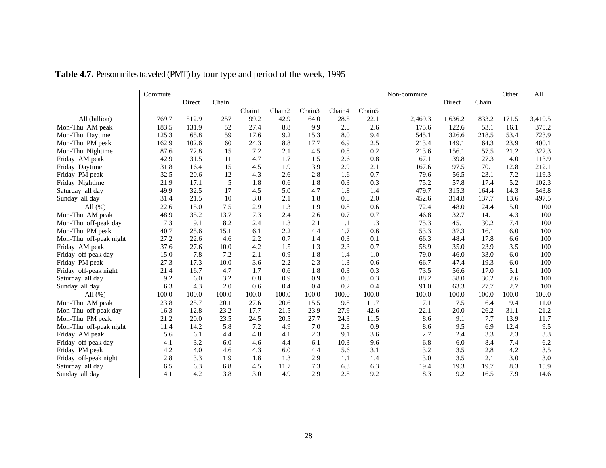|                        | Commute |        |       |        |        |        |        |                   | Non-commute      |         |       | Other | All     |
|------------------------|---------|--------|-------|--------|--------|--------|--------|-------------------|------------------|---------|-------|-------|---------|
|                        |         | Direct | Chain |        |        |        |        |                   |                  | Direct  | Chain |       |         |
|                        |         |        |       | Chain1 | Chain2 | Chain3 | Chain4 | Chain5            |                  |         |       |       |         |
| All (billion)          | 769.7   | 512.9  | 257   | 99.2   | 42.9   | 64.0   | 28.5   | $\overline{22.1}$ | 2,469.3          | 1,636.2 | 833.2 | 171.5 | 3,410.5 |
| Mon-Thu AM peak        | 183.5   | 131.9  | 52    | 27.4   | 8.8    | 9.9    | 2.8    | 2.6               | 175.6            | 122.6   | 53.1  | 16.1  | 375.2   |
| Mon-Thu Daytime        | 125.3   | 65.8   | 59    | 17.6   | 9.2    | 15.3   | 8.0    | 9.4               | 545.1            | 326.6   | 218.5 | 53.4  | 723.9   |
| Mon-Thu PM peak        | 162.9   | 102.6  | 60    | 24.3   | 8.8    | 17.7   | 6.9    | 2.5               | 213.4            | 149.1   | 64.3  | 23.9  | 400.1   |
| Mon-Thu Nightime       | 87.6    | 72.8   | 15    | 7.2    | 2.1    | 4.5    | 0.8    | 0.2               | 213.6            | 156.1   | 57.5  | 21.2  | 322.3   |
| Friday AM peak         | 42.9    | 31.5   | 11    | 4.7    | 1.7    | 1.5    | 2.6    | 0.8               | 67.1             | 39.8    | 27.3  | 4.0   | 113.9   |
| Friday Daytime         | 31.8    | 16.4   | 15    | 4.5    | 1.9    | 3.9    | 2.9    | 2.1               | 167.6            | 97.5    | 70.1  | 12.8  | 212.1   |
| Friday PM peak         | 32.5    | 20.6   | 12    | 4.3    | 2.6    | 2.8    | 1.6    | 0.7               | 79.6             | 56.5    | 23.1  | 7.2   | 119.3   |
| Friday Nightime        | 21.9    | 17.1   | 5     | 1.8    | 0.6    | 1.8    | 0.3    | 0.3               | 75.2             | 57.8    | 17.4  | 5.2   | 102.3   |
| Saturday all day       | 49.9    | 32.5   | 17    | 4.5    | 5.0    | 4.7    | 1.8    | 1.4               | 479.7            | 315.3   | 164.4 | 14.3  | 543.8   |
| Sunday all day         | 31.4    | 21.5   | 10    | 3.0    | 2.1    | 1.8    | 0.8    | 2.0               | 452.6            | 314.8   | 137.7 | 13.6  | 497.5   |
| All $(\% )$            | 22.6    | 15.0   | 7.5   | 2.9    | 1.3    | 1.9    | 0.8    | 0.6               | 72.4             | 48.0    | 24.4  | 5.0   | 100     |
| Mon-Thu AM peak        | 48.9    | 35.2   | 13.7  | 7.3    | 2.4    | 2.6    | 0.7    | 0.7               | 46.8             | 32.7    | 14.1  | 4.3   | 100     |
| Mon-Thu off-peak day   | 17.3    | 9.1    | 8.2   | 2.4    | 1.3    | 2.1    | 1.1    | 1.3               | 75.3             | 45.1    | 30.2  | 7.4   | 100     |
| Mon-Thu PM peak        | 40.7    | 25.6   | 15.1  | 6.1    | 2.2    | 4.4    | 1.7    | 0.6               | 53.3             | 37.3    | 16.1  | 6.0   | 100     |
| Mon-Thu off-peak night | 27.2    | 22.6   | 4.6   | 2.2    | 0.7    | 1.4    | 0.3    | 0.1               | 66.3             | 48.4    | 17.8  | 6.6   | 100     |
| Friday AM peak         | 37.6    | 27.6   | 10.0  | 4.2    | 1.5    | 1.3    | 2.3    | 0.7               | 58.9             | 35.0    | 23.9  | 3.5   | 100     |
| Friday off-peak day    | 15.0    | 7.8    | 7.2   | 2.1    | 0.9    | 1.8    | 1.4    | 1.0               | 79.0             | 46.0    | 33.0  | 6.0   | 100     |
| Friday PM peak         | 27.3    | 17.3   | 10.0  | 3.6    | 2.2    | 2.3    | 1.3    | 0.6               | 66.7             | 47.4    | 19.3  | 6.0   | 100     |
| Friday off-peak night  | 21.4    | 16.7   | 4.7   | 1.7    | 0.6    | 1.8    | 0.3    | 0.3               | 73.5             | 56.6    | 17.0  | 5.1   | 100     |
| Saturday all day       | 9.2     | 6.0    | 3.2   | 0.8    | 0.9    | 0.9    | 0.3    | 0.3               | 88.2             | 58.0    | 30.2  | 2.6   | 100     |
| Sunday all day         | 6.3     | 4.3    | 2.0   | 0.6    | 0.4    | 0.4    | 0.2    | 0.4               | 91.0             | 63.3    | 27.7  | 2.7   | 100     |
| All $(\% )$            | 100.0   | 100.0  | 100.0 | 100.0  | 100.0  | 100.0  | 100.0  | 100.0             | 100.0            | 100.0   | 100.0 | 100.0 | 100.0   |
| Mon-Thu AM peak        | 23.8    | 25.7   | 20.1  | 27.6   | 20.6   | 15.5   | 9.8    | 11.7              | $\overline{7.1}$ | 7.5     | 6.4   | 9.4   | 11.0    |
| Mon-Thu off-peak day   | 16.3    | 12.8   | 23.2  | 17.7   | 21.5   | 23.9   | 27.9   | 42.6              | 22.1             | 20.0    | 26.2  | 31.1  | 21.2    |
| Mon-Thu PM peak        | 21.2    | 20.0   | 23.5  | 24.5   | 20.5   | 27.7   | 24.3   | 11.5              | 8.6              | 9.1     | 7.7   | 13.9  | 11.7    |
| Mon-Thu off-peak night | 11.4    | 14.2   | 5.8   | 7.2    | 4.9    | 7.0    | 2.8    | 0.9               | 8.6              | 9.5     | 6.9   | 12.4  | 9.5     |
| Friday AM peak         | 5.6     | 6.1    | 4.4   | 4.8    | 4.1    | 2.3    | 9.1    | 3.6               | 2.7              | 2.4     | 3.3   | 2.3   | 3.3     |
| Friday off-peak day    | 4.1     | 3.2    | 6.0   | 4.6    | 4.4    | 6.1    | 10.3   | 9.6               | 6.8              | 6.0     | 8.4   | 7.4   | 6.2     |
| Friday PM peak         | 4.2     | 4.0    | 4.6   | 4.3    | 6.0    | 4.4    | 5.6    | 3.1               | 3.2              | 3.5     | 2.8   | 4.2   | 3.5     |
| Friday off-peak night  | 2.8     | 3.3    | 1.9   | 1.8    | 1.3    | 2.9    | 1.1    | 1.4               | 3.0              | 3.5     | 2.1   | 3.0   | 3.0     |
| Saturday all day       | 6.5     | 6.3    | 6.8   | 4.5    | 11.7   | 7.3    | 6.3    | 6.3               | 19.4             | 19.3    | 19.7  | 8.3   | 15.9    |
| Sunday all day         | 4.1     | 4.2    | 3.8   | 3.0    | 4.9    | 2.9    | 2.8    | 9.2               | 18.3             | 19.2    | 16.5  | 7.9   | 14.6    |

**Table 4.7.** Person miles traveled (PMT) by tour type and period of the week, 1995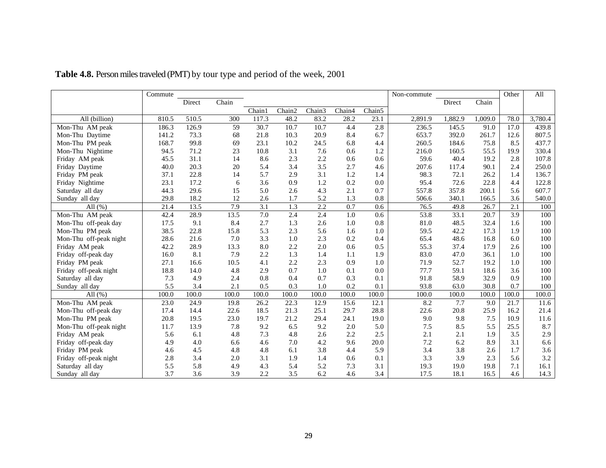|                        | Commute |        |       |        |        |        |        |        | Non-commute |         |         | Other | All     |
|------------------------|---------|--------|-------|--------|--------|--------|--------|--------|-------------|---------|---------|-------|---------|
|                        |         | Direct | Chain |        |        |        |        |        |             | Direct  | Chain   |       |         |
|                        |         |        |       | Chain1 | Chain2 | Chain3 | Chain4 | Chain5 |             |         |         |       |         |
| All (billion)          | 810.5   | 510.5  | 300   | 117.3  | 48.2   | 83.2   | 28.2   | 23.1   | 2,891.9     | 1,882.9 | 1.009.0 | 78.0  | 3,780.4 |
| Mon-Thu AM peak        | 186.3   | 126.9  | 59    | 30.7   | 10.7   | 10.7   | 4.4    | 2.8    | 236.5       | 145.5   | 91.0    | 17.0  | 439.8   |
| Mon-Thu Daytime        | 141.2   | 73.3   | 68    | 21.8   | 10.3   | 20.9   | 8.4    | 6.7    | 653.7       | 392.0   | 261.7   | 12.6  | 807.5   |
| Mon-Thu PM peak        | 168.7   | 99.8   | 69    | 23.1   | 10.2   | 24.5   | 6.8    | 4.4    | 260.5       | 184.6   | 75.8    | 8.5   | 437.7   |
| Mon-Thu Nightime       | 94.5    | 71.2   | 23    | 10.8   | 3.1    | 7.6    | 0.6    | 1.2    | 216.0       | 160.5   | 55.5    | 19.9  | 330.4   |
| Friday AM peak         | 45.5    | 31.1   | 14    | 8.6    | 2.3    | 2.2    | 0.6    | 0.6    | 59.6        | 40.4    | 19.2    | 2.8   | 107.8   |
| Friday Daytime         | 40.0    | 20.3   | 20    | 5.4    | 3.4    | 3.5    | 2.7    | 4.6    | 207.6       | 117.4   | 90.1    | 2.4   | 250.0   |
| Friday PM peak         | 37.1    | 22.8   | 14    | 5.7    | 2.9    | 3.1    | 1.2    | 1.4    | 98.3        | 72.1    | 26.2    | 1.4   | 136.7   |
| Friday Nightime        | 23.1    | 17.2   | 6     | 3.6    | 0.9    | 1.2    | 0.2    | 0.0    | 95.4        | 72.6    | 22.8    | 4.4   | 122.8   |
| Saturday all day       | 44.3    | 29.6   | 15    | 5.0    | 2.6    | 4.3    | 2.1    | 0.7    | 557.8       | 357.8   | 200.1   | 5.6   | 607.7   |
| Sunday all day         | 29.8    | 18.2   | 12    | 2.6    | 1.7    | 5.2    | 1.3    | 0.8    | 506.6       | 340.1   | 166.5   | 3.6   | 540.0   |
| All $(\% )$            | 21.4    | 13.5   | 7.9   | 3.1    | 1.3    | 2.2    | 0.7    | 0.6    | 76.5        | 49.8    | 26.7    | 2.1   | 100     |
| Mon-Thu AM peak        | 42.4    | 28.9   | 13.5  | 7.0    | 2.4    | 2.4    | 1.0    | 0.6    | 53.8        | 33.1    | 20.7    | 3.9   | 100     |
| Mon-Thu off-peak day   | 17.5    | 9.1    | 8.4   | 2.7    | 1.3    | 2.6    | 1.0    | 0.8    | 81.0        | 48.5    | 32.4    | 1.6   | 100     |
| Mon-Thu PM peak        | 38.5    | 22.8   | 15.8  | 5.3    | 2.3    | 5.6    | 1.6    | 1.0    | 59.5        | 42.2    | 17.3    | 1.9   | 100     |
| Mon-Thu off-peak night | 28.6    | 21.6   | 7.0   | 3.3    | 1.0    | 2.3    | 0.2    | 0.4    | 65.4        | 48.6    | 16.8    | 6.0   | 100     |
| Friday AM peak         | 42.2    | 28.9   | 13.3  | 8.0    | 2.2    | 2.0    | 0.6    | 0.5    | 55.3        | 37.4    | 17.9    | 2.6   | 100     |
| Friday off-peak day    | 16.0    | 8.1    | 7.9   | 2.2    | 1.3    | 1.4    | 1.1    | 1.9    | 83.0        | 47.0    | 36.1    | 1.0   | 100     |
| Friday PM peak         | 27.1    | 16.6   | 10.5  | 4.1    | 2.2    | 2.3    | 0.9    | 1.0    | 71.9        | 52.7    | 19.2    | 1.0   | 100     |
| Friday off-peak night  | 18.8    | 14.0   | 4.8   | 2.9    | 0.7    | 1.0    | 0.1    | 0.0    | 77.7        | 59.1    | 18.6    | 3.6   | 100     |
| Saturday all day       | 7.3     | 4.9    | 2.4   | 0.8    | 0.4    | 0.7    | 0.3    | 0.1    | 91.8        | 58.9    | 32.9    | 0.9   | 100     |
| Sunday all day         | 5.5     | 3.4    | 2.1   | 0.5    | 0.3    | 1.0    | 0.2    | 0.1    | 93.8        | 63.0    | 30.8    | 0.7   | 100     |
| All $(\% )$            | 100.0   | 100.0  | 100.0 | 100.0  | 100.0  | 100.0  | 100.0  | 100.0  | 100.0       | 100.0   | 100.0   | 100.0 | 100.0   |
| Mon-Thu AM peak        | 23.0    | 24.9   | 19.8  | 26.2   | 22.3   | 12.9   | 15.6   | 12.1   | 8.2         | 7.7     | 9.0     | 21.7  | 11.6    |
| Mon-Thu off-peak day   | 17.4    | 14.4   | 22.6  | 18.5   | 21.3   | 25.1   | 29.7   | 28.8   | 22.6        | 20.8    | 25.9    | 16.2  | 21.4    |
| Mon-Thu PM peak        | 20.8    | 19.5   | 23.0  | 19.7   | 21.2   | 29.4   | 24.1   | 19.0   | 9.0         | 9.8     | 7.5     | 10.9  | 11.6    |
| Mon-Thu off-peak night | 11.7    | 13.9   | 7.8   | 9.2    | 6.5    | 9.2    | 2.0    | 5.0    | 7.5         | 8.5     | 5.5     | 25.5  | 8.7     |
| Friday AM peak         | 5.6     | 6.1    | 4.8   | 7.3    | 4.8    | 2.6    | 2.2    | 2.5    | 2.1         | 2.1     | 1.9     | 3.5   | 2.9     |
| Friday off-peak day    | 4.9     | 4.0    | 6.6   | 4.6    | 7.0    | 4.2    | 9.6    | 20.0   | 7.2         | 6.2     | 8.9     | 3.1   | 6.6     |
| Friday PM peak         | 4.6     | 4.5    | 4.8   | 4.8    | 6.1    | 3.8    | 4.4    | 5.9    | 3.4         | 3.8     | 2.6     | 1.7   | 3.6     |
| Friday off-peak night  | 2.8     | 3.4    | 2.0   | 3.1    | 1.9    | 1.4    | 0.6    | 0.1    | 3.3         | 3.9     | 2.3     | 5.6   | 3.2     |
| Saturday all day       | 5.5     | 5.8    | 4.9   | 4.3    | 5.4    | 5.2    | 7.3    | 3.1    | 19.3        | 19.0    | 19.8    | 7.1   | 16.1    |
| Sunday all day         | 3.7     | 3.6    | 3.9   | 2.2    | 3.5    | 6.2    | 4.6    | 3.4    | 17.5        | 18.1    | 16.5    | 4.6   | 14.3    |

**Table 4.8.** Person miles traveled (PMT) by tour type and period of the week, 2001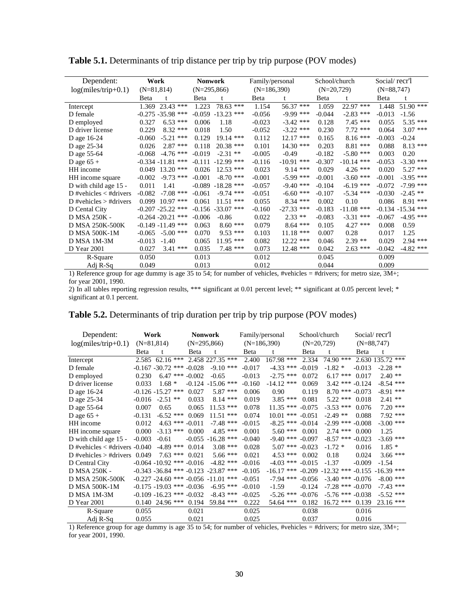| Dependent:                 | Work                    | Nonwork                         | Family/personal |                 | School/church |              | Social/recr'l |                      |
|----------------------------|-------------------------|---------------------------------|-----------------|-----------------|---------------|--------------|---------------|----------------------|
| $log(miles/trip+0.1)$      | $(N=81,814)$            | $(N=295,866)$                   | $(N=186,390)$   |                 | $(N=20,729)$  |              | $(N=88,747)$  |                      |
|                            | Beta                    | Beta                            | Beta            |                 | Beta          |              | Beta          | t                    |
| Intercept                  | 23.43 ***<br>1.369      | 78.63 ***<br>1.223              | 1.154           | 56.37 ***       | 1.059         | 22.97 ***    | 1.448         | 51.90 ***            |
| D female                   | $-0.275 - 35.98$ ***    | $-13.23$ ***<br>$-0.059$        | $-0.056$        | $-9.99$ ***     | $-0.044$      | $-2.83$ ***  | $-0.013$      | $-1.56$              |
| D employed                 | $6.53$ ***<br>0.327     | 0.006<br>1.18                   | $-0.023$        | $-3.42$ ***     | 0.128         | $7.45$ ***   | 0.055         | $5.35$ ***           |
| D driver license           | $8.32$ ***<br>0.229     | 0.018<br>1.50                   | $-0.052$        | $-3.22$ ***     | 0.230         | $7.72$ ***   | 0.064         | $3.07$ ***           |
| D age 16-24                | $-5.21$ ***<br>$-0.060$ | 0.129<br>$19.14$ ***            | 0.112           | $12.17$ ***     | 0.165         | $8.16***$    | $-0.003$      | $-0.24$              |
| D age 25-34                | $2.87$ ***<br>0.026     | $20.38$ ***<br>0.118            | 0.101           | $14.30$ ***     | 0.203         | 8.81 ***     | 0.088         | 8.13<br>***          |
| D age 55-64                | $-4.76$ ***<br>$-0.068$ | $-0.019$<br>$-2.31$ **          | $-0.005$        | $-0.49$         | $-0.182$      | $-5.80$ ***  | 0.003         | 0.20                 |
| D age $65 +$               | $-0.334 - 11.81$        | $-12.99$ ***<br>***<br>$-0.111$ | $-0.116$        | $-10.91$ ***    | $-0.307$      | $-10.14$ *** | $-0.053$      | $-3.30$ ***          |
| HH income                  | $13.20$ ***<br>0.049    | 0.026<br>$12.53$ ***            | 0.023           | $9.14***$       | 0.029         | $4.26$ ***   | 0.020         | $5.27$ ***           |
| HH income square           | $-9.73$ ***<br>$-0.002$ | $-8.70$ ***<br>$-0.001$         | $-0.001$        | $-5.99$ ***     | $-0.001$      | $-3.60$ ***  | $-0.001$      | $-3.95$ ***          |
| D with child age 15 -      | 0.011<br>1.41           | $-18.28$ ***<br>$-0.089$        | $-0.057$        | $-9.40$ ***     | $-0.104$      | $-6.19$ ***  | $-0.072$      | $-7.99$ ***          |
| D #vehicles $\lt$ #drivers | $-0.082$<br>$-7.08$ *** | $-0.061$<br>$-9.74$ ***         | $-0.051$        | $-6.60$ ***     | $-0.107$      | $-5.34$ ***  | $-0.030$      | $-2.45$ **           |
| D #vehicles $>$ #drivers   | $10.97$ ***<br>0.099    | $11.51$ ***<br>0.061            | 0.055           | $8.34$ ***      | 0.002         | 0.10         | 0.086         | $8.91***$            |
| D Cental City              | $-0.207 - 25.22$ ***    | $-0.156 - 33.07$ ***            | $-0.160$        | $-27.33$<br>*** | $-0.183$      | $-11.08$ *** |               | $-0.134 - 15.34$ *** |
| D MSA 250K -               | $-0.264 - 20.21$ ***    | $-0.006$<br>$-0.86$             | 0.022           | $2.33**$        | $-0.083$      | $-3.31$ ***  | $-0.067$      | $-4.95$ ***          |
| D MSA 250K-500K            | $-0.149 - 11.49$ ***    | $8.60$ ***<br>0.063             | 0.079           | $8.64$ ***      | 0.105         | $4.27$ ***   | 0.008         | 0.59                 |
| <b>D MSA 500K-1M</b>       | $-5.00$ ***<br>$-0.065$ | $9.53$ ***<br>0.070             | 0.103           | 11.18<br>***    | 0.007         | 0.28         | 0.017         | 1.25                 |
| D MSA 1M-3M                | $-0.013$<br>$-1.40$     | $11.95$ ***<br>0.065            | 0.082           | $12.22$ ***     | 0.046         | $2.39**$     | 0.029         | $2.94$ ***           |
| D Year 2001                | 0.027<br>$3.41$ ***     | $7.48$ ***<br>0.035             | 0.073           | 12.48 ***       | 0.042         | $2.63$ ***   | $-0.042$      | $-4.82$ ***          |
| R-Square                   | 0.050                   | 0.013                           | 0.012           |                 | 0.045         |              | 0.009         |                      |
| Adj R-Sq                   | 0.049                   | 0.013                           | 0.012           |                 | 0.044         |              | 0.009         |                      |

Table 5.1. Determinants of trip distance per trip by trip purpose (POV modes)

2) In all tables reporting regression results, \*\*\* significant at 0.01 percent level; \*\* significant at 0.05 percent level; \* significant at 0.1 percent.

| Dependent:                      |              | Work                 |                               | <b>Nonwork</b>                             | Family/personal |              | School/church |                      |          | Social/recr'l    |
|---------------------------------|--------------|----------------------|-------------------------------|--------------------------------------------|-----------------|--------------|---------------|----------------------|----------|------------------|
| $log(miles/trip+0.1)$           | $(N=81,814)$ |                      |                               | $(N=295,866)$                              | $(N=186,390)$   |              | $(N=20,729)$  |                      |          | $(N=88,747)$     |
|                                 | <b>B</b> eta | t                    | Beta                          |                                            | Beta            | t            | Beta          | t                    | Beta     | t                |
| Intercept                       | 2.585        | $62.16$ ***          |                               | 2.458 227.35 ***                           | 2.400           | 167.98 ***   | 2.334         | 74.90 ***            |          | 2.630 135.72 *** |
| D female                        |              | $-0.167 - 30.72$ *** | $-0.028$                      | $-9.10$ ***                                | $-0.017$        | $-4.33$ ***  | $-0.019$      | $-1.82*$             | $-0.013$ | $-2.28$ **       |
| D employed                      | 0.230        | $6.47$ ***           | $-0.002$                      | $-0.65$                                    | $-0.013$        | $-2.75$ ***  | 0.072         | $6.17***$            | 0.017    | $2.40**$         |
| D driver license                | 0.033        | $1.68*$              |                               | $-0.124 - 15.06$ ***                       | $-0.160$        | $-14.12$ *** | 0.069         | $3.42$ ***           | $-0.124$ | $-8.54$ ***      |
| D age 16-24                     |              | $-0.126 - 15.27$ *** | 0.027                         | $5.87$ ***                                 | 0.006           | 0.90         | 0.119         | $8.70***$            | $-0.073$ | $-8.91$ ***      |
| D age 25-34                     | $-0.016$     | $-2.51$ **           | 0.033                         | $8.14***$                                  | 0.019           | $3.85$ ***   | 0.081         | $5.22$ ***           | 0.018    | $2.41**$         |
| D age 55-64                     | 0.007        | 0.65                 | 0.065                         | $11.53$ ***                                | 0.078           | $11.35$ ***  | $-0.075$      | $-3.53$ ***          | 0.076    | $7.20$ ***       |
| D age $65 +$                    | $-0.131$     | $-6.52$ ***          | 0.069                         | $11.51$ ***                                | 0.074           | $10.01$ ***  | $-0.051$      | $-2.49$ **           | 0.088    | $7.92$ ***       |
| HH income                       | 0.012        | $4.63***$            | $-0.011$                      | $-7.48$ ***                                | $-0.015$        | $-8.25$ ***  | $-0.014$      | $-2.99$ ***          | $-0.008$ | $-3.00$ ***      |
| HH income square                | 0.000        | $-3.13$ ***          | 0.000                         | $4.85***$                                  | 0.001           | $5.60$ ***   | 0.001         | $2.74$ ***           | 0.000    | 1.25             |
| D with child age 15 -           | $-0.003$     | $-0.61$              | $-0.055$                      | $-16.28$ ***                               | $-0.040$        | $-9.40$ ***  | $-0.097$      | $-8.57$ ***          | $-0.023$ | $-3.69$ ***      |
| D #vehicles $<$ #drivers -0.040 |              | $-4.89$ ***          | 0.014                         | $3.08$ ***                                 | 0.028           | $5.07$ ***   | $-0.023$      | $-1.72*$             | 0.016    | $1.85*$          |
| D #vehicles $>$ #drivers        | 0.049        | $7.63***$            | 0.021                         | $5.66$ ***                                 | 0.021           | $4.53***$    | 0.002         | 0.18                 | 0.024    | $3.66$ ***       |
| D Central City                  |              |                      | $-0.064 - 10.92$ *** $-0.016$ | $-4.82$ ***                                | $-0.016$        | $-4.03$ ***  | $-0.015$      | $-1.37$              | $-0.009$ | $-1.54$          |
| D MSA 250K -                    |              |                      |                               | $-0.343 - 36.84$ *** $-0.123$ $-23.87$ *** | $-0.105$        | $-16.17$ *** |               | $-0.209 - 12.32$ *** | $-0.155$ | $-16.39$ ***     |
| D MSA 250K-500K                 |              |                      |                               | $-0.227 - 24.60$ *** $-0.056$ $-11.01$ *** | $-0.051$        | $-7.94$ ***  | $-0.056$      | $-3.40$ ***          | $-0.076$ | $-8.00$ ***      |
| <b>D MSA 500K-1M</b>            |              | $-0.175 - 19.03$ *** | $-0.036$                      | $-6.95$ ***                                | $-0.010$        | $-1.59$      | $-0.124$      | $-7.28$ ***          | $-0.070$ | $-7.43$ ***      |
| D MSA 1M-3M                     |              |                      | $-0.109 - 16.23$ *** $-0.032$ | $-8.43$<br>***                             | $-0.025$        | $-5.26$ ***  | $-0.076$      | $-5.76$ ***          | $-0.038$ | $-5.52$ ***      |
| D Year 2001                     | 0.140        | $24.96$ ***          | 0.194                         | 59.84 ***                                  | 0.222           | 54.64 ***    | 0.182         | $16.72$ ***          | 0.139    | $23.16$ ***      |
| R-Square                        | 0.055        |                      | 0.021                         |                                            | 0.025           |              | 0.038         |                      | 0.016    |                  |
| Adj R-Sq                        | 0.055        |                      | 0.021                         |                                            | 0.025           |              | 0.037         |                      | 0.016    |                  |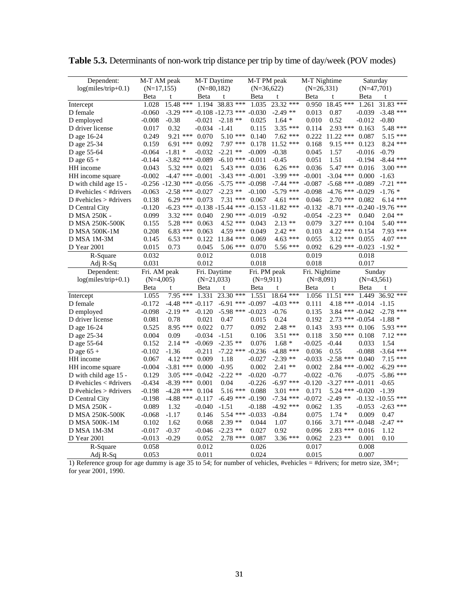| Dependent:               | M-T AM peak    |                               | M-T Daytime    |                                   | M-T PM peak    |                      | M-T Nightime   |                   | Saturday             |                        |
|--------------------------|----------------|-------------------------------|----------------|-----------------------------------|----------------|----------------------|----------------|-------------------|----------------------|------------------------|
| $log(miles/trip+0.1)$    | $(N=17, 155)$  |                               | $(N=80,182)$   |                                   | $(N=36,622)$   |                      | $(N=26,331)$   |                   | $(N=47,701)$         |                        |
|                          | Beta           | t                             | Beta           | t                                 | Beta           | t                    | Beta           | t                 | <b>B</b> eta         | t                      |
| Intercept                | 1.028          | 15.48 ***                     | 1.194          | 38.83 ***                         | 1.035          | 23.32 ***            | 0.950          | $18.45$ ***       | 1.261                | ***<br>31.83           |
| D female                 | $-0.060$       |                               |                | $-3.29$ *** $-0.108$ $-12.73$ *** | $-0.030$       | $-2.49$ **           | 0.013          | 0.87              | $-0.039$             | $-3.48$ ***            |
| D employed               | $-0.008$       | $-0.38$                       | $-0.021$       | $-2.18$ **                        | 0.025          | $1.64*$              | 0.010          | 0.52              | $-0.012$             | $-0.80$                |
| D driver license         | 0.017          | 0.32                          | $-0.034$       | $-1.41$                           | 0.115          | $3.35$ ***           | 0.114          | $2.93$ ***        | 0.163                | 5.48 ***               |
| D age 16-24              | 0.249          | 9.21 ***                      | 0.070          | $5.10***$                         | 0.140          | $7.62$ ***           |                | $0.222$ 11.22 *** | 0.087                | 5.15 ***               |
| D age 25-34              | 0.159          | $6.91$ *** $0.092$            |                | $7.97$ ***                        | 0.178          | $11.52$ ***          | 0.168          | 9.15 ***          | 0.123                | 8.24 ***               |
| D age 55-64              | $-0.064$       | $-1.81*$                      | $-0.032$       | $-2.21$ **                        | $-0.009$       | $-0.38$              | 0.045          | 1.57              | $-0.016$             | $-0.79$                |
| D age $65 +$             | $-0.144$       | $-3.82$ *** $-0.089$          |                | $-6.10$ ***                       | $-0.011$       | $-0.45$              | 0.051          | 1.51              | $-0.194$             | $-8.44$ ***            |
| HH income                | 0.043          | $5.32$ ***                    | 0.021          | 5.43 ***                          | 0.036          | $6.26$ ***           | 0.036          | 5.47 ***          | 0.016                | $3.00$ ***             |
| HH income square         | $-0.002$       | $-4.47$ *** $-0.001$          |                | $-3.43$ *** $-0.001$              |                | $-3.99$ ***          | $-0.001$       | $-3.04$ ***       | 0.000                | $-1.63$                |
| D with child age 15 -    |                | $-0.256 - 12.30$ *** $-0.056$ |                | $-5.75$ *** $-0.098$              |                | $-7.44$ ***          | $-0.087$       |                   | $-5.68$ *** $-0.089$ | $-7.21$ ***            |
| D #vehicles $<$ #drivers | $-0.063$       | $-2.58$ *** $-0.027$          |                | $-2.23$ **                        | $-0.100$       | $-5.79$ ***          | $-0.098$       |                   | $-4.76$ *** $-0.029$ | $-1.76*$               |
| D #vehicles $>$ #drivers | 0.138          | $6.29$ ***                    | 0.073          | $7.31***$                         | 0.067          | $4.61$ ***           | 0.046          | $2.70$ ***        | 0.082                | $6.14***$              |
| D Central City           | $-0.120$       |                               |                | $-6.23$ *** $-0.138$ $-15.44$ *** |                | $-0.153 - 11.82$ *** | $-0.132$       | $-8.71$           | *** $-0.240 - 19.76$ | ***                    |
| D MSA 250K -             | 0.099          | $3.32$ ***                    | 0.040          | $2.90$ ***                        | $-0.019$       | $-0.92$              | $-0.054$       | $-2.23$ **        | 0.040                | $2.04$ **              |
| D MSA 250K-500K          | 0.155          | $5.28$ ***                    | 0.063          | $4.52$ ***                        | 0.043          | $2.13**$             | 0.079          | $3.27$ ***        | 0.104                | 5.40 ***               |
|                          |                | $6.83***$                     |                | 4.59 ***                          | 0.049          | $2.42$ **            |                | 4.22 ***          | 0.154                | 7.93 ***               |
| <b>D MSA 500K-1M</b>     | 0.208          |                               | 0.063          |                                   |                |                      | 0.103          |                   |                      |                        |
| D MSA 1M-3M              | 0.145          | $6.53$ ***                    | 0.122          | 11.84 ***                         | 0.069          | $4.63$ ***           | 0.055          | $3.12$ ***        | 0.055                | 4.07 ***               |
| D Year 2001              | 0.015          | 0.73                          | 0.045          | $5.06$ ***                        | 0.070          | 5.56 ***             | 0.092          |                   | $6.29$ *** $-0.023$  | $-1.92*$               |
| R-Square                 | 0.032          |                               | 0.012          |                                   | 0.018          |                      | 0.019          |                   | 0.018                |                        |
| Adj R-Sq                 | 0.031          |                               | 0.012          |                                   | 0.018          |                      | 0.018          |                   | 0.017                |                        |
|                          |                |                               |                |                                   |                |                      |                |                   |                      |                        |
| Dependent:               | Fri. AM peak   |                               | Fri. Daytime   |                                   | Fri. PM peak   |                      | Fri. Nightime  |                   | Sunday               |                        |
| $log(miles/trip+0.1)$    | $(N=4,005)$    |                               | $(N=21,033)$   |                                   | $(N=9,911)$    |                      | $(N=8,091)$    |                   | $(N=43,561)$         |                        |
|                          | Beta           | t                             | Beta           | t                                 | Beta           | t                    | Beta           | t                 | Beta                 | t                      |
| Intercept                | 1.055          | 7.95 ***                      | 1.331          | 23.30 ***                         | 1.551          | 18.64 ***            | 1.056          | $11.51$ ***       | 1.449                | 36.92 ***              |
| D female                 | $-0.172$       | $-4.48$ *** $-0.117$          |                | $-6.91$ ***                       | $-0.097$       | $-4.03$ ***          | 0.111          |                   | $4.18$ *** $-0.014$  | $-1.15$                |
| D employed               | $-0.098$       | $-2.19**$                     | $-0.120$       | $-5.98$ ***                       | $-0.023$       | $-0.76$              | 0.135          |                   | $3.84$ *** $-0.042$  | $-2.78$<br>***         |
| D driver license         | 0.081          | 0.78                          | 0.021          | 0.47                              | 0.015          | 0.24                 | 0.192          |                   | $2.73$ *** $-0.054$  | $-1.88*$               |
| D age 16-24              | 0.525          | $8.95***$                     | 0.022          | 0.77                              | 0.092          | $2.48**$             | 0.143          | $3.93***$         | 0.106                | 5.93 ***               |
| D age 25-34              | 0.004          | 0.09                          | $-0.034$       | $-1.51$                           | 0.106          | $3.51$ ***           | 0.118          | $3.50$ ***        | 0.108                | $7.12$ ***             |
| D age 55-64              | 0.152          | $2.14**$                      | $-0.069$       | $-2.35$ **                        | 0.076          | $1.68*$              | $-0.025$       | $-0.44$           | 0.033                | 1.54                   |
| D age $65 +$             | $-0.102$       | $-1.36$                       | $-0.211$       | $-7.22$ ***                       | $-0.236$       | $-4.88$ ***          | 0.036          | 0.55              | $-0.088$             | $-3.64$ ***            |
| HH income                | 0.067          | $4.12$ *** 0.009              |                | 1.18                              | $-0.027$       | $-2.39$ **           | $-0.033$       | $-2.58$ ***       | 0.040                | $7.15***$              |
|                          | $-0.004$       |                               | 0.000          | $-0.95$                           | 0.002          | $2.41**$             | 0.002          | $2.84$ ***        | $-0.002$             | $-6.29$ ***            |
| HH income square         | 0.129          | $-3.81$ ***                   | $-0.042$       | $-2.22$ **                        | $-0.020$       | $-0.77$              | $-0.022$       | $-0.76$           | $-0.075$             |                        |
| D with child age 15 -    |                | $3.05$ ***                    |                |                                   |                | $-6.97$ ***          | $-0.120$       |                   | $-3.27$ *** $-0.011$ | $-5.86$ ***<br>$-0.65$ |
| D #vehicles $<$ #drivers | $-0.434$       | $-8.39$ ***                   | 0.001<br>0.104 | 0.04                              | $-0.226$       |                      |                |                   |                      |                        |
| D #vehicles $>$ #drivers | $-0.198$       | $-4.28$ ***                   |                | 5.16 ***                          | 0.088          | $3.01$ ***           | 0.171          | $5.24$ ***        | $-0.020$             | $-1.39$                |
| D Central City           | $-0.198$       | $-4.88$ *** $-0.117$          |                | $-6.49$ *** $-0.190$              |                | $-7.34$ ***          | $-0.072$       | $-2.49$ **        |                      | $-0.132 - 10.55$ ***   |
| D MSA 250K -             | 0.089          | 1.32                          | $-0.040$       | $-1.51$                           | $-0.188$       | $-4.92$ ***          | 0.062          | 1.35              | $-0.053$             | $-2.63$ ***            |
| D MSA 250K-500K          | $-0.068$       | $-1.17$                       | 0.146          | $5.54$ ***                        | $-0.033$       | $-0.84$              | 0.075          | $1.74*$           | 0.009                | 0.47                   |
| <b>D MSA 500K-1M</b>     | 0.102          | 1.62                          | 0.068          | $2.39**$                          | 0.044          | 1.07                 | 0.166          | $3.71***$         | $-0.048$             | $-2.47$ **             |
| D MSA 1M-3M              | $-0.017$       | $-0.37$                       | $-0.046$       | $-2.23$ **                        | 0.027          | 0.92                 | 0.096          | $2.83$ ***        | 0.016                | 1.12                   |
| D Year 2001              | $-0.013$       | -0.29                         | 0.052          | $2.78$ ***                        | 0.087          | 3.36 ***             | 0.062          | $2.23$ **         | 0.001                | 0.10                   |
| R-Square<br>Adj R-Sq     | 0.058<br>0.053 |                               | 0.012<br>0.011 |                                   | 0.026<br>0.024 |                      | 0.017<br>0.015 |                   | 0.008<br>0.007       |                        |

**Table 5.3.** Determinants of non-work trip distance per trip by time of day/week (POV modes)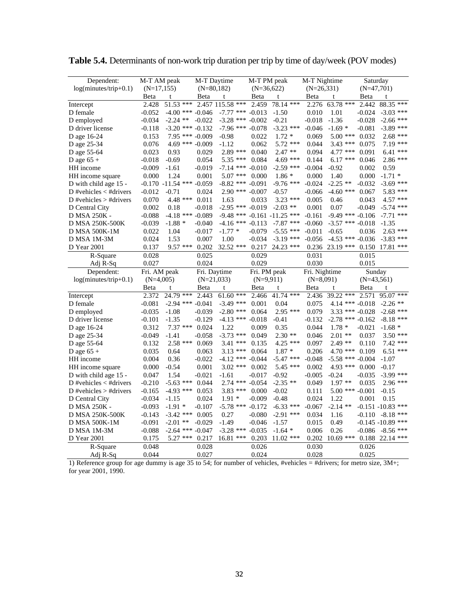| Dependent:                                | M-T AM peak    |                               | M-T Daytime    |                      | M-T PM peak    |                      | M-T Nightime   |             | Saturday             |                             |
|-------------------------------------------|----------------|-------------------------------|----------------|----------------------|----------------|----------------------|----------------|-------------|----------------------|-----------------------------|
| $log(minutes/trip+0.1)$                   | $(N=17, 155)$  |                               | $(N=80,182)$   |                      | $(N=36,622)$   |                      | $(N=26,331)$   |             | $(N=47,701)$         |                             |
|                                           | Beta           | t                             | Beta           | t                    | Beta           | t                    | Beta           | t           | Beta                 | t                           |
| Intercept                                 | 2.428          | $51.53$ ***                   |                | 2.457 115.58 ***     | 2.459          | 78.14 ***            | 2.276          | 63.78 ***   | 2.442                | ***<br>88.35                |
| D female                                  | $-0.052$       | $-4.00$ *** $-0.046$          |                | $-7.77$ *** $-0.013$ |                | $-1.50$              | 0.010          | 1.01        | $-0.024$             | ***<br>$-3.03$              |
| D employed                                | $-0.034$       | $-2.24$ **                    | $-0.022$       | $-3.28$ ***          | $-0.002$       | $-0.21$              | $-0.018$       | $-1.36$     | $-0.028$             | $-2.66$ ***                 |
| D driver license                          | $-0.118$       | $-3.20$ *** $-0.132$          |                | $-7.96$ ***          | $-0.078$       | $-3.23$ ***          | $-0.046$       | $-1.69*$    | $-0.081$             | $-3.89$ ***                 |
| D age 16-24                               | 0.153          | 7.95 *** -0.009               |                | $-0.98$              | 0.022          | $1.72 *$             | 0.069          | $5.00$ ***  | 0.032                | $2.68$ ***                  |
| D age 25-34                               | 0.076          | $4.69$ *** $-0.009$           |                | $-1.12$              | 0.062          | $5.72$ ***           | 0.044          | $3.43$ ***  | 0.075                | $7.19***$                   |
| D age 55-64                               | 0.023          | 0.93                          | 0.029          | 2.89 ***             | 0.040          | $2.47**$             | 0.094          | $4.77$ ***  | 0.091                | $6.41$ ***                  |
| D age $65 +$                              | $-0.018$       | $-0.69$                       | 0.054          | $5.35$ ***           | 0.084          | $4.69$ ***           | 0.144          | $6.17***$   | 0.046                | 2.86 ***                    |
| HH income                                 | $-0.009$       | $-1.61$                       | $-0.019$       | $-7.14$ *** $-0.010$ |                | $-2.59$ ***          | $-0.004$       | $-0.92$     | 0.002                | 0.59                        |
| HH income square                          | 0.000          | 1.24                          | 0.001          | $5.07$ ***           | 0.000          | $1.86*$              | 0.000          | 1.40        | 0.000                | $-1.71*$                    |
| D with child age 15 -                     |                | $-0.170 - 11.54$ *** $-0.059$ |                | $-8.82$ *** $-0.091$ |                | $-9.76$ ***          | $-0.024$       | $-2.25$ **  | $-0.032$             | $-3.69$ ***                 |
| D #vehicles $<$ #drivers                  | -0.012         | $-0.71$                       | 0.024          | $2.90$ *** $-0.007$  |                | $-0.57$              | $-0.066$       | $-4.60$ *** | 0.067                | 5.83 ***                    |
| D #vehicles $>$ #drivers                  | 0.070          | 4.48 ***                      | 0.011          | 1.63                 | 0.033          | $3.23$ ***           | 0.005          | 0.46        | 0.043                | 4.57 ***                    |
| D Central City                            | 0.002          | 0.18                          | $-0.018$       | $-2.95$ ***          | $-0.019$       | $-2.03$ **           | 0.001          | 0.07        | $-0.049$             | $-5.74$ ***                 |
| D MSA 250K -                              | $-0.088$       | $-4.18$ *** $-0.089$          |                | $-9.48$ ***          |                | $-0.161 - 11.25$ *** | $-0.161$       | $-9.49$ *** | $-0.106$             | ***<br>$-7.71$              |
| D MSA 250K-500K                           | $-0.039$       | $-1.88*$                      | $-0.040$       | $-4.16$ ***          | $-0.113$       | $-7.87$ ***          | $-0.060$       |             | $-3.57$ *** $-0.018$ | $-1.35$                     |
| D MSA 500K-1M                             | 0.022          | 1.04                          | $-0.017$       | $-1.77*$             | $-0.079$       | $-5.55$ ***          | $-0.011$       | $-0.65$     | 0.036                | $2.63$ ***                  |
|                                           |                |                               |                |                      |                | $-3.19$ ***          |                | $-4.53$ *** |                      | $-3.83$ ***                 |
| D MSA 1M-3M                               | 0.024          | 1.53                          | 0.007          | 1.00                 | $-0.034$       |                      | $-0.056$       |             | $-0.036$             | ***                         |
| D Year 2001                               | 0.137          | 9.57 ***                      | 0.202          | 32.52 ***            | 0.217          | 24.23 ***            | 0.236          | $23.19$ *** | 0.150                | 17.81                       |
| R-Square                                  | 0.028          |                               | 0.025          |                      | 0.029          |                      | 0.031          |             | 0.015                |                             |
| Adj R-Sq                                  | 0.027          |                               | 0.024          |                      | 0.029          |                      | 0.030          |             | 0.015                |                             |
|                                           |                |                               |                |                      |                |                      |                |             |                      |                             |
| Dependent:                                | Fri. AM peak   |                               | Fri. Daytime   |                      |                | Fri. PM peak         | Fri. Nightime  |             | Sunday               |                             |
| log(minutes/trip+0.1)                     | $(N=4,005)$    |                               |                | $(N=21,033)$         | $(N=9,911)$    |                      | $(N=8,091)$    |             | $(N=43,561)$         |                             |
|                                           | Beta           | t                             | Beta           | t                    | Beta           | t                    | Beta           | t           | Beta                 | t                           |
| Intercept                                 | 2.372          | $24.79$ ***                   | 2.443          | $61.60$ ***          | 2.466          | 41.74 ***            | 2.436          | 39.22 ***   | 2.571                | 95.07 ***                   |
| D female                                  | $-0.081$       | $-2.94$ ***                   | $-0.041$       | $-3.49$ ***          | 0.001          | 0.04                 | 0.075          |             | 4.14 *** $-0.018$    | $-2.26$ **                  |
| D employed                                | -0.035         | $-1.08$                       | $-0.039$       | $-2.80$ ***          | 0.064          | $2.95$ ***           | 0.079          | $3.33***$   | $-0.028$             | $-2.68$ ***                 |
| D driver license                          | $-0.101$       | $-1.35$                       | $-0.129$       | $-4.13$ *** $-0.018$ |                | $-0.41$              | $-0.132$       |             | $-2.78$ *** $-0.162$ | $-8.18$ ***                 |
| D age 16-24                               | 0.312          | $7.37***$                     | 0.024          | 1.22                 | 0.009          | 0.35                 | 0.044          | $1.78*$     | $-0.021$             | $-1.68*$                    |
| D age 25-34                               | -0.049         | $-1.41$                       | $-0.058$       | $-3.73$ ***          | 0.049          | $2.30**$             | 0.046          | $2.01$ **   | 0.037                | $3.50$ ***                  |
| D age 55-64                               | 0.132          | $2.58$ ***                    | 0.069          | $3.41$ ***           | 0.135          | $4.25$ ***           | 0.097          | $2.49**$    | 0.110                | $7.42$ ***                  |
| D age $65 +$                              | 0.035          | 0.64                          | 0.063          | $3.13***$            | 0.064          | $1.87*$              | 0.206          | $4.70$ ***  | 0.109                | $6.51$ ***                  |
| HH income                                 | 0.004          | 0.36                          | $-0.022$       | $-4.12$ ***          | $-0.044$       | $-5.47$ ***          | $-0.048$       | $-5.58$ *** | $-0.004$             | $-1.07$                     |
|                                           | 0.000          | $-0.54$                       | 0.001          | $3.02$ ***           | 0.002          | 5.45 ***             | 0.002          | 4.93 ***    | 0.000                | $-0.17$                     |
| HH income square<br>D with child age 15 - | 0.047          | 1.54                          | $-0.021$       | $-1.61$              | $-0.017$       | $-0.92$              | $-0.005$       | $-0.24$     | $-0.035$             |                             |
| D #vehicles $<$ #drivers                  | $-0.210$       |                               | 0.044          | $2.74$ ***           | $-0.054$       | $-2.35$ **           | 0.049          | $1.97**$    | 0.035                | $-3.99$ ***<br>2.96 ***     |
| D #vehicles $>$ #drivers                  | $-0.165$       | $-5.63$ ***                   | 0.053          |                      | 0.000          | $-0.02$              | 0.111          |             | $-0.001$             | $-0.15$                     |
|                                           |                | $-4.93$ ***                   |                | $3.83$ ***           |                |                      |                | $5.00$ ***  |                      |                             |
| D Central City                            | $-0.034$       | $-1.15$                       | 0.024          | $1.91*$              | $-0.009$       | $-0.48$              | 0.024          | 1.22        | 0.001                | 0.15                        |
| D MSA 250K -                              | $-0.093$       | $-1.91*$                      | $-0.107$       | $-5.78$ ***          | $-0.172$       | $-6.33$ ***          | $-0.067$       | $-2.14$ **  |                      | $-0.151 - 10.83$ ***<br>*** |
| D MSA 250K-500K                           | $-0.143$       | $-3.42$ ***                   | 0.005          | 0.27                 | $-0.080$       | $-2.91$ ***          | 0.034          | 1.16        | $-0.110$             | $-8.18$<br>***              |
| <b>D MSA 500K-1M</b>                      | $-0.091$       | $-2.01$ **                    | $-0.029$       | $-1.49$              | $-0.046$       | $-1.57$              | 0.015          | 0.49        | $-0.145 - 10.89$     | ***                         |
| D MSA 1M-3M                               | $-0.088$       | $-2.64$ *** $-0.047$<br>***   |                | $-3.28$ ***          | $-0.035$       | $-1.64*$             | 0.006          | 0.26        | $-0.086$             | $-8.56$                     |
| D Year 2001                               | 0.175          | 5.27                          | 0.217          | 16.81 ***            | 0.203          | $11.02$ ***          | 0.202          | $10.69$ *** |                      | 0.188 22.14 ***             |
| R-Square<br>Adj R-Sq                      | 0.048<br>0.044 |                               | 0.028<br>0.027 |                      | 0.026<br>0.024 |                      | 0.030<br>0.028 |             | 0.026<br>0.025       |                             |

**Table 5.4.** Determinants of non-work trip duration per trip by time of day/week (POV modes)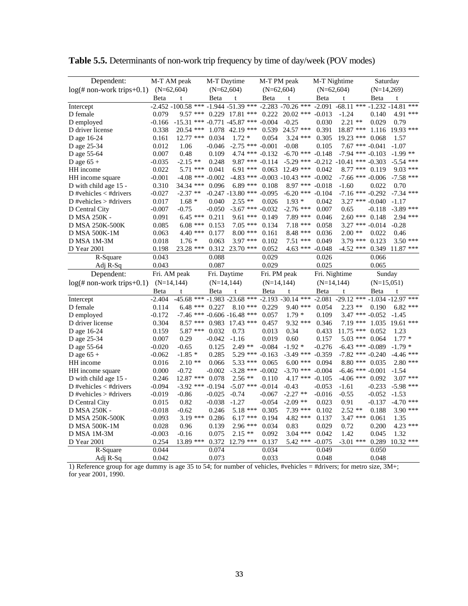| Dependent:                                     | M-T AM peak                  |                                             | M-T Daytime   |                               | M-T PM peak   |                                   |               | M-T Nightime                  | Saturday     |                      |
|------------------------------------------------|------------------------------|---------------------------------------------|---------------|-------------------------------|---------------|-----------------------------------|---------------|-------------------------------|--------------|----------------------|
| $log(\text{\# non-work trips}+0.1)$ (N=62,604) |                              |                                             | $(N=62,604)$  |                               | $(N=62,604)$  |                                   |               | $(N=62,604)$                  | $(N=14,269)$ |                      |
|                                                | Beta                         | t                                           | Beta          | t                             | Beta          | t                                 | Beta          | t                             | Beta         | t                    |
| Intercept                                      |                              | $-2.452 - 100.58$ ***                       |               | $-1.944 - 51.39$ ***          |               | $-2.283 - 70.26$ ***              | $-2.091$      | $-68.11$ ***                  |              | $-1.232 - 14.81$ *** |
| D female                                       | 0.079                        | 9.57 ***                                    |               | $0.229$ 17.81 ***             | 0.222         | $20.02$ ***                       | $-0.013$      | $-1.24$                       | 0.140        | 4.91 ***             |
| D employed                                     | $-0.166$                     | $-15.31$ *** $-0.771$ $-45.87$ *** $-0.004$ |               |                               |               | $-0.25$                           | 0.030         | $2.21$ **                     | 0.029        | 0.79                 |
| D driver license                               | 0.338                        | 20.54 ***                                   | 1.078         | $42.19$ ***                   | 0.539         | 24.57 ***                         | 0.391         | 18.87 ***                     | 1.116        | $19.93$ ***          |
| D age 16-24                                    | 0.161                        | 12.77 ***                                   | 0.034         | $1.72*$                       | 0.054         | $3.24$ ***                        | 0.305         | 19.23 ***                     | 0.068        | 1.57                 |
| D age 25-34                                    | 0.012                        | 1.06                                        | $-0.046$      | $-2.75$ *** $-0.001$          |               | $-0.08$                           | 0.105         | $7.67$ *** $-0.041$           |              | $-1.07$              |
| D age 55-64                                    | 0.007                        | 0.48                                        | 0.109         | $4.74$ *** $-0.132$           |               | $-6.70$ ***                       | $-0.148$      | $-7.94$ *** $-0.103$          |              | $-1.99$ **           |
| D age $65 +$                                   | $-0.035$                     | $-2.15$ **                                  | 0.248         | $9.87$ *** $-0.114$           |               | $-5.29$ ***                       |               | $-0.212 - 10.41$ *** $-0.303$ |              | $-5.54$ ***          |
| HH income                                      | 0.022                        | $5.71$ ***                                  | 0.041         | $6.91***$                     | 0.063         | $12.49$ ***                       | 0.042         | $8.77$ ***                    | 0.119        | 9.03<br>***          |
| HH income square                               | $-0.001$                     | $-4.08$ *** $-0.002$                        |               |                               |               | $-4.83$ *** $-0.003$ $-10.43$ *** | $-0.002$      | $-7.66$ *** $-0.006$          |              | $-7.58$ ***          |
| D with child age 15 -                          | 0.310                        | 34.34 ***                                   | 0.096         | $6.89***$                     | 0.108         | $8.97***$                         | $-0.018$      | $-1.60$                       | 0.022        | 0.70                 |
| D #vehicles $\lt$ #drivers                     | $-0.027$                     | $-2.37$ **                                  |               | $-0.247 - 13.80$ *** $-0.095$ |               | $-6.20$ ***                       | $-0.104$      | $-7.16$ *** $-0.292$          |              | $-7.34$ ***          |
| D #vehicles $>$ #drivers                       | 0.017                        | $1.68*$                                     | 0.040         | $2.55**$                      | 0.026         | $1.93*$                           | 0.042         | $3.27$ *** $-0.040$           |              | $-1.17$              |
| D Central City                                 | $-0.007$                     | $-0.75$                                     | $-0.050$      | $-3.67$ ***                   | $-0.032$      | $-2.76$ ***                       | 0.007         | 0.65                          | $-0.118$     | $-3.89$ ***          |
| D MSA 250K -                                   | 0.091                        | $6.45***$                                   | 0.211         | $9.61$ ***                    | 0.149         | $7.89$ ***                        | 0.046         | $2.60$ ***                    | 0.148        | 2.94 ***             |
| D MSA 250K-500K                                | 0.085                        | $6.08$ ***                                  | 0.153         | $7.05$ ***                    | 0.134         | $7.18$ ***                        | 0.058         | $3.27$ *** -0.014             |              | $-0.28$              |
| <b>D MSA 500K-1M</b>                           | 0.063                        | 4.40 ***                                    | 0.177         | $8.00$ ***                    | 0.161         | $8.48$ ***                        | 0.036         | $2.00**$                      | 0.022        | 0.46                 |
| D MSA 1M-3M                                    | 0.018                        | $1.76*$                                     | 0.063         | $3.97$ ***                    | 0.102         | 7.51 ***                          | 0.049         | $3.79$ ***                    | 0.123        | $3.50$ ***           |
| D Year 2001                                    | 0.198                        | 23.28 ***                                   |               | $0.312$ 23.70 ***             | 0.052         | $4.63***$                         | $-0.048$      | $-4.52$ ***                   | 0.349        | $11.87$ ***          |
| R-Square                                       | 0.043                        |                                             | 0.088         |                               | 0.029         |                                   | 0.026         |                               | 0.066        |                      |
| Adj R-Sq                                       | 0.043                        |                                             | 0.087         |                               | 0.029         |                                   | 0.025         |                               | 0.065        |                      |
|                                                |                              |                                             |               |                               |               |                                   |               |                               |              |                      |
| Dependent:                                     |                              |                                             | Fri. Daytime  |                               | Fri. PM peak  |                                   | Fri. Nightime |                               | Sunday       |                      |
| $log(\text{\# non-wordk trips}+0.1)$           | Fri. AM peak<br>$(N=14,144)$ |                                             | $(N=14, 144)$ |                               | $(N=14, 144)$ |                                   |               | $(N=14, 144)$                 | $(N=15,051)$ |                      |
|                                                | Beta                         | t                                           | Beta          | t                             | Beta          | t                                 | Beta          | t                             | Beta         | t                    |
| Intercept                                      | $-2.404$                     | $-45.68$ ***                                |               | $-1.983 - 23.68$ ***          |               | $-2.193 - 30.14$ ***              | $-2.081$      | -29.12 *** -1.034 -12.97 ***  |              |                      |
| D female                                       | 0.114                        | $6.48$ ***                                  | 0.227         | ***<br>8.10                   | 0.229         | $9.40$ ***                        | 0.054         | $2.23$ **                     | 0.190        | $6.82$ ***           |
| D employed                                     | $-0.172$                     | $-7.46$ *** $-0.606$ $-16.48$               |               | ***                           | 0.057         | $1.79*$                           | 0.109         | $3.47$ *** $-0.052$           |              | $-1.45$              |
| D driver license                               | 0.304                        | ***<br>8.57                                 | 0.983         | $17.43$ ***                   | 0.457         | $9.32$ ***                        | 0.346         | $7.19$ ***                    | 1.035        | 19.61 ***            |
|                                                | 0.159                        | 5.87 ***                                    | 0.032         | 0.73                          | 0.013         | 0.34                              | 0.433         | $11.75$ ***                   | 0.052        | 1.23                 |
| D age 16-24<br>D age 25-34                     | 0.007                        | 0.29                                        | $-0.042$      | $-1.16$                       | 0.019         | 0.60                              | 0.157         | $5.03$ ***                    | 0.064        | $1.77*$              |
| D age 55-64                                    | $-0.020$                     | $-0.65$                                     | 0.125         | $2.49**$                      | $-0.084$      | $-1.92*$                          | $-0.276$      | $-6.43$ *** $-0.089$          |              | $-1.79*$             |
| D age $65 +$                                   | $-0.062$                     | $-1.85*$                                    | 0.285         | 5.29 ***                      | $-0.163$      | $-3.49$ ***                       | $-0.359$      | $-7.82$ *** $-0.240$          |              | $-4.46$ ***          |
| HH income                                      | 0.016                        | $2.10**$                                    | 0.066         | $5.33$ ***                    | 0.065         | $6.00$ ***                        | 0.094         | $8.80***$                     | 0.035        | $2.80$ ***           |
| HH income square                               | 0.000                        | $-0.72$                                     | $-0.002$      | $-3.28$ *** $-0.002$          |               | $-3.70$ ***                       | $-0.004$      | $-6.46$ *** $-0.001$          |              | $-1.54$              |
| D with child age 15 -                          | 0.246                        | 12.87 ***                                   | 0.078         | $2.56$ **                     | 0.110         | $4.17***$                         | $-0.105$      | $-4.06$ ***                   | 0.092        | $3.07$ ***           |
| D #vehicles $<$ #drivers                       | $-0.094$                     | $-3.92$ ***                                 | $-0.194$      | $-5.07$ ***                   | $-0.014$      | $-0.43$                           | $-0.053$      | $-1.61$                       | $-0.233$     | $-5.98$ ***          |
| D #vehicles $>$ #drivers                       | -0.019                       | $-0.86$                                     | $-0.025$      | $-0.74$                       | $-0.067$      | $-2.27$ **                        | $-0.016$      | $-0.55$                       | $-0.052$     | $-1.53$              |
| D Central City                                 | 0.015                        | 0.82                                        | $-0.038$      | $-1.27$                       | $-0.054$      | $-2.09$ **                        | 0.023         | 0.91                          | $-0.137$     | $-4.70$ ***          |
| D MSA 250K -                                   | $-0.018$                     | $-0.62$                                     | 0.246         | 5.18 ***                      | 0.305         | $7.39$ ***                        | 0.102         | $2.52**$                      | 0.188        | 3.90 ***             |
| D MSA 250K-500K                                | 0.093                        | 3.19 ***                                    | 0.286         | $6.17$ ***                    | 0.194         | $4.82$ ***                        | 0.137         | 3.47 ***                      | 0.061        | 1.35                 |
| <b>D MSA 500K-1M</b>                           | 0.028                        | 0.96                                        | 0.139         | 2.96 ***                      | 0.034         | 0.83                              | 0.029         | 0.72                          | 0.200        | $4.23$ ***           |
| D MSA 1M-3M                                    | $-0.003$                     | $-0.16$                                     | 0.075         | $2.15**$                      | 0.092         | $3.04$ ***                        | 0.042         | 1.42                          | 0.045        | 1.32                 |
| D Year 2001                                    | 0.254                        | 13.89 ***                                   | 0.372         | 12.79 ***                     | 0.137         | $5.42$ ***                        | $-0.075$      | $-3.01$ ***                   | 0.289        | $10.32$ ***          |
| R-Square                                       | 0.044                        |                                             | 0.074         |                               | 0.034         |                                   | 0.049         |                               | 0.050        |                      |

**Table 5.5.** Determinants of non-work trip frequency by time of day/week (POV modes)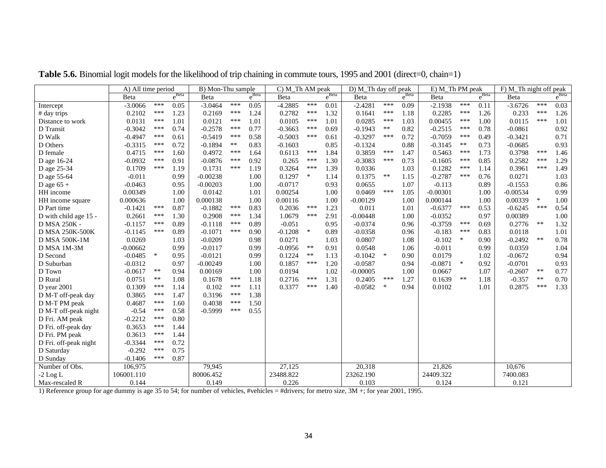|                       | A) All time period |        |                   | B) Mon-Thu sample |       |                   | C) M_Th AM peak |            |                   | D) M_Th day off peak |        |                   | E) M_Th PM peak |        |                   | F) M_Th night off peak |        |            |
|-----------------------|--------------------|--------|-------------------|-------------------|-------|-------------------|-----------------|------------|-------------------|----------------------|--------|-------------------|-----------------|--------|-------------------|------------------------|--------|------------|
|                       | Beta               |        | $e^{\text{Beta}}$ | Beta              |       | $e^{\text{Beta}}$ | Beta            |            | $e^{\text{Beta}}$ | Beta                 |        | $e^{\text{Beta}}$ | Beta            |        | $e^{\text{Beta}}$ | Beta                   |        | $e^{Beta}$ |
| Intercept             | $-3.0066$          | ***    | 0.05              | $-3.0464$         | ***   | 0.05              | $-4.2885$       | ***        | 0.01              | $-2.4281$            | ***    | 0.09              | $-2.1938$       | ***    | 0.11              | $-3.6726$              | ***    | 0.03       |
| # day trips           | 0.2102             | ***    | 1.23              | 0.2169            | ***   | 1.24              | 0.2782          | ***        | 1.32              | 0.1641               | ***    | 1.18              | 0.2285          | ***    | 1.26              | 0.233                  | ***    | 1.26       |
| Distance to work      | 0.0131             | ***    | 1.01              | 0.0121            | ***   | 1.01              | 0.0105          | ***        | 1.01              | 0.0285               | ***    | 1.03              | 0.00455         | ***    | 1.00              | 0.0115                 | ***    | 1.01       |
| D Transit             | $-0.3042$          | ***    | 0.74              | $-0.2578$         | ***   | 0.77              | $-0.3663$       | ***        | 0.69              | $-0.1943$            | $***$  | 0.82              | $-0.2515$       | ***    | 0.78              | $-0.0861$              |        | 0.92       |
| D Walk                | $-0.4947$          | ***    | 0.61              | $-0.5419$         | ***   | 0.58              | $-0.5003$       | ***        | 0.61              | $-0.3297$            | ***    | 0.72              | $-0.7059$       | ***    | 0.49              | $-0.3421$              |        | 0.71       |
| D Others              | $-0.3315$          | ***    | 0.72              | $-0.1894$         | $***$ | 0.83              | $-0.1603$       |            | 0.85              | $-0.1324$            |        | 0.88              | $-0.3145$       | $***$  | 0.73              | $-0.0685$              |        | 0.93       |
| D female              | 0.4715             | ***    | 1.60              | 0.4972            | ***   | 1.64              | 0.6113          | ***        | 1.84              | 0.3859               | ***    | 1.47              | 0.5463          | ***    | 1.73              | 0.3798                 | ***    | 1.46       |
| D age 16-24           | $-0.0932$          | ***    | 0.91              | $-0.0876$         | ***   | 0.92              | 0.265           | ***        | 1.30              | $-0.3083$            | ***    | 0.73              | $-0.1605$       | ***    | 0.85              | 0.2582                 | ***    | 1.29       |
| D age 25-34           | 0.1709             | ***    | 1.19              | 0.1731            | ***   | 1.19              | 0.3264          | $***$      | 1.39              | 0.0336               |        | 1.03              | 0.1282          | ***    | 1.14              | 0.3961                 | ***    | 1.49       |
| D age 55-64           | $-0.011$           |        | 0.99              | $-0.00238$        |       | 1.00              | 0.1297          | $\ast$     | 1.14              | 0.1375               | $***$  | 1.15              | $-0.2787$       | ***    | 0.76              | 0.0271                 |        | 1.03       |
| D age $65 +$          | $-0.0463$          |        | 0.95              | $-0.00203$        |       | 1.00              | $-0.0717$       |            | 0.93              | 0.0655               |        | 1.07              | $-0.113$        |        | 0.89              | $-0.1553$              |        | 0.86       |
| HH income             | 0.00349            |        | 1.00              | 0.0142            |       | 1.01              | 0.00254         |            | 1.00              | 0.0469               | ***    | 1.05              | $-0.00301$      |        | 1.00              | $-0.00534$             |        | 0.99       |
| HH income square      | 0.000636           |        | 1.00              | 0.000138          |       | 1.00              | 0.00116         |            | 1.00              | $-0.00129$           |        | 1.00              | 0.000144        |        | 1.00              | 0.00339                | $\ast$ | 1.00       |
| D Part time           | $-0.1421$          | ***    | 0.87              | $-0.1882$         | ***   | 0.83              | 0.2036          | ***        | 1.23              | 0.011                |        | 1.01              | $-0.6377$       | ***    | 0.53              | $-0.6245$              | ***    | 0.54       |
| D with child age 15 - | 0.2661             | ***    | 1.30              | 0.2908            | ***   | 1.34              | 1.0679          | ***        | 2.91              | $-0.00448$           |        | 1.00              | $-0.0352$       |        | 0.97              | 0.00389                |        | 1.00       |
| D MSA 250K -          | $-0.1157$          | ***    | 0.89              | $-0.1118$         | ***   | 0.89              | $-0.051$        |            | 0.95              | $-0.0374$            |        | 0.96              | $-0.3759$       | ***    | 0.69              | 0.2776                 | $***$  | 1.32       |
| D MSA 250K-500K       | $-0.1145$          | ***    | 0.89              | $-0.1071$         | ***   | 0.90              | $-0.1208$       | $\ast$     | 0.89              | $-0.0358$            |        | 0.96              | $-0.183$        | ***    | 0.83              | 0.0118                 |        | 1.01       |
| <b>D MSA 500K-1M</b>  | 0.0269             |        | 1.03              | $-0.0209$         |       | 0.98              | 0.0271          |            | 1.03              | 0.0807               |        | 1.08              | $-0.102$        | $\ast$ | 0.90              | $-0.2492$              | $**$   | 0.78       |
| D MSA 1M-3M           | $-0.00662$         |        | 0.99              | $-0.0117$         |       | 0.99              | $-0.0956$       | $***$      | 0.91              | 0.0548               |        | 1.06              | $-0.011$        |        | 0.99              | 0.0359                 |        | 1.04       |
| D Second              | $-0.0485$          | $\ast$ | 0.95              | $-0.0121$         |       | 0.99              | 0.1224          | $\ast\ast$ | 1.13              | $-0.1042$            | $\ast$ | 0.90              | 0.0179          |        | 1.02              | $-0.0672$              |        | 0.94       |
| D Suburban            | $-0.0312$          |        | 0.97              | $-0.00249$        |       | 1.00              | 0.1857          | ***        | 1.20              | $-0.0587$            |        | 0.94              | $-0.0871$       | $\ast$ | 0.92              | $-0.0701$              |        | 0.93       |
| D Town                | $-0.0617$          | $***$  | 0.94              | 0.00169           |       | 1.00              | 0.0194          |            | 1.02              | $-0.00005$           |        | 1.00              | 0.0667          |        | 1.07              | $-0.2607$              | $***$  | 0.77       |
| D Rural               | 0.0751             | $***$  | 1.08              | 0.1678            | ***   | 1.18              | 0.2716          | ***        | 1.31              | 0.2405               | ***    | 1.27              | 0.1639          | **     | 1.18              | $-0.357$               | $***$  | 0.70       |
| $D$ year 2001         | 0.1309             | ***    | 1.14              | 0.102             | ***   | 1.11              | 0.3377          | ***        | 1.40              | $-0.0582$            | $\ast$ | 0.94              | 0.0102          |        | 1.01              | 0.2875                 | ***    | 1.33       |
| D M-T off-peak day    | 0.3865             | ***    | 1.47              | 0.3196            | ***   | 1.38              |                 |            |                   |                      |        |                   |                 |        |                   |                        |        |            |
| D M-T PM peak         | 0.4687             | ***    | 1.60              | 0.4038            | ***   | 1.50              |                 |            |                   |                      |        |                   |                 |        |                   |                        |        |            |
| D M-T off-peak night  | $-0.54$            | ***    | 0.58              | $-0.5999$         | ***   | 0.55              |                 |            |                   |                      |        |                   |                 |        |                   |                        |        |            |
| D Fri. AM peak        | $-0.2212$          | ***    | 0.80              |                   |       |                   |                 |            |                   |                      |        |                   |                 |        |                   |                        |        |            |
| D Fri. off-peak day   | 0.3653             | ***    | 1.44              |                   |       |                   |                 |            |                   |                      |        |                   |                 |        |                   |                        |        |            |
| D Fri. PM peak        | 0.3613             | ***    | 1.44              |                   |       |                   |                 |            |                   |                      |        |                   |                 |        |                   |                        |        |            |
| D Fri. off-peak night | $-0.3344$          | ***    | 0.72              |                   |       |                   |                 |            |                   |                      |        |                   |                 |        |                   |                        |        |            |
| D Saturday            | $-0.292$           | ***    | 0.75              |                   |       |                   |                 |            |                   |                      |        |                   |                 |        |                   |                        |        |            |
| D Sunday              | $-0.1406$          | ***    | 0.87              |                   |       |                   |                 |            |                   |                      |        |                   |                 |        |                   |                        |        |            |
| Number of Obs.        | 106,975            |        |                   | 79,945            |       |                   | 27,125          |            |                   | 20,318               |        |                   | 21,826          |        |                   | 10,676                 |        |            |
| $-2$ Log L            | 106001.110         |        |                   | 80006.452         |       |                   | 23488.822       |            |                   | 23262.190            |        |                   | 24409.322       |        |                   | 7400.083               |        |            |
| Max-rescaled R        | 0.144              |        |                   | 0.149             |       |                   | 0.226           |            |                   | 0.103                |        |                   | 0.124           |        |                   | 0.121                  |        |            |

Table 5.6. Binomial logit models for the likelihood of trip chaining in commute tours, 1995 and 2001 (direct=0, chain=1)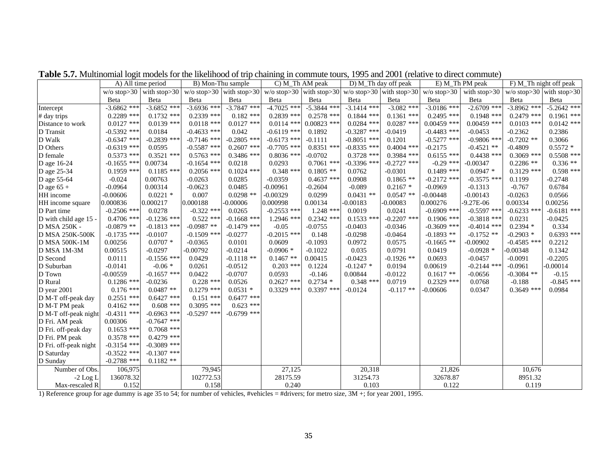|                       | A) All time period |                            | B) Mon-Thu sample |               | C) M_Th AM peak                                                            |               |               | D) M_Th day off peak |               | E) M_Th PM peak |               | F) M_Th night off peak   |
|-----------------------|--------------------|----------------------------|-------------------|---------------|----------------------------------------------------------------------------|---------------|---------------|----------------------|---------------|-----------------|---------------|--------------------------|
|                       |                    | $w/o$ stop>30 with stop>30 |                   |               | w/o stop>30 with stop>30 w/o stop>30 with stop>30 w/o stop>30 with stop>30 |               |               |                      | $w/o$ stop>30 | with stop>30    |               | w/o stop>30 with stop>30 |
|                       | Beta               | Beta                       | Beta              | Beta          | Beta                                                                       | Beta          | Beta          | Beta                 | Beta          | Beta            | Beta          | Beta                     |
| Intercept             | $-3.6862$ ***      | $-3.6852$ ***              | $-3.6936$ ***     | $-3.7847$ *** | $-4.7025$ ***                                                              | $-5.3844$ *** | $-3.1414$ *** | $-3.082$ ***         | $-3.0186$ *** | $-2.6709$ ***   | $-3.8962$ *** | $-5.2642$ ***            |
| # day trips           | $0.2289$ ***       | $0.1732$ ***               | $0.2339$ ***      | $0.182$ ***   | $0.2839$ ***                                                               | $0.2578$ ***  | $0.1844$ ***  | $0.1361$ ***         | $0.2495$ ***  | $0.1948$ ***    | $0.2479$ ***  | $0.1961$ ***             |
| Distance to work      | $0.0127$ ***       | $0.0139$ ***               | $0.0118$ ***      | $0.0127$ ***  | $0.0114$ ***                                                               | $0.00823$ *** | $0.0284$ ***  | $0.0287$ ***         | $0.00459$ *** | $0.00459$ ***   | $0.0103$ ***  | $0.0142$ ***             |
| D Transit             | $-0.5392$ ***      | 0.0184                     | $-0.4633$ ***     | 0.042         | $-0.6119$ ***                                                              | 0.1892        | $-0.3287$ *** | $-0.0419$            | $-0.4483$ *** | $-0.0453$       | $-0.2362$     | 0.2386                   |
| D Walk                | $-0.6347$ ***      | $-0.2839$ ***              | $-0.7146$ ***     | $-0.2805$ *** | $-0.6173$ ***                                                              | $-0.1111$     | $-0.8051$ *** | 0.1201               | $-0.5277$ *** | $-0.9806$ ***   | $-0.7202$ **  | 0.3066                   |
| D Others              | $-0.6319$ ***      | 0.0595                     | $-0.5587$ ***     | $0.2607$ ***  | $-0.7705$ ***                                                              | $0.8351$ ***  | $-0.8335$ *** | $0.4004$ ***         | $-0.2175$     | $-0.4521$ **    | $-0.4809$     | $0.5572*$                |
| D female              | $0.5373$ ***       | $0.3521$ ***               | $0.5763$ ***      | $0.3486$ ***  | $0.8036$ ***                                                               | $-0.0702$     | $0.3728$ ***  | $0.3984$ ***         | $0.6155$ ***  | $0.4438$ ***    | $0.3069$ ***  | $0.5508$ ***             |
| D age 16-24           | $-0.1655$ ***      | 0.00734                    | $-0.1654$ ***     | 0.0218        | 0.0293                                                                     | $0.7061$ ***  | $-0.3396$ *** | $-0.2727$ ***        | $-0.29$ ***   | $-0.00347$      | $0.2286$ **   | $0.336**$                |
| D age 25-34           | $0.1959$ ***       | $0.1185$ ***               | $0.2056$ ***      | $0.1024$ ***  | $0.348$ ***                                                                | $0.1805$ **   | 0.0762        | $-0.0301$            | $0.1489$ ***  | $0.0947*$       | $0.3129$ ***  | $0.598$ ***              |
| D age 55-64           | $-0.024$           | 0.00763                    | $-0.0263$         | 0.0285        | $-0.0359$                                                                  | $0.4637$ ***  | 0.0908        | $0.1865$ **          | $-0.2172$ *** | $-0.3575$ ***   | 0.1199        | $-0.2748$                |
| D age $65 +$          | $-0.0964$          | 0.00314                    | $-0.0623$         | 0.0485        | $-0.00961$                                                                 | $-0.2604$     | $-0.089$      | $0.2167*$            | $-0.0969$     | $-0.1313$       | $-0.767$      | 0.6784                   |
| HH income             | $-0.00606$         | $0.0221$ *                 | 0.007             | $0.0298$ **   | $-0.00329$                                                                 | 0.0299        | $0.0431$ **   | $0.0547**$           | $-0.00448$    | $-0.00143$      | $-0.0263$     | 0.0566                   |
| HH income square      | 0.000836           | 0.000217                   | 0.000188          | $-0.00006$    | 0.000998                                                                   | 0.00134       | $-0.00183$    | $-0.00083$           | 0.000276      | $-9.27E - 06$   | 0.00334       | 0.00256                  |
| D Part time           | $-0.2506$ ***      | 0.0278                     | $-0.322$ ***      | 0.0265        | $-0.2553$ ***                                                              | 1.248 ***     | 0.0019        | 0.0241               | $-0.6909$ *** | $-0.5597$ ***   | $-0.6233$ *** | $-0.6181$ ***            |
| D with child age 15 - | $0.4706$ ***       | $-0.1236$ ***              | $0.522$ ***       | $-0.1668$ *** | $1.2946$ ***                                                               | $0.2342$ ***  | $0.1533$ ***  | $-0.2207$ ***        | $0.1906$ ***  | $-0.3818$ ***   | 0.0231        | $-0.0425$                |
| D MSA 250K -          | $-0.0879$ **       | $-0.1813$ ***              | $-0.0987**$       | $-0.1479$ *** | $-0.05$                                                                    | $-0.0755$     | $-0.0403$     | $-0.0346$            | $-0.3609$ *** | $-0.4014$ ***   | $0.2394*$     | 0.334                    |
| D MSA 250K-500K       | $-0.1735$ ***      | $-0.0107$                  | $-0.1509$ ***     | $-0.0277$     | $-0.2015$ ***                                                              | 0.148         | $-0.0298$     | $-0.0464$            | $-0.1893$ **  | $-0.1752$ **    | $-0.2903*$    | $0.6393$ ***             |
| D MSA 500K-1M         | 0.00256            | $0.0707 *$                 | $-0.0365$         | 0.0101        | 0.0609                                                                     | $-0.1093$     | 0.0972        | 0.0575               | $-0.1665$ **  | $-0.00902$      | $-0.4585$ *** | 0.2212                   |
| D MSA 1M-3M           | 0.00515            | $-0.0297$                  | $-0.00792$        | $-0.0214$     | $-0.0906*$                                                                 | $-0.1022$     | 0.035         | 0.0791               | 0.0419        | $-0.0928$ *     | $-0.00348$    | 0.1342                   |
| D Second              | 0.0111             | $-0.1556$ ***              | 0.0429            | $-0.1118$ **  | $0.1467**$                                                                 | 0.00415       | $-0.0423$     | $-0.1926$ **         | 0.0693        | $-0.0457$       | $-0.0091$     | $-0.2205$                |
| D Suburban            | $-0.0141$          | $-0.06*$                   | 0.0261            | $-0.0512$     | $0.203$ ***                                                                | 0.1224        | $-0.1247$ *   | 0.0194               | 0.00619       | $-0.2144$ ***   | $-0.0961$     | $-0.00014$               |
| D Town                | $-0.00559$         | $-0.1657$ ***              | 0.0422            | $-0.0707$     | 0.0593                                                                     | $-0.146$      | 0.00844       | $-0.0122$            | $0.1617**$    | $-0.0656$       | $-0.3084$ **  | $-0.15$                  |
| D Rural               | $0.1286$ ***       | $-0.0236$                  | $0.228$ ***       | 0.0526        | $0.2627$ ***                                                               | $0.2734*$     | $0.348$ ***   | 0.0719               | $0.2329$ ***  | 0.0768          | $-0.188$      | $-0.845$ ***             |
| D year 2001           | $0.176$ ***        | $0.0487**$                 | $0.1279$ ***      | $0.0531$ *    | $0.3329$ ***                                                               | $0.3397$ ***  | $-0.0124$     | $-0.117**$           | $-0.00606$    | 0.0347          | $0.3649$ ***  | 0.0984                   |
| D M-T off-peak day    | $0.2551$ ***       | $0.6427$ ***               | $0.151$ ***       | $0.6477$ ***  |                                                                            |               |               |                      |               |                 |               |                          |
| D M-T PM peak         | $0.4162$ ***       | $0.608$ ***                | $0.3095$ ***      | $0.623$ ***   |                                                                            |               |               |                      |               |                 |               |                          |
| D M-T off-peak night  | $-0.4311$ ***      | $-0.6963$ ***              | $-0.5297$ ***     | $-0.6799$ *** |                                                                            |               |               |                      |               |                 |               |                          |
| D Fri. AM peak        | 0.00306            | $-0.7647$ ***              |                   |               |                                                                            |               |               |                      |               |                 |               |                          |
| D Fri. off-peak day   | $0.1653$ ***       | $0.7068$ ***               |                   |               |                                                                            |               |               |                      |               |                 |               |                          |
| D Fri. PM peak        | $0.3578$ ***       | $0.4279$ ***               |                   |               |                                                                            |               |               |                      |               |                 |               |                          |
| D Fri. off-peak night | $-0.3154$ ***      | $-0.3089$ ***              |                   |               |                                                                            |               |               |                      |               |                 |               |                          |
| D Saturday            | $-0.3522$ ***      | $-0.1307$ ***              |                   |               |                                                                            |               |               |                      |               |                 |               |                          |
| D Sunday              | $-0.2788$ ***      | $0.1182**$                 |                   |               |                                                                            |               |               |                      |               |                 |               |                          |
| Number of Obs.        | 106,975            |                            | 79,945            |               | 27,125                                                                     |               | 20,318        |                      | 21,826        |                 | 10,676        |                          |
| $-2$ Log L            | 136078.32          |                            | 102772.53         |               | 28175.59                                                                   |               | 31254.73      |                      | 32678.87      |                 | 8951.32       |                          |
| Max-rescaled R        | 0.152              |                            | 0.158             |               | 0.240                                                                      |               | 0.103         |                      | 0.122         |                 | 0.119         |                          |

**Table 5.7.** Multinomial logit models for the likelihood of trip chaining in commute tours, 1995 and 2001 (relative to direct commute)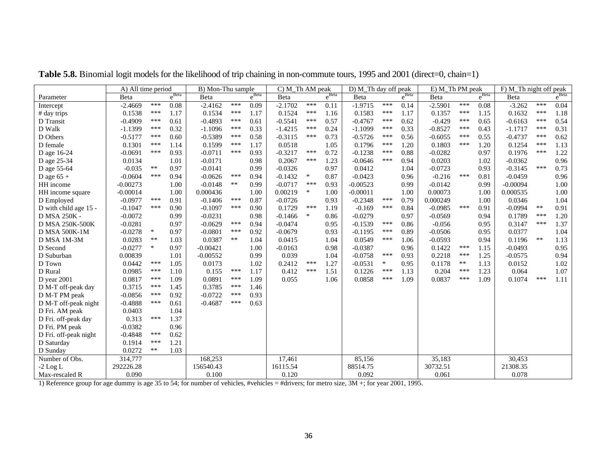|                       | A) All time period |            |                   | $\overline{B}$ ) Mon-Thu sample |     |            | C) M_Th AM peak |        |                   | D) M_Th day off peak |        |                   | E) M_Th PM peak |     |            | F) M_Th night off peak |       |            |
|-----------------------|--------------------|------------|-------------------|---------------------------------|-----|------------|-----------------|--------|-------------------|----------------------|--------|-------------------|-----------------|-----|------------|------------------------|-------|------------|
| Parameter             | <b>B</b> eta       |            | $e^{\text{Beta}}$ | Beta                            |     | $e^{Beta}$ | Beta            |        | $e^{\text{Beta}}$ | Beta                 |        | $e^{\text{Beta}}$ | Beta            |     | $e^{Beta}$ | Beta                   |       | $e^{Beta}$ |
| Intercept             | $-2.4669$          | ***        | 0.08              | $-2.4162$                       | *** | 0.09       | $-2.1702$       | ***    | 0.11              | $-1.9715$            | ***    | 0.14              | $-2.5901$       | *** | 0.08       | $-3.262$               | ***   | 0.04       |
| # day trips           | 0.1538             | ***        | 1.17              | 0.1534                          | *** | 1.17       | 0.1524          | ***    | 1.16              | 0.1583               | ***    | 1.17              | 0.1357          | *** | 1.15       | 0.1632                 | ***   | 1.18       |
| D Transit             | $-0.4909$          | ***        | 0.61              | $-0.4893$                       | *** | 0.61       | $-0.5541$       | ***    | 0.57              | $-0.4767$            | ***    | 0.62              | $-0.429$        | *** | 0.65       | $-0.6163$              | ***   | 0.54       |
| D Walk                | $-1.1399$          | ***        | 0.32              | $-1.1096$                       | *** | 0.33       | $-1.4215$       | ***    | 0.24              | $-1.1099$            | ***    | 0.33              | $-0.8527$       | *** | 0.43       | $-1.1717$              | ***   | 0.31       |
| D Others              | $-0.5177$          | ***        | 0.60              | $-0.5389$                       | *** | 0.58       | $-0.3115$       | ***    | 0.73              | $-0.5726$            | ***    | 0.56              | $-0.6055$       | *** | 0.55       | $-0.4737$              | ***   | 0.62       |
| D female              | 0.1301             | ***        | 1.14              | 0.1599                          | *** | 1.17       | 0.0518          |        | 1.05              | 0.1796               | ***    | 1.20              | 0.1803          | *** | 1.20       | 0.1254                 | ***   | 1.13       |
| D age 16-24           | $-0.0691$          | ***        | 0.93              | $-0.0711$                       | *** | 0.93       | $-0.3217$       | ***    | 0.72              | $-0.1238$            | ***    | 0.88              | $-0.0282$       |     | 0.97       | 0.1976                 | ***   | 1.22       |
| D age 25-34           | 0.0134             |            | 1.01              | $-0.0171$                       |     | 0.98       | 0.2067          | ***    | 1.23              | $-0.0646$            | ***    | 0.94              | 0.0203          |     | 1.02       | $-0.0362$              |       | 0.96       |
| D age 55-64           | $-0.035$           | $***$      | 0.97              | $-0.0141$                       |     | 0.99       | $-0.0326$       |        | 0.97              | 0.0412               |        | 1.04              | $-0.0723$       |     | 0.93       | $-0.3145$              | ***   | 0.73       |
| D age $65 +$          | $-0.0604$          | ***        | 0.94              | $-0.0626$                       | *** | 0.94       | $-0.1432$       | $\ast$ | 0.87              | $-0.0423$            |        | 0.96              | $-0.216$        | *** | 0.81       | $-0.0459$              |       | 0.96       |
| HH income             | $-0.00273$         |            | 1.00              | $-0.0148$                       | **  | 0.99       | $-0.0717$       | ***    | 0.93              | $-0.00523$           |        | 0.99              | $-0.0142$       |     | 0.99       | $-0.00094$             |       | 1.00       |
| HH income square      | $-0.00014$         |            | 1.00              | 0.000436                        |     | 1.00       | 0.00219         | $\ast$ | 1.00              | $-0.00011$           |        | 1.00              | 0.00073         |     | 1.00       | 0.000535               |       | 1.00       |
| D Employed            | $-0.0977$          | ***        | 0.91              | $-0.1406$                       | *** | 0.87       | $-0.0726$       |        | 0.93              | $-0.2348$            | ***    | 0.79              | 0.000249        |     | 1.00       | 0.0346                 |       | 1.04       |
| D with child age 15 - | $-0.1047$          | ***        | 0.90              | $-0.1097$                       | *** | 0.90       | 0.1729          | ***    | 1.19              | $-0.169$             | ***    | 0.84              | $-0.0985$       | *** | 0.91       | $-0.0994$              | $***$ | 0.91       |
| D MSA 250K -          | $-0.0072$          |            | 0.99              | $-0.0231$                       |     | 0.98       | $-0.1466$       | $\ast$ | 0.86              | $-0.0279$            |        | 0.97              | $-0.0569$       |     | 0.94       | 0.1789                 | ***   | 1.20       |
| D MSA 250K-500K       | $-0.0281$          |            | 0.97              | $-0.0629$                       | *** | 0.94       | $-0.0474$       |        | 0.95              | $-0.1539$            | ***    | 0.86              | $-0.056$        |     | 0.95       | 0.3147                 | ***   | 1.37       |
| <b>D MSA 500K-1M</b>  | $-0.0278$          | $\ast$     | 0.97              | $-0.0801$                       | *** | 0.92       | $-0.0679$       |        | 0.93              | $-0.1195$            | ***    | 0.89              | $-0.0506$       |     | 0.95       | 0.0377                 |       | 1.04       |
| D MSA 1M-3M           | 0.0283             | $***$      | 1.03              | 0.0387                          | **  | 1.04       | 0.0415          |        | 1.04              | 0.0549               | ***    | 1.06              | $-0.0593$       |     | 0.94       | 0.1196                 | $***$ | 1.13       |
| D Second              | $-0.0277$          | ∗          | 0.97              | $-0.00421$                      |     | 1.00       | $-0.0163$       |        | 0.98              | $-0.0387$            |        | 0.96              | 0.1422          | *** | 1.15       | $-0.0493$              |       | 0.95       |
| D Suburban            | 0.00839            |            | 1.01              | $-0.00552$                      |     | 0.99       | 0.039           |        | 1.04              | $-0.0758$            | ***    | 0.93              | 0.2218          | *** | 1.25       | $-0.0575$              |       | 0.94       |
| D Town                | 0.0442             | ***        | 1.05              | 0.0173                          |     | 1.02       | 0.2412          | ***    | 1.27              | $-0.0531$            | $\ast$ | 0.95              | 0.1178          | **  | 1.13       | 0.0152                 |       | 1.02       |
| D Rural               | 0.0985             | ***        | 1.10              | 0.155                           | *** | 1.17       | 0.412           | ***    | 1.51              | 0.1226               | ***    | 1.13              | 0.204           | *** | 1.23       | 0.064                  |       | 1.07       |
| D year $2001$         | 0.0817             | ***        | 1.09              | 0.0891                          | *** | 1.09       | 0.055           |        | 1.06              | 0.0858               | ***    | 1.09              | 0.0837          | *** | 1.09       | 0.1074                 | ***   | 1.11       |
| D M-T off-peak day    | 0.3715             | ***        | 1.45              | 0.3785                          | *** | 1.46       |                 |        |                   |                      |        |                   |                 |     |            |                        |       |            |
| D M-T PM peak         | $-0.0856$          | ***        | 0.92              | $-0.0722$                       | *** | 0.93       |                 |        |                   |                      |        |                   |                 |     |            |                        |       |            |
| D M-T off-peak night  | $-0.4888$          | ***        | 0.61              | $-0.4687$                       | *** | 0.63       |                 |        |                   |                      |        |                   |                 |     |            |                        |       |            |
| D Fri. AM peak        | 0.0403             |            | 1.04              |                                 |     |            |                 |        |                   |                      |        |                   |                 |     |            |                        |       |            |
| D Fri. off-peak day   | 0.313              | ***        | 1.37              |                                 |     |            |                 |        |                   |                      |        |                   |                 |     |            |                        |       |            |
| D Fri. PM peak        | $-0.0382$          |            | 0.96              |                                 |     |            |                 |        |                   |                      |        |                   |                 |     |            |                        |       |            |
| D Fri. off-peak night | $-0.4848$          | ***        | 0.62              |                                 |     |            |                 |        |                   |                      |        |                   |                 |     |            |                        |       |            |
| D Saturday            | 0.1914             | ***        | 1.21              |                                 |     |            |                 |        |                   |                      |        |                   |                 |     |            |                        |       |            |
| D Sunday              | 0.0272             | $\ast\ast$ | 1.03              |                                 |     |            |                 |        |                   |                      |        |                   |                 |     |            |                        |       |            |
| Number of Obs.        | 314,777            |            |                   | 168,253                         |     |            | 17,461          |        |                   | 85,156               |        |                   | 35,183          |     |            | 30,453                 |       |            |
| $-2$ Log L            | 292226.28          |            |                   | 156540.43                       |     |            | 16115.54        |        |                   | 88514.75             |        |                   | 30732.51        |     |            | 21308.35               |       |            |
| Max-rescaled R        | 0.090              |            |                   | 0.100                           |     |            | 0.120           |        |                   | 0.092                |        |                   | 0.061           |     |            | 0.078                  |       |            |

Table 5.8. Binomial logit models for the likelihood of trip chaining in non-commute tours, 1995 and 2001 (direct=0, chain=1)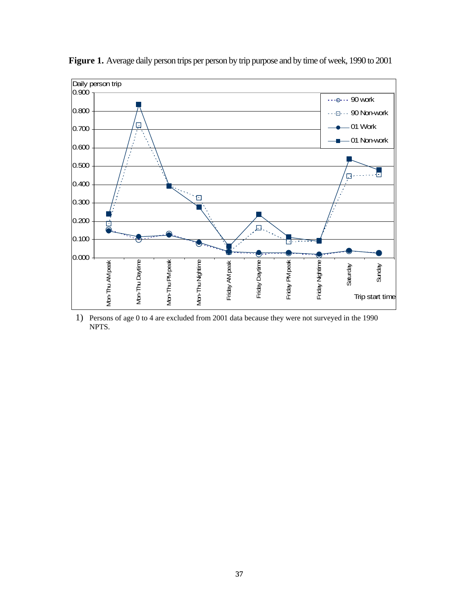

**Figure 1.** Average daily person trips per person by trip purpose and by time of week, 1990 to 2001

1) Persons of age 0 to 4 are excluded from 2001 data because they were not surveyed in the 1990 NPTS.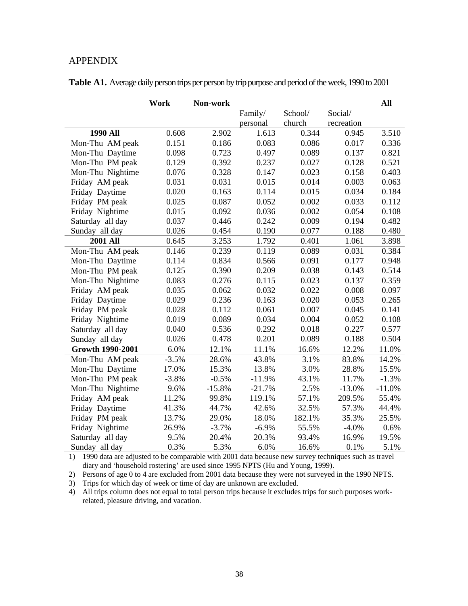# APPENDIX

|                         | Work    | Non-work |          |         |            | All      |
|-------------------------|---------|----------|----------|---------|------------|----------|
|                         |         |          | Family/  | School/ | Social/    |          |
|                         |         |          | personal | church  | recreation |          |
| <b>1990 All</b>         | 0.608   | 2.902    | 1.613    | 0.344   | 0.945      | 3.510    |
| Mon-Thu AM peak         | 0.151   | 0.186    | 0.083    | 0.086   | 0.017      | 0.336    |
| Mon-Thu Daytime         | 0.098   | 0.723    | 0.497    | 0.089   | 0.137      | 0.821    |
| Mon-Thu PM peak         | 0.129   | 0.392    | 0.237    | 0.027   | 0.128      | 0.521    |
| Mon-Thu Nightime        | 0.076   | 0.328    | 0.147    | 0.023   | 0.158      | 0.403    |
| Friday AM peak          | 0.031   | 0.031    | 0.015    | 0.014   | 0.003      | 0.063    |
| Friday Daytime          | 0.020   | 0.163    | 0.114    | 0.015   | 0.034      | 0.184    |
| Friday PM peak          | 0.025   | 0.087    | 0.052    | 0.002   | 0.033      | 0.112    |
| Friday Nightime         | 0.015   | 0.092    | 0.036    | 0.002   | 0.054      | 0.108    |
| Saturday all day        | 0.037   | 0.446    | 0.242    | 0.009   | 0.194      | 0.482    |
| Sunday all day          | 0.026   | 0.454    | 0.190    | 0.077   | 0.188      | 0.480    |
| <b>2001 All</b>         | 0.645   | 3.253    | 1.792    | 0.401   | 1.061      | 3.898    |
| Mon-Thu AM peak         | 0.146   | 0.239    | 0.119    | 0.089   | 0.031      | 0.384    |
| Mon-Thu Daytime         | 0.114   | 0.834    | 0.566    | 0.091   | 0.177      | 0.948    |
| Mon-Thu PM peak         | 0.125   | 0.390    | 0.209    | 0.038   | 0.143      | 0.514    |
| Mon-Thu Nightime        | 0.083   | 0.276    | 0.115    | 0.023   | 0.137      | 0.359    |
| Friday AM peak          | 0.035   | 0.062    | 0.032    | 0.022   | 0.008      | 0.097    |
| Friday Daytime          | 0.029   | 0.236    | 0.163    | 0.020   | 0.053      | 0.265    |
| Friday PM peak          | 0.028   | 0.112    | 0.061    | 0.007   | 0.045      | 0.141    |
| Friday Nightime         | 0.019   | 0.089    | 0.034    | 0.004   | 0.052      | 0.108    |
| Saturday all day        | 0.040   | 0.536    | 0.292    | 0.018   | 0.227      | 0.577    |
| Sunday all day          | 0.026   | 0.478    | 0.201    | 0.089   | 0.188      | 0.504    |
| <b>Growth 1990-2001</b> | 6.0%    | 12.1%    | 11.1%    | 16.6%   | 12.2%      | 11.0%    |
| Mon-Thu AM peak         | $-3.5%$ | 28.6%    | 43.8%    | 3.1%    | 83.8%      | 14.2%    |
| Mon-Thu Daytime         | 17.0%   | 15.3%    | 13.8%    | 3.0%    | 28.8%      | 15.5%    |
| Mon-Thu PM peak         | $-3.8%$ | $-0.5%$  | $-11.9%$ | 43.1%   | 11.7%      | $-1.3%$  |
| Mon-Thu Nightime        | 9.6%    | $-15.8%$ | $-21.7%$ | 2.5%    | $-13.0%$   | $-11.0%$ |
| Friday AM peak          | 11.2%   | 99.8%    | 119.1%   | 57.1%   | 209.5%     | 55.4%    |
| Friday Daytime          | 41.3%   | 44.7%    | 42.6%    | 32.5%   | 57.3%      | 44.4%    |
| Friday PM peak          | 13.7%   | 29.0%    | 18.0%    | 182.1%  | 35.3%      | 25.5%    |
| Friday Nightime         | 26.9%   | $-3.7%$  | $-6.9\%$ | 55.5%   | $-4.0%$    | 0.6%     |
| Saturday all day        | 9.5%    | 20.4%    | 20.3%    | 93.4%   | 16.9%      | 19.5%    |
| Sunday all day          | 0.3%    | 5.3%     | 6.0%     | 16.6%   | 0.1%       | 5.1%     |

|  |  | Table A1. Average daily person trips per person by trip purpose and period of the week, 1990 to 2001 |
|--|--|------------------------------------------------------------------------------------------------------|
|  |  |                                                                                                      |

1) 1990 data are adjusted to be comparable with 2001 data because new survey techniques such as travel diary and 'household rostering' are used since 1995 NPTS (Hu and Young, 1999).

2) Persons of age 0 to 4 are excluded from 2001 data because they were not surveyed in the 1990 NPTS.

3) Trips for which day of week or time of day are unknown are excluded.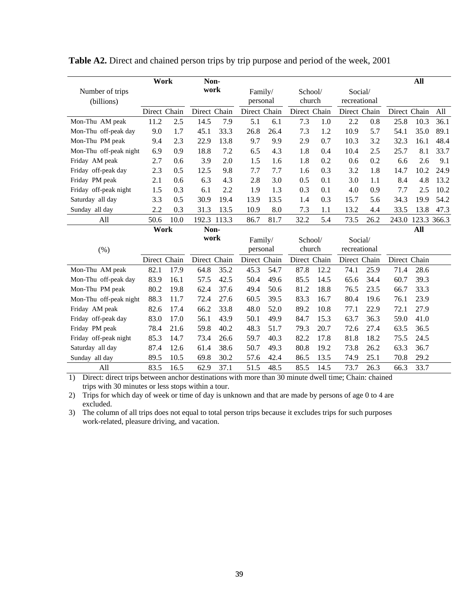|                        | Work         |      | Non-         |       |              |      |              |      |              |      |              | All         |      |
|------------------------|--------------|------|--------------|-------|--------------|------|--------------|------|--------------|------|--------------|-------------|------|
| Number of trips        |              |      | work         |       | Family/      |      | School/      |      | Social/      |      |              |             |      |
| (billions)             |              |      |              |       | personal     |      | church       |      | recreational |      |              |             |      |
|                        | Direct Chain |      | Direct Chain |       | Direct Chain |      | Direct Chain |      | Direct Chain |      | Direct Chain |             | All  |
| Mon-Thu AM peak        | 11.2         | 2.5  | 14.5         | 7.9   | 5.1          | 6.1  | 7.3          | 1.0  | 2.2          | 0.8  | 25.8         | 10.3        | 36.1 |
| Mon-Thu off-peak day   | 9.0          | 1.7  | 45.1         | 33.3  | 26.8         | 26.4 | 7.3          | 1.2  | 10.9         | 5.7  | 54.1         | 35.0        | 89.1 |
| Mon-Thu PM peak        | 9.4          | 2.3  | 22.9         | 13.8  | 9.7          | 9.9  | 2.9          | 0.7  | 10.3         | 3.2  | 32.3         | 16.1        | 48.4 |
| Mon-Thu off-peak night | 6.9          | 0.9  | 18.8         | 7.2   | 6.5          | 4.3  | 1.8          | 0.4  | 10.4         | 2.5  | 25.7         | 8.1         | 33.7 |
| Friday AM peak         | 2.7          | 0.6  | 3.9          | 2.0   | 1.5          | 1.6  | 1.8          | 0.2  | 0.6          | 0.2  | 6.6          | 2.6         | 9.1  |
| Friday off-peak day    | 2.3          | 0.5  | 12.5         | 9.8   | 7.7          | 7.7  | 1.6          | 0.3  | 3.2          | 1.8  | 14.7         | 10.2        | 24.9 |
| Friday PM peak         | 2.1          | 0.6  | 6.3          | 4.3   | 2.8          | 3.0  | 0.5          | 0.1  | 3.0          | 1.1  | 8.4          | 4.8         | 13.2 |
| Friday off-peak night  | 1.5          | 0.3  | 6.1          | 2.2   | 1.9          | 1.3  | 0.3          | 0.1  | 4.0          | 0.9  | 7.7          | 2.5         | 10.2 |
| Saturday all day       | 3.3          | 0.5  | 30.9         | 19.4  | 13.9         | 13.5 | 1.4          | 0.3  | 15.7         | 5.6  | 34.3         | 19.9        | 54.2 |
| Sunday all day         | 2.2          | 0.3  | 31.3         | 13.5  | 10.9         | 8.0  | 7.3          | 1.1  | 13.2         | 4.4  | 33.5         | 13.8        | 47.3 |
| All                    | 50.6         | 10.0 | 192.3        | 113.3 | 86.7         | 81.7 | 32.2         | 5.4  | 73.5         | 26.2 | 243.0        | 123.3 366.3 |      |
|                        | Work         |      | Non-         |       |              |      |              |      |              |      |              | All         |      |
|                        |              |      | work         |       | Family/      |      | School/      |      | Social/      |      |              |             |      |
| (% )                   |              |      |              |       | personal     |      | church       |      | recreational |      |              |             |      |
|                        | Direct Chain |      | Direct Chain |       | Direct Chain |      | Direct Chain |      | Direct Chain |      | Direct Chain |             |      |
| Mon-Thu AM peak        | 82.1         | 17.9 | 64.8         | 35.2  | 45.3         | 54.7 | 87.8         | 12.2 | 74.1         | 25.9 | 71.4         | 28.6        |      |
| Mon-Thu off-peak day   | 83.9         | 16.1 | 57.5         | 42.5  | 50.4         | 49.6 | 85.5         | 14.5 | 65.6         | 34.4 | 60.7         | 39.3        |      |
| Mon-Thu PM peak        | 80.2         | 19.8 | 62.4         | 37.6  | 49.4         | 50.6 | 81.2         | 18.8 | 76.5         | 23.5 | 66.7         | 33.3        |      |
| Mon-Thu off-peak night | 88.3         | 11.7 | 72.4         | 27.6  | 60.5         | 39.5 | 83.3         | 16.7 | 80.4         | 19.6 | 76.1         | 23.9        |      |
| Friday AM peak         | 82.6         | 17.4 | 66.2         | 33.8  | 48.0         | 52.0 | 89.2         | 10.8 | 77.1         | 22.9 | 72.1         | 27.9        |      |
| Friday off-peak day    | 83.0         | 17.0 | 56.1         | 43.9  | 50.1         | 49.9 | 84.7         | 15.3 | 63.7         | 36.3 | 59.0         | 41.0        |      |
| Friday PM peak         | 78.4         | 21.6 | 59.8         | 40.2  | 48.3         | 51.7 | 79.3         | 20.7 | 72.6         | 27.4 | 63.5         | 36.5        |      |
| Friday off-peak night  | 85.3         | 14.7 | 73.4         | 26.6  | 59.7         | 40.3 | 82.2         | 17.8 | 81.8         | 18.2 | 75.5         | 24.5        |      |
| Saturday all day       | 87.4         | 12.6 | 61.4         | 38.6  | 50.7         | 49.3 | 80.8         | 19.2 | 73.8         | 26.2 | 63.3         | 36.7        |      |
| Sunday all day         | 89.5         | 10.5 | 69.8         | 30.2  | 57.6         | 42.4 | 86.5         | 13.5 | 74.9         | 25.1 | 70.8         | 29.2        |      |
| All                    | 83.5         | 16.5 | 62.9         | 37.1  | 51.5         | 48.5 | 85.5         | 14.5 | 73.7         | 26.3 | 66.3         | 33.7        |      |

**Table A2.** Direct and chained person trips by trip purpose and period of the week, 2001

1) Direct: direct trips between anchor destinations with more than 30 minute dwell time; Chain: chained trips with 30 minutes or less stops within a tour.

2) Trips for which day of week or time of day is unknown and that are made by persons of age 0 to 4 are excluded.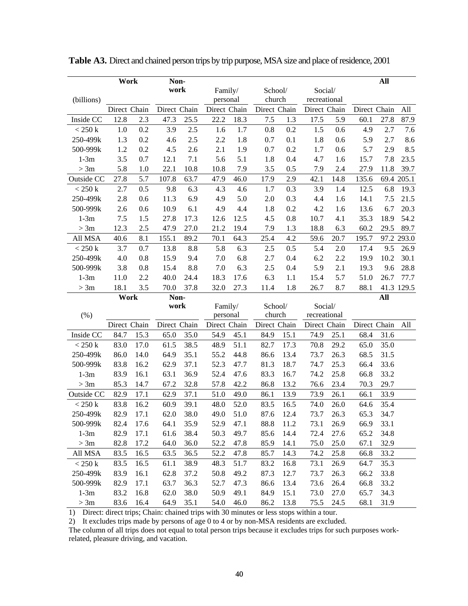|                     | Work         |      | Non-         |      |                          |      |                        |      |                              |      |              | All  |            |
|---------------------|--------------|------|--------------|------|--------------------------|------|------------------------|------|------------------------------|------|--------------|------|------------|
|                     |              |      | work         |      | Family/                  |      | School/                |      | Social/                      |      |              |      |            |
| (billions)          |              |      |              |      | personal                 |      | church                 |      | recreational                 |      |              |      |            |
|                     | Direct Chain |      | Direct Chain |      | Direct Chain             |      | Direct Chain           |      | Direct Chain                 |      | Direct Chain |      | All        |
| Inside CC           | 12.8         | 2.3  | 47.3         | 25.5 | 22.2                     | 18.3 | 7.5                    | 1.3  | 17.5                         | 5.9  | 60.1         | 27.8 | 87.9       |
| < 250 k             | 1.0          | 0.2  | 3.9          | 2.5  | 1.6                      | 1.7  | 0.8                    | 0.2  | 1.5                          | 0.6  | 4.9          | 2.7  | 7.6        |
| 250-499k            | 1.3          | 0.2  | 4.6          | 2.5  | 2.2                      | 1.8  | 0.7                    | 0.1  | 1.8                          | 0.6  | 5.9          | 2.7  | 8.6        |
| 500-999k            | 1.2          | 0.2  | 4.5          | 2.6  | 2.1                      | 1.9  | 0.7                    | 0.2  | 1.7                          | 0.6  | 5.7          | 2.9  | 8.5        |
| $1-3m$              | 3.5          | 0.7  | 12.1         | 7.1  | 5.6                      | 5.1  | 1.8                    | 0.4  | 4.7                          | 1.6  | 15.7         | 7.8  | 23.5       |
| > 3m                | 5.8          | 1.0  | 22.1         | 10.8 | 10.8                     | 7.9  | 3.5                    | 0.5  | 7.9                          | 2.4  | 27.9         | 11.8 | 39.7       |
| Outside CC          | 27.8         | 5.7  | 107.8        | 63.7 | 47.9                     | 46.0 | 17.9                   | 2.9  | 42.1                         | 14.8 | 135.6        |      | 69.4 205.1 |
| < 250 k             | 2.7          | 0.5  | 9.8          | 6.3  | 4.3                      | 4.6  | 1.7                    | 0.3  | 3.9                          | 1.4  | 12.5         | 6.8  | 19.3       |
| 250-499k            | 2.8          | 0.6  | 11.3         | 6.9  | 4.9                      | 5.0  | 2.0                    | 0.3  | 4.4                          | 1.6  | 14.1         | 7.5  | 21.5       |
| 500-999k            | 2.6          | 0.6  | 10.9         | 6.1  | 4.9                      | 4.4  | 1.8                    | 0.2  | 4.2                          | 1.6  | 13.6         | 6.7  | 20.3       |
| $1-3m$              | 7.5          | 1.5  | 27.8         | 17.3 | 12.6                     | 12.5 | 4.5                    | 0.8  | 10.7                         | 4.1  | 35.3         | 18.9 | 54.2       |
| > 3m                | 12.3         | 2.5  | 47.9         | 27.0 | 21.2                     | 19.4 | 7.9                    | 1.3  | 18.8                         | 6.3  | 60.2         | 29.5 | 89.7       |
| All MSA             | 40.6         | 8.1  | 155.1        | 89.2 | 70.1                     | 64.3 | 25.4                   | 4.2  | 59.6                         | 20.7 | 195.7        |      | 97.2 293.0 |
| $< 250 \mathrm{~k}$ | 3.7          | 0.7  | 13.8         | 8.8  | 5.8                      | 6.3  | 2.5                    | 0.5  | 5.4                          | 2.0  | 17.4         | 9.5  | 26.9       |
| 250-499k            | 4.0          | 0.8  | 15.9         | 9.4  | 7.0                      | 6.8  | 2.7                    | 0.4  | 6.2                          | 2.2  | 19.9         | 10.2 | 30.1       |
| 500-999k            | 3.8          | 0.8  | 15.4         | 8.8  | 7.0                      | 6.3  | 2.5                    | 0.4  | 5.9                          | 2.1  | 19.3         | 9.6  | 28.8       |
| $1-3m$              | 11.0         | 2.2  | 40.0         | 24.4 | 18.3                     | 17.6 | 6.3                    | 1.1  | 15.4                         | 5.7  | 51.0         | 26.7 | 77.7       |
| > 3m                | 18.1         | 3.5  | 70.0         | 37.8 | 32.0                     | 27.3 | 11.4                   | 1.8  | 26.7                         | 8.7  | 88.1         |      | 41.3 129.5 |
|                     | Work         |      | Non-         |      |                          |      |                        |      |                              |      |              | All  |            |
|                     |              |      | work         |      | Family/                  |      | School/                |      | Social/                      |      |              |      |            |
| (% )                | Direct Chain |      | Direct Chain |      | personal<br>Direct Chain |      | church<br>Direct Chain |      | recreational<br>Direct Chain |      | Direct Chain |      | All        |
| Inside CC           | 84.7         | 15.3 | 65.0         | 35.0 | 54.9                     | 45.1 | 84.9                   | 15.1 | 74.9                         | 25.1 | 68.4         | 31.6 |            |
| < 250 k             | 83.0         | 17.0 | 61.5         | 38.5 | 48.9                     | 51.1 | 82.7                   | 17.3 | 70.8                         | 29.2 | 65.0         | 35.0 |            |
| 250-499k            | 86.0         | 14.0 | 64.9         | 35.1 | 55.2                     | 44.8 | 86.6                   | 13.4 | 73.7                         | 26.3 | 68.5         | 31.5 |            |
| 500-999k            | 83.8         | 16.2 | 62.9         | 37.1 | 52.3                     | 47.7 | 81.3                   | 18.7 | 74.7                         | 25.3 | 66.4         | 33.6 |            |
| $1-3m$              | 83.9         | 16.1 | 63.1         | 36.9 | 52.4                     | 47.6 | 83.3                   | 16.7 | 74.2                         | 25.8 | 66.8         | 33.2 |            |
| > 3m                | 85.3         | 14.7 | 67.2         | 32.8 | 57.8                     | 42.2 | 86.8                   | 13.2 | 76.6                         | 23.4 | 70.3         | 29.7 |            |
| Outside CC          | 82.9         | 17.1 | 62.9         | 37.1 | 51.0                     | 49.0 | 86.1                   | 13.9 | 73.9                         | 26.1 | 66.1         | 33.9 |            |
| < 250 k             | 83.8         | 16.2 | 60.9         | 39.1 | 48.0                     | 52.0 | 83.5                   | 16.5 | 74.0                         | 26.0 | 64.6         | 35.4 |            |
| 250-499k            | 82.9         | 17.1 | 62.0         | 38.0 | 49.0                     | 51.0 | 87.6                   | 12.4 | 73.7                         | 26.3 | 65.3         | 34.7 |            |
| 500-999k            | 82.4         | 17.6 | 64.1         | 35.9 | 52.9                     | 47.1 | 88.8                   | 11.2 | 73.1                         | 26.9 | 66.9         | 33.1 |            |
| $1-3m$              | 82.9         | 17.1 | 61.6         | 38.4 | 50.3                     | 49.7 | 85.6                   | 14.4 | 72.4                         | 27.6 | 65.2         | 34.8 |            |
| > 3m                | 82.8         | 17.2 | 64.0         | 36.0 | 52.2                     | 47.8 | 85.9                   | 14.1 | 75.0                         | 25.0 | 67.1         | 32.9 |            |
| All MSA             | 83.5         | 16.5 | 63.5         | 36.5 | 52.2                     | 47.8 | 85.7                   | 14.3 | 74.2                         | 25.8 | 66.8         | 33.2 |            |
| < 250 k             |              |      |              |      |                          |      |                        |      |                              |      |              |      |            |
|                     | 83.5         | 16.5 | 61.1         | 38.9 | 48.3                     | 51.7 | 83.2                   | 16.8 | 73.1                         | 26.9 | 64.7         | 35.3 |            |
| 250-499k            | 83.9         | 16.1 | 62.8         | 37.2 | 50.8                     | 49.2 | 87.3                   | 12.7 | 73.7                         | 26.3 | 66.2         | 33.8 |            |
| 500-999k            | 82.9         | 17.1 | 63.7         | 36.3 | 52.7                     | 47.3 | 86.6                   | 13.4 | 73.6                         | 26.4 | 66.8         | 33.2 |            |
| $1-3m$              | 83.2         | 16.8 | 62.0         | 38.0 | 50.9                     | 49.1 | 84.9                   | 15.1 | 73.0                         | 27.0 | 65.7         | 34.3 |            |
| > 3m                | 83.6         | 16.4 | 64.9         | 35.1 | 54.0                     | 46.0 | 86.2                   | 13.8 | 75.5                         | 24.5 | 68.1         | 31.9 |            |

**Table A3.** Direct and chained person trips by trip purpose, MSA size and place of residence, 2001

1) Direct: direct trips; Chain: chained trips with 30 minutes or less stops within a tour.

2) It excludes trips made by persons of age 0 to 4 or by non-MSA residents are excluded.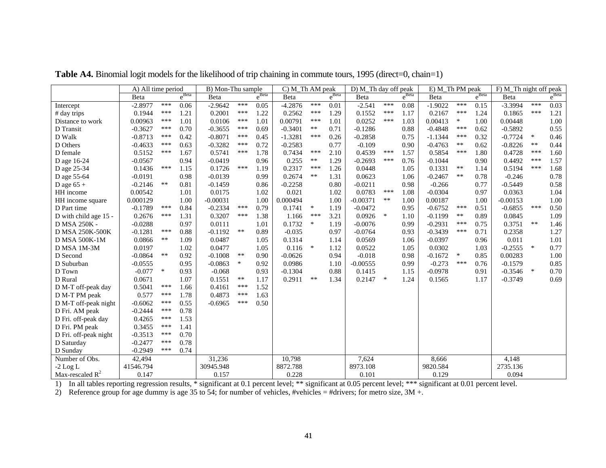|                       | A) All time period |        |                   | B) Mon-Thu sample |        |                   |           | C) M_Th AM peak |                   |            | D) M Th day off peak |                   |           | $E$ ) M Th PM peak |                   |            | F) M_Th night off peak |                       |  |
|-----------------------|--------------------|--------|-------------------|-------------------|--------|-------------------|-----------|-----------------|-------------------|------------|----------------------|-------------------|-----------|--------------------|-------------------|------------|------------------------|-----------------------|--|
|                       | Beta               |        | $e^{\text{Beta}}$ | Beta              |        | $e^{\text{Beta}}$ | Beta      |                 | $e^{\text{Beta}}$ | Beta       |                      | $e^{\text{Beta}}$ | Beta      |                    | $e^{\text{Beta}}$ | Beta       |                        | $e^{\overline{Beta}}$ |  |
| Intercept             | $-2.8977$          | ***    | 0.06              | $-2.9642$         | ***    | 0.05              | $-4.2876$ | ***             | 0.01              | $-2.541$   | ***                  | 0.08              | $-1.9022$ | ***                | 0.15              | $-3.3994$  | ***                    | 0.03                  |  |
| # day trips           | 0.1944             | ***    | 1.21              | 0.2001            | ***    | 1.22              | 0.2562    | ***             | 1.29              | 0.1552     | $***$                | 1.17              | 0.2167    | ***                | 1.24              | 0.1865     | ***                    | 1.21                  |  |
| Distance to work      | 0.00963            | ***    | 1.01              | 0.0106            | ***    | 1.01              | 0.00791   | ***             | 1.01              | 0.0252     | ***                  | 1.03              | 0.00413   | $\ast$             | 1.00              | 0.00448    |                        | 1.00                  |  |
| D Transit             | $-0.3627$          | ***    | 0.70              | $-0.3655$         | ***    | 0.69              | $-0.3401$ | $\ast\ast$      | 0.71              | $-0.1286$  |                      | 0.88              | $-0.4848$ | ***                | 0.62              | $-0.5892$  |                        | 0.55                  |  |
| D Walk                | $-0.8713$          | ***    | 0.42              | $-0.8071$         | ***    | 0.45              | $-1.3281$ | ***             | 0.26              | $-0.2858$  |                      | 0.75              | $-1.1344$ | ***                | 0.32              | $-0.7724$  | $\ast$                 | 0.46                  |  |
| D Others              | $-0.4633$          | ***    | 0.63              | $-0.3282$         | ***    | 0.72              | $-0.2583$ |                 | 0.77              | $-0.109$   |                      | 0.90              | $-0.4763$ | $***$              | 0.62              | $-0.8226$  | $***$                  | 0.44                  |  |
| D female              | 0.5152             | ***    | 1.67              | 0.5741            | ***    | 1.78              | 0.7434    | ***             | 2.10              | 0.4539     | ***                  | 1.57              | 0.5854    | ***                | 1.80              | 0.4728     | ***                    | 1.60                  |  |
| D age 16-24           | $-0.0567$          |        | 0.94              | $-0.0419$         |        | 0.96              | 0.255     | $\ast\ast$      | 1.29              | $-0.2693$  | ***                  | 0.76              | $-0.1044$ |                    | 0.90              | 0.4492     | ***                    | 1.57                  |  |
| D age 25-34           | 0.1436             | ***    | 1.15              | 0.1726            | ***    | 1.19              | 0.2317    | ***             | 1.26              | 0.0448     |                      | 1.05              | 0.1331    | $**$               | 1.14              | 0.5194     | ***                    | 1.68                  |  |
| D age 55-64           | $-0.0191$          |        | 0.98              | $-0.0139$         |        | 0.99              | 0.2674    | $***$           | 1.31              | 0.0623     |                      | 1.06              | $-0.2467$ | $***$              | 0.78              | $-0.246$   |                        | 0.78                  |  |
| D age $65 +$          | $-0.2146$          | $***$  | 0.81              | $-0.1459$         |        | 0.86              | $-0.2258$ |                 | 0.80              | $-0.0211$  |                      | 0.98              | $-0.266$  |                    | 0.77              | $-0.5449$  |                        | 0.58                  |  |
| HH income             | 0.00542            |        | 1.01              | 0.0175            |        | 1.02              | 0.021     |                 | 1.02              | 0.0783     | ***                  | 1.08              | $-0.0304$ |                    | 0.97              | 0.0363     |                        | 1.04                  |  |
| HH income square      | 0.000129           |        | 1.00              | $-0.00031$        |        | 1.00              | 0.000494  |                 | 1.00              | $-0.00371$ | $***$                | 1.00              | 0.00187   |                    | 1.00              | $-0.00153$ |                        | 1.00                  |  |
| D Part time           | $-0.1789$          | ***    | 0.84              | $-0.2334$         | ***    | 0.79              | 0.1741    | $\ast$          | 1.19              | $-0.0472$  |                      | 0.95              | $-0.6752$ | ***                | 0.51              | $-0.6855$  | ***                    | 0.50                  |  |
| D with child age 15 - | 0.2676             | ***    | 1.31              | 0.3207            | ***    | 1.38              | 1.166     | ***             | 3.21              | 0.0926     | $\ast$               | 1.10              | $-0.1199$ | $***$              | 0.89              | 0.0845     |                        | 1.09                  |  |
| D MSA 250K -          | $-0.0288$          |        | 0.97              | 0.0111            |        | 1.01              | 0.1732    | $\ast$          | 1.19              | $-0.0076$  |                      | 0.99              | $-0.2931$ | ***                | 0.75              | 0.3751     | $***$                  | 1.46                  |  |
| D MSA 250K-500K       | $-0.1281$          | ***    | 0.88              | $-0.1192$         | $***$  | 0.89              | $-0.035$  |                 | 0.97              | $-0.0764$  |                      | 0.93              | $-0.3439$ | ***                | 0.71              | 0.2358     |                        | 1.27                  |  |
| <b>D MSA 500K-1M</b>  | 0.0866             | $***$  | 1.09              | 0.0487            |        | 1.05              | 0.1314    |                 | 1.14              | 0.0569     |                      | 1.06              | $-0.0397$ |                    | 0.96              | 0.011      |                        | 1.01                  |  |
| D MSA 1M-3M           | 0.0197             |        | 1.02              | 0.0477            |        | 1.05              | 0.116     | $\ast$          | 1.12              | 0.0522     |                      | 1.05              | 0.0302    |                    | 1.03              | $-0.2555$  | $\ast$                 | 0.77                  |  |
| D Second              | $-0.0864$          | $**$   | 0.92              | $-0.1008$         | **     | 0.90              | $-0.0626$ |                 | 0.94              | $-0.018$   |                      | 0.98              | $-0.1672$ | $\ast$             | 0.85              | 0.00283    |                        | 1.00                  |  |
| D Suburban            | $-0.0555$          |        | 0.95              | $-0.0863$         | $\ast$ | 0.92              | 0.0986    |                 | 1.10              | $-0.00555$ |                      | 0.99              | $-0.273$  | ***                | 0.76              | $-0.1579$  |                        | 0.85                  |  |
| D Town                | $-0.077$           | $\ast$ | 0.93              | $-0.068$          |        | 0.93              | $-0.1304$ |                 | 0.88              | 0.1415     |                      | 1.15              | $-0.0978$ |                    | 0.91              | $-0.3546$  | $\ast$                 | 0.70                  |  |
| D Rural               | 0.0671             |        | 1.07              | 0.1551            | **     | 1.17              | 0.2911    | $***$           | 1.34              | 0.2147     | $\ast$               | 1.24              | 0.1565    |                    | 1.17              | $-0.3749$  |                        | 0.69                  |  |
| D M-T off-peak day    | 0.5041             | ***    | 1.66              | 0.4161            | ***    | 1.52              |           |                 |                   |            |                      |                   |           |                    |                   |            |                        |                       |  |
| D M-T PM peak         | 0.577              | ***    | 1.78              | 0.4873            | ***    | 1.63              |           |                 |                   |            |                      |                   |           |                    |                   |            |                        |                       |  |
| D M-T off-peak night  | $-0.6062$          | ***    | 0.55              | $-0.6965$         | ***    | 0.50              |           |                 |                   |            |                      |                   |           |                    |                   |            |                        |                       |  |
| D Fri. AM peak        | $-0.2444$          | ***    | 0.78              |                   |        |                   |           |                 |                   |            |                      |                   |           |                    |                   |            |                        |                       |  |
| D Fri. off-peak day   | 0.4265             | ***    | 1.53              |                   |        |                   |           |                 |                   |            |                      |                   |           |                    |                   |            |                        |                       |  |
| D Fri. PM peak        | 0.3455             | ***    | 1.41              |                   |        |                   |           |                 |                   |            |                      |                   |           |                    |                   |            |                        |                       |  |
| D Fri. off-peak night | $-0.3513$          | ***    | 0.70              |                   |        |                   |           |                 |                   |            |                      |                   |           |                    |                   |            |                        |                       |  |
| D Saturday            | $-0.2477$          | ***    | 0.78              |                   |        |                   |           |                 |                   |            |                      |                   |           |                    |                   |            |                        |                       |  |
| D Sunday              | $-0.2949$          | ***    | 0.74              |                   |        |                   |           |                 |                   |            |                      |                   |           |                    |                   |            |                        |                       |  |
| Number of Obs.        | 42,494             |        |                   | 31,236            |        |                   | 10,798    |                 |                   | 7,624      |                      |                   | 8,666     |                    |                   | 4,148      |                        |                       |  |
| $-2$ Log L            | 41546.794          |        |                   | 30945.948         |        |                   | 8872.788  |                 |                   | 8973.108   |                      |                   | 9820.584  |                    |                   | 2735.136   |                        |                       |  |
| Max-rescaled $R^2$    | 0.147              |        |                   | 0.157             |        |                   | 0.228     |                 |                   | 0.101      |                      |                   | 0.129     |                    |                   | 0.094      |                        |                       |  |

Table A4. Binomial logit models for the likelihood of trip chaining in commute tours, 1995 (direct=0, chain=1)

1) In all tables reporting regression results, \* significant at 0.1 percent level; \*\* significant at 0.05 percent level; \*\*\* significant at 0.01 percent level.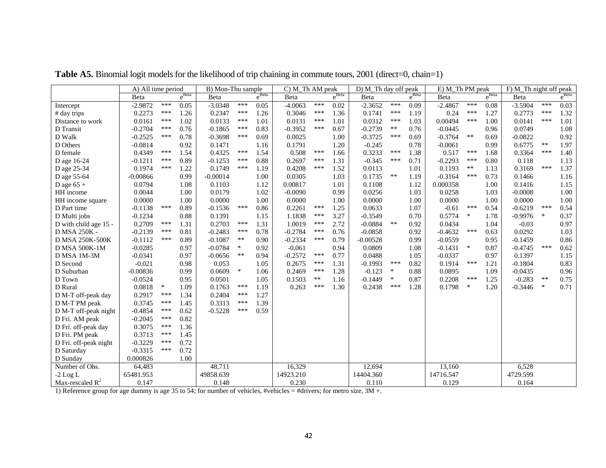|                       | A) All time period |        |                   | B) Mon-Thu sample |            |            | C) M_Th AM peak |            |                   | D) M_Th day off peak |        |                   | E) M_Th PM peak |            |            | F) M_Th night off peak |            |            |
|-----------------------|--------------------|--------|-------------------|-------------------|------------|------------|-----------------|------------|-------------------|----------------------|--------|-------------------|-----------------|------------|------------|------------------------|------------|------------|
|                       | Beta               |        | $e^{\text{Beta}}$ | Beta              |            | $e^{Beta}$ | Beta            |            | $e^{\text{Beta}}$ | Beta                 |        | $e^{\text{Beta}}$ | Beta            |            | $e^{Beta}$ | Beta                   |            | $e^{Beta}$ |
| Intercept             | $-2.9872$          | ***    | 0.05              | $-3.0348$         | ***        | 0.05       | $-4.0063$       | ***        | 0.02              | $-2.3652$            | ***    | 0.09              | $-2.4867$       | ***        | 0.08       | $-3.5904$              | ***        | 0.03       |
| # day trips           | 0.2273             | ***    | 1.26              | 0.2347            | ***        | 1.26       | 0.3046          | ***        | 1.36              | 0.1741               | ***    | 1.19              | 0.24            | ***        | 1.27       | 0.2773                 | ***        | 1.32       |
| Distance to work      | 0.0161             | ***    | 1.02              | 0.0133            | ***        | 1.01       | 0.0131          | ***        | 1.01              | 0.0312               | ***    | 1.03              | 0.00494         | ***        | 1.00       | 0.0141                 | ***        | 1.01       |
| D Transit             | $-0.2704$          | ***    | 0.76              | $-0.1865$         | ***        | 0.83       | $-0.3952$       | ***        | 0.67              | $-0.2739$            | $***$  | 0.76              | $-0.0445$       |            | 0.96       | 0.0749                 |            | 1.08       |
| D Walk                | $-0.2525$          | ***    | 0.78              | $-0.3698$         | ***        | 0.69       | 0.0025          |            | 1.00              | $-0.3725$            | ***    | 0.69              | $-0.3764$       | $\ast\ast$ | 0.69       | $-0.0822$              |            | 0.92       |
| D Others              | $-0.0814$          |        | 0.92              | 0.1471            |            | 1.16       | 0.1791          |            | 1.20              | $-0.245$             |        | 0.78              | $-0.0061$       |            | 0.99       | 0.6775                 | $\ast\ast$ | 1.97       |
| D female              | 0.4349             | ***    | 1.54              | 0.4325            | ***        | 1.54       | 0.508           | ***        | 1.66              | 0.3233               | ***    | 1.38              | 0.517           | ***        | 1.68       | 0.3364                 | ***        | 1.40       |
| D age 16-24           | $-0.1211$          | ***    | 0.89              | $-0.1253$         | ***        | 0.88       | 0.2697          | ***        | 1.31              | $-0.345$             | ***    | 0.71              | $-0.2293$       | ***        | 0.80       | 0.118                  |            | 1.13       |
| D age 25-34           | 0.1974             | ***    | 1.22              | 0.1749            | ***        | 1.19       | 0.4208          | ***        | 1.52              | 0.0113               |        | 1.01              | 0.1193          | $\ast\ast$ | 1.13       | 0.3169                 | ***        | 1.37       |
| D age 55-64           | $-0.00866$         |        | 0.99              | $-0.00014$        |            | 1.00       | 0.0305          |            | 1.03              | 0.1735               | $***$  | 1.19              | $-0.3164$       | ***        | 0.73       | 0.1466                 |            | 1.16       |
| D age $65 +$          | 0.0794             |        | 1.08              | 0.1103            |            | 1.12       | 0.00817         |            | 1.01              | 0.1108               |        | 1.12              | 0.000358        |            | 1.00       | 0.1416                 |            | 1.15       |
| HH income             | 0.0044             |        | 1.00              | 0.0179            |            | 1.02       | $-0.0090$       |            | 0.99              | 0.0256               |        | 1.03              | 0.0258          |            | 1.03       | $-0.0008$              |            | 1.00       |
| HH income square      | 0.0000             |        | 1.00              | 0.0000            |            | 1.00       | 0.0000          |            | 1.00              | 0.0000               |        | 1.00              | 0.0000          |            | 1.00       | 0.0000                 |            | 1.00       |
| D Part time           | $-0.1138$          | ***    | 0.89              | $-0.1536$         | ***        | 0.86       | 0.2261          | ***        | 1.25              | 0.0633               |        | 1.07              | $-0.61$         | ***        | 0.54       | $-0.6219$              | ***        | 0.54       |
| D Multi jobs          | $-0.1234$          |        | 0.88              | 0.1391            |            | 1.15       | 1.1838          | ***        | 3.27              | $-0.3549$            |        | 0.70              | 0.5774          | $\ast$     | 1.78       | $-0.9976$              | $\ast$     | 0.37       |
| D with child age 15 - | 0.2709             | ***    | 1.31              | 0.2703            | ***        | 1.31       | 1.0019          | ***        | 2.72              | $-0.0884$            | $**$   | 0.92              | 0.0434          |            | 1.04       | $-0.03$                |            | 0.97       |
| D MSA 250K -          | $-0.2139$          | ***    | 0.81              | $-0.2483$         | ***        | 0.78       | $-0.2784$       | ***        | 0.76              | $-0.0858$            |        | 0.92              | $-0.4632$       | ***        | 0.63       | 0.0292                 |            | 1.03       |
| D MSA 250K-500K       | $-0.1112$          | ***    | 0.89              | $-0.1087$         | $\ast\ast$ | 0.90       | $-0.2334$       | ***        | 0.79              | $-0.00528$           |        | 0.99              | $-0.0559$       |            | 0.95       | $-0.1459$              |            | 0.86       |
| D MSA 500K-1M         | $-0.0285$          |        | 0.97              | $-0.0784$         | $\ast$     | 0.92       | $-0.061$        |            | 0.94              | 0.0809               |        | 1.08              | $-0.1431$       | $\ast$     | 0.87       | $-0.4745$              | ***        | 0.62       |
| D MSA 1M-3M           | $-0.0341$          |        | 0.97              | $-0.0656$         | $\ast\ast$ | 0.94       | $-0.2572$       | ***        | 0.77              | 0.0488               |        | 1.05              | $-0.0337$       |            | 0.97       | 0.1397                 |            | 1.15       |
| D Second              | $-0.021$           |        | 0.98              | 0.053             |            | 1.05       | 0.2675          | ***        | 1.31              | $-0.1993$            | ***    | 0.82              | 0.1914          | ***        | 1.21       | $-0.1804$              |            | 0.83       |
| D Suburban            | $-0.00836$         |        | 0.99              | 0.0609            | $\ast$     | 1.06       | 0.2469          | ***        | 1.28              | $-0.123$             | $\ast$ | 0.88              | 0.0895          |            | 1.09       | $-0.0435$              |            | 0.96       |
| D Town                | $-0.0524$          |        | 0.95              | 0.0501            |            | 1.05       | 0.1503          | $\ast\ast$ | 1.16              | $-0.1449$            | $\ast$ | 0.87              | 0.2208          | ***        | 1.25       | $-0.283$               | $\ast\ast$ | 0.75       |
| D Rural               | 0.0818             | $\ast$ | 1.09              | 0.1763            | ***        | 1.19       | 0.263           | ***        | 1.30              | 0.2438               | ***    | 1.28              | 0.1798          | $\ast$     | 1.20       | $-0.3446$              | $\ast$     | 0.71       |
| D M-T off-peak day    | 0.2917             | ***    | 1.34              | 0.2404            | $***$      | 1.27       |                 |            |                   |                      |        |                   |                 |            |            |                        |            |            |
| D M-T PM peak         | 0.3745             | ***    | 1.45              | 0.3313            | ***        | 1.39       |                 |            |                   |                      |        |                   |                 |            |            |                        |            |            |
| D M-T off-peak night  | $-0.4854$          | ***    | 0.62              | $-0.5228$         | ***        | 0.59       |                 |            |                   |                      |        |                   |                 |            |            |                        |            |            |
| D Fri. AM peak        | $-0.2045$          | ***    | 0.82              |                   |            |            |                 |            |                   |                      |        |                   |                 |            |            |                        |            |            |
| D Fri. off-peak day   | 0.3075             | ***    | 1.36              |                   |            |            |                 |            |                   |                      |        |                   |                 |            |            |                        |            |            |
| D Fri. PM peak        | 0.3713             | ***    | 1.45              |                   |            |            |                 |            |                   |                      |        |                   |                 |            |            |                        |            |            |
| D Fri. off-peak night | $-0.3229$          | ***    | 0.72              |                   |            |            |                 |            |                   |                      |        |                   |                 |            |            |                        |            |            |
| D Saturday            | $-0.3315$          | ***    | 0.72              |                   |            |            |                 |            |                   |                      |        |                   |                 |            |            |                        |            |            |
| D Sunday              | 0.000826           |        | 1.00              |                   |            |            |                 |            |                   |                      |        |                   |                 |            |            |                        |            |            |
| Number of Obs.        | 64,483             |        |                   | 48,711            |            |            | 16,329          |            |                   | 12,694               |        |                   | 13,160          |            |            | 6,528                  |            |            |
| $-2$ Log L            | 65481.953          |        |                   | 49858.639         |            |            | 14923.210       |            |                   | 14404.360            |        |                   | 14716.547       |            |            | 4729.599               |            |            |
| Max-rescaled $R^2$    | 0.147              |        |                   | 0.148             |            |            | 0.230           |            |                   | 0.110                |        |                   | 0.129           |            |            | 0.164                  |            |            |

Table A5. Binomial logit models for the likelihood of trip chaining in commute tours, 2001 (direct=0, chain=1)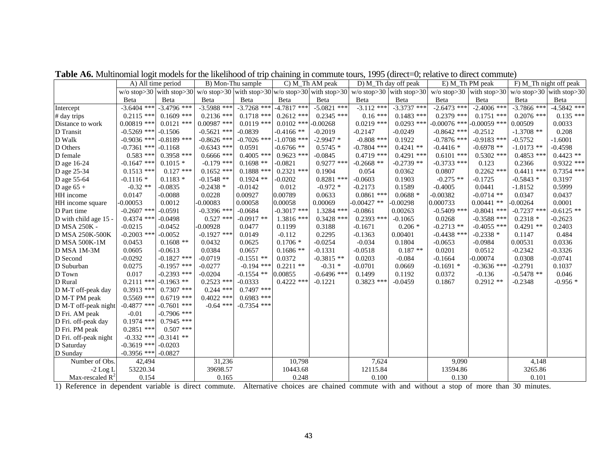|                       | A) All time period      |                             | B) Mon-Thu sample                                                          |               |               | C) M_Th AM peak |               | D) M_Th day off peak                       | E) M_Th PM peak  |                                       | F) M_Th night off peak |               |
|-----------------------|-------------------------|-----------------------------|----------------------------------------------------------------------------|---------------|---------------|-----------------|---------------|--------------------------------------------|------------------|---------------------------------------|------------------------|---------------|
|                       |                         |                             | w/o stop>30 with stop>30 w/o stop>30 with stop>30 w/o stop>30 with stop>30 |               |               |                 |               | w/o stop> $30 \vert$ with stop> $30 \vert$ | $w/o$ stop $>30$ | with stop>30 w/o stop>30 with stop>30 |                        |               |
|                       | Beta                    | Beta                        | Beta                                                                       | Beta          | Beta          | Beta            | Beta          | Beta                                       | Beta             | Beta                                  | Beta                   | Beta          |
| Intercept             | $-3.6404$ ***           | $-3.4796$ ***               | $-3.5988$ ***                                                              | $-3.7268$ *** | $-4.7817$ *** | $-5.0821$ ***   | $-3.112$ ***  | $-3.3737$ ***                              | $-2.6473$ ***    | $-2.4006$ ***                         | $-3.7866$ ***          | $-4.5842$ *** |
| # day trips           | $0.2115$ ***            | $0.1609$ ***                | $0.2136$ ***                                                               | $0.1718$ ***  | $0.2612$ ***  | $0.2345$ ***    | $0.16***$     | $0.1483$ ***                               | $0.2379$ ***     | $0.1751$ ***                          | $0.2076$ ***           | $0.135$ ***   |
| Distance to work      | $0.00819$ ***           | $0.0121$ ***                | $0.00987$ ***                                                              | $0.0119$ ***  | $0.0102$ ***  | $-0.00268$      | $0.0219$ ***  | $0.0293$ ***                               | $-0.00076$ ***   | $-0.00059$ ***                        | 0.00509                | 0.0033        |
| D Transit             | $-0.5269$ *** $-0.1506$ |                             | $-0.5621$ ***                                                              | $-0.0839$     | $-0.4166$ **  | $-0.2019$       | $-0.2147$     | $-0.0249$                                  | $-0.8642$ ***    | $-0.2512$                             | $-1.3708$ **           | 0.208         |
| D Walk                |                         | $-0.9036$ *** $-0.8189$ *** | $-0.8626$ ***                                                              | $-0.7026$ *** | $-1.0708$ *** | $-2.9947*$      | $-0.808$ ***  | 0.1922                                     | $-0.7876$ ***    | $-0.9183$ ***                         | $-0.5752$              | $-1.6001$     |
| D Others              | $-0.7361$ *** $-0.1168$ |                             | $-0.6343$ ***                                                              | 0.0591        | $-0.6766**$   | $0.5745*$       | $-0.7804$ *** | $0.4241$ **                                | $-0.4416*$       | $-0.6978$ **                          | $-1.0173$ **           | $-0.4598$     |
| D female              | $0.583$ ***             | $0.3958$ ***                | $0.6666$ ***                                                               | $0.4005$ ***  | $0.9623$ ***  | $-0.0845$       | $0.4719$ ***  | $0.4291$ ***                               | $0.6101$ ***     | $0.5302$ ***                          | $0.4853$ ***           | $0.4423$ **   |
| D age 16-24           | $-0.1647$ ***           | $0.1015*$                   | $-0.179$ ***                                                               | $0.1698$ **   | $-0.0821$     | $0.9277$ ***    | $-0.2668$ **  | $-0.2739$ **                               | $-0.3733$ ***    | 0.123                                 | 0.2366                 | $0.9322$ ***  |
| D age 25-34           | $0.1513$ ***            | $0.127$ ***                 | $0.1652$ ***                                                               | $0.1888$ ***  | $0.2321$ ***  | 0.1904          | 0.054         | 0.0362                                     | 0.0807           | $0.2262$ ***                          | $0.4411$ ***           | $0.7354$ ***  |
| D age 55-64           | $-0.1116*$              | $0.1183*$                   | $-0.1548$ **                                                               | $0.1924$ **   | $-0.0202$     | $0.8281$ ***    | $-0.0603$     | 0.1903                                     | $-0.275$ **      | $-0.1725$                             | $-0.5843*$             | 0.3197        |
| D age $65 +$          | $-0.32**$               | $-0.0835$                   | $-0.2438*$                                                                 | $-0.0142$     | 0.012         | $-0.972*$       | $-0.2173$     | 0.1589                                     | $-0.4005$        | 0.0441                                | $-1.8152$              | 0.5999        |
| HH income             | 0.0147                  | $-0.0088$                   | 0.0228                                                                     | 0.00927       | 0.00789       | 0.0633          | $0.0861$ ***  | $0.0688*$                                  | $-0.00382$       | $-0.0714$ **                          | 0.0347                 | 0.0437        |
| HH income square      | $-0.00053$              | 0.0012                      | $-0.00083$                                                                 | 0.00058       | 0.00058       | 0.00069         | $-0.00427$ ** | $-0.00298$                                 | 0.000733         | $0.00441$ **                          | $-0.00264$             | 0.0001        |
| D Part time           | $-0.2607$ ***           | $-0.0591$                   | $-0.3396$ ***                                                              | $-0.0684$     | $-0.3017$ *** | 1.3284 ***      | $-0.0861$     | 0.00263                                    | $-0.5409$ ***    | $-0.8041$ ***                         | $-0.7237$ ***          | $-0.6125$ **  |
| D with child age 15 - | $0.4374$ ***            | $-0.0498$                   | $0.527$ ***                                                                | $-0.0917$ **  | $1.3816$ ***  | $0.3428$ ***    | $0.2393$ ***  | $-0.1065$                                  | 0.0268           | $-0.3588$ ***                         | $0.2318*$              | $-0.2623$     |
| D MSA 250K -          | $-0.0215$               | $-0.0452$                   | $-0.00928$                                                                 | 0.0477        | 0.1199        | 0.3188          | $-0.1671$     | $0.206*$                                   | $-0.2713$ **     | $-0.4055$ ***                         | $0.4291**$             | 0.2403        |
| D MSA 250K-500K       | $-0.2003$ ***           | $-0.0052$                   | $-0.1927$ ***                                                              | 0.0149        | $-0.112$      | 0.2295          | $-0.1363$     | 0.00401                                    | $-0.4438$ ***    | $-0.2338*$                            | 0.1147                 | 0.484         |
| <b>D MSA 500K-1M</b>  | 0.0453                  | $0.1608$ **                 | 0.0432                                                                     | 0.0625        | $0.1706*$     | $-0.0254$       | $-0.034$      | 0.1804                                     | $-0.0653$        | $-0.0984$                             | 0.00531                | 0.0336        |
| D MSA 1M-3M           | 0.0605                  | $-0.0613$                   | 0.0384                                                                     | 0.0657        | $0.1686**$    | $-0.1331$       | $-0.0518$     | $0.187**$                                  | 0.0201           | 0.0512                                | $-0.2342$              | $-0.3326$     |
| D Second              | $-0.0292$               | $-0.1827$ ***               | $-0.0719$                                                                  | $-0.1551$ **  | 0.0372        | $-0.3815$ **    | 0.0203        | $-0.084$                                   | $-0.1664$        | $-0.00074$                            | 0.0308                 | $-0.0741$     |
| D Suburban            | 0.0275                  | $-0.1957$ ***               | $-0.0277$                                                                  | $-0.194$ ***  | $0.2211$ **   | $-0.31$ *       | $-0.0701$     | 0.0669                                     | $-0.1691*$       | $-0.3636$ ***                         | $-0.2791$              | 0.1037        |
| D Town                | 0.017                   | $-0.2393$ ***               | $-0.0204$                                                                  | $-0.1554$ **  | 0.00855       | $-0.6496$ ***   | 0.1499        | 0.1192                                     | 0.0372           | $-0.136$                              | $-0.5478$ **           | 0.046         |
| D Rural               | $0.2111$ ***            | $-0.1963$ **                | $0.2523$ ***                                                               | $-0.0333$     | $0.4222$ ***  | $-0.1221$       | $0.3823$ ***  | $-0.0459$                                  | 0.1867           | $0.2912**$                            | $-0.2348$              | $-0.956*$     |
| D M-T off-peak day    | $0.3913$ ***            | $0.7307$ ***                | $0.244$ ***                                                                | $0.7497$ ***  |               |                 |               |                                            |                  |                                       |                        |               |
| D M-T PM peak         | $0.5569$ ***            | $0.6719$ ***                | $0.4022$ ***                                                               | $0.6983$ ***  |               |                 |               |                                            |                  |                                       |                        |               |
| D M-T off-peak night  | $-0.4877$ ***           | $-0.7601$ ***               | $-0.64$ ***                                                                | $-0.7354$ *** |               |                 |               |                                            |                  |                                       |                        |               |
| D Fri. AM peak        | $-0.01$                 | $-0.7906$ ***               |                                                                            |               |               |                 |               |                                            |                  |                                       |                        |               |
| D Fri. off-peak day   | $0.1974$ ***            | $0.7945$ ***                |                                                                            |               |               |                 |               |                                            |                  |                                       |                        |               |
| D Fri. PM peak        | $0.2851$ ***            | $0.507$ ***                 |                                                                            |               |               |                 |               |                                            |                  |                                       |                        |               |
| D Fri. off-peak night |                         | $-0.332$ *** $-0.3141$ **   |                                                                            |               |               |                 |               |                                            |                  |                                       |                        |               |
| D Saturday            | $-0.3619$ *** $-0.0203$ |                             |                                                                            |               |               |                 |               |                                            |                  |                                       |                        |               |
| D Sunday              | $-0.3956$ *** $-0.0827$ |                             |                                                                            |               |               |                 |               |                                            |                  |                                       |                        |               |
| Number of Obs.        | 42,494                  |                             | 31,236                                                                     |               | 10,798        |                 | 7,624         |                                            | 9,090            |                                       | 4,148                  |               |
| $-2$ Log L            | 53220.34                |                             | 39698.57                                                                   |               | 10443.68      |                 | 12115.84      |                                            | 13594.86         |                                       | 3265.86                |               |
| Max-rescaled $R^2$    | 0.154                   |                             | 0.165                                                                      |               | 0.248         |                 | 0.100         |                                            | 0.130            |                                       | 0.101                  |               |

Table A6. Multinomial logit models for the likelihood of trip chaining in commute tours, 1995 (direct=0; relative to direct commute)

1) Reference in dependent variable is direct commute. Alternative choices are chained commute with and without a stop of more than 30 minutes.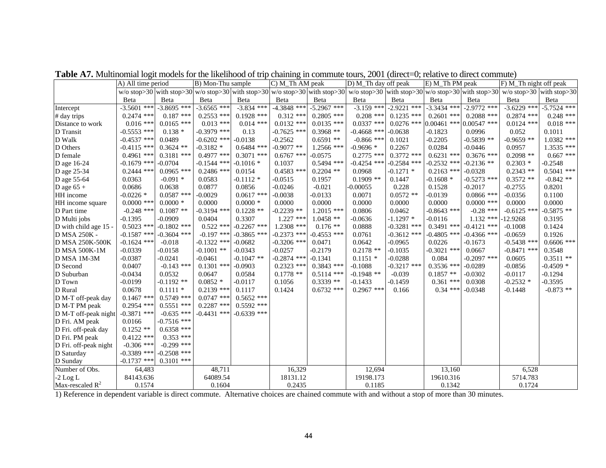|                       | A) All time period |               | B) Mon-Thu sample |               | C) M_Th AM peak |               | D) M_Th day off peak                                                                                                                                                                                                          |               | E) M_Th PM peak |                                          | F) M_Th night off peak     |               |
|-----------------------|--------------------|---------------|-------------------|---------------|-----------------|---------------|-------------------------------------------------------------------------------------------------------------------------------------------------------------------------------------------------------------------------------|---------------|-----------------|------------------------------------------|----------------------------|---------------|
|                       |                    |               |                   |               |                 |               | w/o stop>30 with stop>30 w/o stop>30 w/o stop>30 with stop>30 w/o stop>30 with stop>30 w/o stop>30 with stop>30 w/o stop>30 w/o stop>30 w/o stop>30 w/o stop>30 w/o stop>30 w/o stop>30 w/o stop>30 w/o stop>30 w/o stop>30 w |               |                 |                                          | $w/o$ stop>30 with stop>30 |               |
|                       | Beta               | Beta          | Beta              | Beta          | Beta            | Beta          | Beta                                                                                                                                                                                                                          | Beta          | Beta            | Beta                                     | Beta                       | Beta          |
| Intercept             | $-3.5601$ ***      | $-3.8695$ *** | $-3.6565$ ***     | $-3.834$ ***  | $-4.3848$ ***   | $-5.2967$ *** | $-3.159$ ***                                                                                                                                                                                                                  | $-2.9221$ *** | $-3.3434***$    | $-2.9772$ ***                            | $-3.6229$ ***              | $-5.7524$ *** |
| # day trips           | $0.2474$ ***       | $0.187$ ***   | $0.2553$ ***      | $0.1928$ ***  | $0.312$ ***     | $0.2805$ ***  | $0.208$ ***                                                                                                                                                                                                                   | $0.1235$ ***  | $0.2601$ ***    | $0.2088$ ***                             | $0.2874$ ***               | $0.248$ ***   |
| Distance to work      | $0.016$ ***        | $0.0165$ ***  | $0.013$ ***       | $0.014$ ***   | $0.0132$ ***    | $0.0135$ ***  | $0.0337$ ***                                                                                                                                                                                                                  |               |                 | $0.0276$ *** $0.00461$ *** $0.00547$ *** | $0.0124$ ***               | $0.018$ ***   |
| D Transit             | $-0.5553$ ***      | $0.138*$      | $-0.3979$ ***     | 0.13          | $-0.7625$ ***   | $0.3968**$    | $-0.4668$ ***                                                                                                                                                                                                                 | $-0.0638$     | $-0.1823$       | 0.0996                                   | 0.052                      | 0.1011        |
| D Walk                | $-0.4537$ ***      | 0.0489        | $-0.6202$ ***     | $-0.0138$     | $-0.2562$       | $0.6591**$    | $-0.866$ ***                                                                                                                                                                                                                  | 0.1021        | $-0.2205$       | $-0.5839$ **                             | $-0.9659$ **               | $1.0382$ ***  |
| D Others              | $-0.4115$ ***      | $0.3624$ **   | $-0.3182*$        | $0.6484$ ***  | $-0.9077$ **    | $1.2566$ ***  | $-0.9696*$                                                                                                                                                                                                                    | 0.2267        | 0.0284          | $-0.0446$                                | 0.0957                     | $1.3535$ ***  |
| D female              | $0.4961$ ***       | $0.3181$ ***  | $0.4977$ ***      | $0.3071$ ***  | $0.6767$ ***    | $-0.0575$     | $0.2775$ ***                                                                                                                                                                                                                  | $0.3772$ ***  | $0.6231$ ***    | $0.3676$ ***                             | $0.2098$ **                | $0.667$ ***   |
| D age 16-24           | $-0.1679$ ***      | $-0.0704$     | $-0.1544$ ***     | $-0.1016*$    | 0.1037          | $0.5494$ ***  | $-0.4254$ ***                                                                                                                                                                                                                 | $-0.2584$ *** | $-0.2532$ ***   | $-0.2136$ **                             | $0.2303*$                  | $-0.2548$     |
| D age 25-34           | $0.2444$ ***       | $0.0965$ ***  | $0.2486$ ***      | 0.0154        | $0.4583$ ***    | $0.2204$ **   | 0.0968                                                                                                                                                                                                                        | $-0.1271$ *   | $0.2163$ ***    | $-0.0328$                                | $0.2343$ **                | $0.5041$ ***  |
| D age 55-64           | 0.0363             | $-0.091*$     | 0.0583            | $-0.1112*$    | $-0.0515$       | 0.1957        | $0.1909$ **                                                                                                                                                                                                                   | 0.1447        | $-0.1608 *$     | $-0.5273$ ***                            | $0.3572$ **                | $-0.842**$    |
| D age $65 +$          | 0.0686             | 0.0638        | 0.0877            | 0.0856        | $-0.0246$       | $-0.021$      | $-0.00055$                                                                                                                                                                                                                    | 0.228         | 0.1528          | $-0.2017$                                | $-0.2755$                  | 0.8201        |
| HH income             | $-0.0226$ *        | $0.0587$ ***  | $-0.0029$         | $0.0617$ ***  | $-0.0038$       | $-0.0133$     | 0.0071                                                                                                                                                                                                                        | $0.0572$ **   | $-0.0139$       | $0.0866$ ***                             | $-0.0356$                  | 0.1100        |
| HH income square      | $0.0000$ ***       | $0.0000*$     | 0.0000            | $0.0000*$     | 0.0000          | 0.0000        | 0.0000                                                                                                                                                                                                                        | 0.0000        | 0.0000          | $0.0000$ ***                             | 0.0000                     | 0.0000        |
| D Part time           | $-0.248$ ***       | $0.1087**$    | $-0.3194$ ***     | $0.1228$ **   | $-0.2239$ **    | $1.2015$ ***  | 0.0806                                                                                                                                                                                                                        | 0.0462        | $-0.8643$ ***   | $-0.28$ ***                              | $-0.6125$ ***              | $-0.5875**$   |
| D Multi jobs          | $-0.1395$          | $-0.0909$     | 0.0404            | 0.3307        | $1.227$ ***     | $1.0458**$    | $-0.0636$                                                                                                                                                                                                                     | $-1.1297*$    | $-0.0116$       | $1.132$ ***                              | $-12.9268$                 | 0.3195        |
| D with child age 15 - | $0.5023$ ***       | $-0.1802$ *** | $0.522$ ***       | $-0.2267$ *** | 1.2308 ***      | $0.176$ **    | 0.0888                                                                                                                                                                                                                        | $-0.3281$ *** | $0.3491$ ***    | $-0.4121$ ***                            | $-0.1008$                  | 0.1424        |
| D MSA 250K -          | $-0.1587$ ***      | $-0.3604$ *** | $-0.197$ ***      | $-0.3865$ *** | $-0.2373$ ***   | $-0.4553$ *** | 0.0761                                                                                                                                                                                                                        | $-0.3612$ *** | $-0.4805$ ***   | $-0.4366$ ***                            | $-0.0659$                  | 0.1926        |
| D MSA 250K-500K       | $-0.1624$ ***      | $-0.018$      | $-0.1322$ ***     | $-0.0682$     | $-0.3206$ ***   | 0.0471        | 0.0642                                                                                                                                                                                                                        | $-0.0965$     | 0.0226          | $-0.1673$                                | $-0.5438$ ***              | $0.6606$ ***  |
| <b>D MSA 500K-1M</b>  | $-0.0339$          | $-0.0158$     | $-0.1001$ **      | $-0.0343$     | $-0.0257$       | $-0.2179$     | $0.2178$ **                                                                                                                                                                                                                   | $-0.1035$     | $-0.3021$ ***   | 0.0667                                   | $-0.8471$ ***              | 0.3548        |
| D MSA 1M-3M           | $-0.0387$          | $-0.0241$     | $-0.0461$         | $-0.1047$ **  | $-0.2874$ ***   | $-0.1341$     | $0.1151*$                                                                                                                                                                                                                     | $-0.0288$     | 0.084           | $-0.2097$ ***                            | 0.0605                     | $0.3511**$    |
| D Second              | 0.0407             | $-0.143$ ***  | $0.1301$ ***      | $-0.0903$     | $0.2323$ ***    | $0.3843$ ***  | $-0.1088$                                                                                                                                                                                                                     | $-0.3217$ *** | $0.3536$ ***    | $-0.0289$                                | $-0.0856$                  | $-0.4509$ *   |
| D Suburban            | $-0.0434$          | 0.0532        | 0.0647            | 0.0584        | $0.1778**$      | $0.5114$ ***  | $-0.1948$ **                                                                                                                                                                                                                  | $-0.039$      | $0.1857**$      | $-0.0302$                                | $-0.0117$                  | $-0.1294$     |
| D Town                | $-0.0199$          | $-0.1192$ **  | $0.0852*$         | $-0.0117$     | 0.1056          | $0.3339**$    | $-0.1433$                                                                                                                                                                                                                     | $-0.1459$     | $0.361$ ***     | 0.0308                                   | $-0.2532*$                 | $-0.3595$     |
| D Rural               | 0.0678             | $0.1111*$     | $0.2139$ ***      | 0.1117        | 0.1424          | $0.6732$ ***  | $0.2967$ ***                                                                                                                                                                                                                  | 0.166         | $0.34$ ***      | $-0.0348$                                | $-0.1448$                  | $-0.873$ **   |
| D M-T off-peak day    | $0.1467$ ***       | $0.5749$ ***  | $0.0747$ ***      | $0.5652$ ***  |                 |               |                                                                                                                                                                                                                               |               |                 |                                          |                            |               |
| D M-T PM peak         | $0.2954$ ***       | $0.5551$ ***  | $0.2287$ ***      | $0.5592$ ***  |                 |               |                                                                                                                                                                                                                               |               |                 |                                          |                            |               |
| D M-T off-peak night  | $-0.3871$ ***      | $-0.635$ ***  | $-0.4431$ ***     | $-0.6339$ *** |                 |               |                                                                                                                                                                                                                               |               |                 |                                          |                            |               |
| D Fri. AM peak        | 0.0166             | $-0.7516$ *** |                   |               |                 |               |                                                                                                                                                                                                                               |               |                 |                                          |                            |               |
| D Fri. off-peak day   | $0.1252$ **        | $0.6358$ ***  |                   |               |                 |               |                                                                                                                                                                                                                               |               |                 |                                          |                            |               |
| D Fri. PM peak        | $0.4122$ ***       | $0.353$ ***   |                   |               |                 |               |                                                                                                                                                                                                                               |               |                 |                                          |                            |               |
| D Fri. off-peak night | $-0.306$ ***       | $-0.299$ ***  |                   |               |                 |               |                                                                                                                                                                                                                               |               |                 |                                          |                            |               |
| D Saturday            | $-0.3389$ ***      | $-0.2508$ *** |                   |               |                 |               |                                                                                                                                                                                                                               |               |                 |                                          |                            |               |
| D Sunday              | $-0.1737$ ***      | $0.3101$ ***  |                   |               |                 |               |                                                                                                                                                                                                                               |               |                 |                                          |                            |               |
| Number of Obs.        | 64,483             |               | 48,711            |               | 16,329          |               | 12,694                                                                                                                                                                                                                        |               | 13,160          |                                          | 6,528                      |               |
| $-2$ Log L            | 84143.636          |               | 64089.54          |               | 18131.12        |               | 19198.173                                                                                                                                                                                                                     |               | 19610.316       |                                          | 5714.783                   |               |
| Max-rescaled $R^2$    | 0.1574             |               | 0.1604            |               | 0.2435          |               | 0.1185                                                                                                                                                                                                                        |               | 0.1342          |                                          | 0.1724                     |               |

Table A7. Multinomial logit models for the likelihood of trip chaining in commute tours, 2001 (direct=0; relative to direct commute)

1) Reference in dependent variable is direct commute. Alternative choices are chained commute with and without a stop of more than 30 minutes.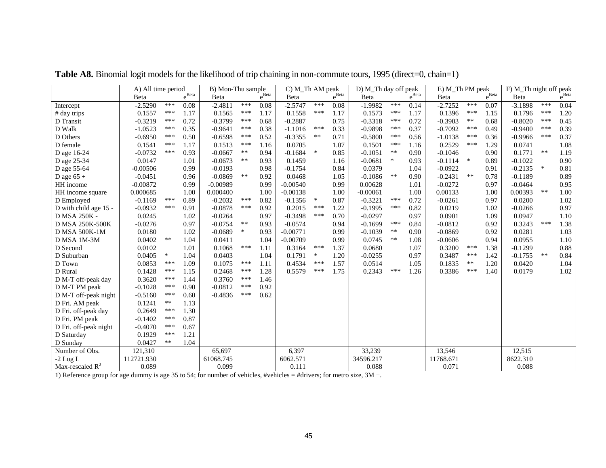|                       | A) All time period |        |                   | B) Mon-Thu sample |        |                   | C) M_Th AM peak |            |                   | D) M_Th day off peak |        |            | E) M_Th PM peak |            |            | $\overline{F}$ ) M_Th night off peak |            |            |
|-----------------------|--------------------|--------|-------------------|-------------------|--------|-------------------|-----------------|------------|-------------------|----------------------|--------|------------|-----------------|------------|------------|--------------------------------------|------------|------------|
|                       | Beta               |        | e <sup>Beta</sup> | Beta              |        | $e^{\text{Beta}}$ | Beta            |            | $e^{\text{Beta}}$ | Beta                 |        | $e^{Beta}$ | Beta            |            | $e^{Beta}$ | Beta                                 |            | $e^{Beta}$ |
| Intercept             | $-2.5290$          | ***    | 0.08              | $-2.4811$         | ***    | 0.08              | $-2.5747$       | ***        | 0.08              | $-1.9982$            | ***    | 0.14       | $-2.7252$       | ***        | 0.07       | $-3.1898$                            | ***        | 0.04       |
| # day trips           | 0.1557             | ***    | 1.17              | 0.1565            | ***    | 1.17              | 0.1558          | ***        | 1.17              | 0.1573               | ***    | 1.17       | 0.1396          | ***        | 1.15       | 0.1796                               | ***        | 1.20       |
| D Transit             | $-0.3219$          | ***    | 0.72              | $-0.3799$         | ***    | 0.68              | $-0.2887$       |            | 0.75              | $-0.3318$            | ***    | 0.72       | $-0.3903$       | $\ast\ast$ | 0.68       | $-0.8020$                            | ***        | 0.45       |
| D Walk                | $-1.0523$          | ***    | 0.35              | $-0.9641$         | ***    | 0.38              | $-1.1016$       | ***        | 0.33              | $-0.9898$            | ***    | 0.37       | $-0.7092$       | ***        | 0.49       | $-0.9400$                            | ***        | 0.39       |
| D Others              | $-0.6950$          | ***    | 0.50              | $-0.6598$         | ***    | 0.52              | $-0.3355$       | $\ast\ast$ | 0.71              | $-0.5800$            | ***    | 0.56       | $-1.0138$       | $***$      | 0.36       | $-0.9966$                            | ***        | 0.37       |
| D female              | 0.1541             | ***    | 1.17              | 0.1513            | ***    | 1.16              | 0.0705          |            | 1.07              | 0.1501               | ***    | 1.16       | 0.2529          | ***        | 1.29       | 0.0741                               |            | 1.08       |
| D age 16-24           | $-0.0732$          | ***    | 0.93              | $-0.0667$         | **     | 0.94              | $-0.1684$       | $\ast$     | 0.85              | $-0.1051$            | $***$  | 0.90       | $-0.1046$       |            | 0.90       | 0.1771                               | $***$      | 1.19       |
| D age 25-34           | 0.0147             |        | 1.01              | $-0.0673$         | $**$   | 0.93              | 0.1459          |            | 1.16              | $-0.0681$            | $\ast$ | 0.93       | $-0.1114$       | $\ast$     | 0.89       | $-0.1022$                            |            | 0.90       |
| D age 55-64           | $-0.00506$         |        | 0.99              | $-0.0193$         |        | 0.98              | $-0.1754$       |            | 0.84              | 0.0379               |        | 1.04       | $-0.0922$       |            | 0.91       | $-0.2135$                            | $\ast$     | 0.81       |
| D age $65 +$          | $-0.0451$          |        | 0.96              | $-0.0869$         | $**$   | 0.92              | 0.0468          |            | 1.05              | $-0.1086$            | **     | 0.90       | $-0.2431$       | $**$       | 0.78       | $-0.1189$                            |            | 0.89       |
| HH income             | $-0.00872$         |        | 0.99              | $-0.00989$        |        | 0.99              | $-0.00540$      |            | 0.99              | 0.00628              |        | 1.01       | $-0.0272$       |            | 0.97       | $-0.0464$                            |            | 0.95       |
| HH income square      | 0.000685           |        | 1.00              | 0.000400          |        | 1.00              | $-0.00138$      |            | 1.00              | $-0.00061$           |        | 1.00       | 0.00133         |            | 1.00       | 0.00393                              | $***$      | 1.00       |
| D Employed            | $-0.1169$          | ***    | 0.89              | $-0.2032$         | ***    | 0.82              | $-0.1356$       | $\ast$     | 0.87              | $-0.3221$            | ***    | 0.72       | $-0.0261$       |            | 0.97       | 0.0200                               |            | 1.02       |
| D with child age 15 - | $-0.0932$          | ***    | 0.91              | $-0.0878$         | ***    | 0.92              | 0.2015          | ***        | 1.22              | $-0.1995$            | ***    | 0.82       | 0.0219          |            | 1.02       | $-0.0266$                            |            | 0.97       |
| D MSA 250K -          | 0.0245             |        | 1.02              | $-0.0264$         |        | 0.97              | $-0.3498$       | ***        | 0.70              | $-0.0297$            |        | 0.97       | 0.0901          |            | 1.09       | 0.0947                               |            | 1.10       |
| D MSA 250K-500K       | $-0.0276$          |        | 0.97              | $-0.0754$         | $***$  | 0.93              | $-0.0574$       |            | 0.94              | $-0.1699$            | ***    | 0.84       | $-0.0812$       |            | 0.92       | 0.3243                               | ***        | 1.38       |
| <b>D MSA 500K-1M</b>  | 0.0180             |        | 1.02              | $-0.0689$         | $\ast$ | 0.93              | $-0.00771$      |            | 0.99              | $-0.1039$            | $***$  | 0.90       | $-0.0869$       |            | 0.92       | 0.0281                               |            | 1.03       |
| D MSA 1M-3M           | 0.0402             | $**$   | 1.04              | 0.0411            |        | 1.04              | $-0.00709$      |            | 0.99              | 0.0745               | **     | 1.08       | $-0.0606$       |            | 0.94       | 0.0955                               |            | 1.10       |
| D Second              | 0.0102             |        | 1.01              | 0.1068            | ***    | 1.11              | 0.3164          | ***        | 1.37              | 0.0680               |        | 1.07       | 0.3200          | ***        | 1.38       | $-0.1299$                            |            | 0.88       |
| D Suburban            | 0.0405             | $\ast$ | 1.04              | 0.0403            |        | 1.04              | 0.1791          | $\ast$     | 1.20              | $-0.0255$            |        | 0.97       | 0.3487          | ***        | 1.42       | $-0.1755$                            | $\ast\ast$ | 0.84       |
| D Town                | 0.0853             | ***    | 1.09              | 0.1075            | ***    | 1.11              | 0.4534          | ***        | 1.57              | 0.0514               |        | 1.05       | 0.1835          | **         | 1.20       | 0.0420                               |            | 1.04       |
| D Rural               | 0.1428             | ***    | 1.15              | 0.2468            | ***    | 1.28              | 0.5579          | ***        | 1.75              | 0.2343               | ***    | 1.26       | 0.3386          | ***        | 1.40       | 0.0179                               |            | 1.02       |
| D M-T off-peak day    | 0.3620             | ***    | 1.44              | 0.3760            | $***$  | 1.46              |                 |            |                   |                      |        |            |                 |            |            |                                      |            |            |
| D M-T PM peak         | $-0.1028$          | ***    | 0.90              | $-0.0812$         | ***    | 0.92              |                 |            |                   |                      |        |            |                 |            |            |                                      |            |            |
| D M-T off-peak night  | $-0.5160$          | ***    | 0.60              | $-0.4836$         | ***    | 0.62              |                 |            |                   |                      |        |            |                 |            |            |                                      |            |            |
| D Fri. AM peak        | 0.1241             | $**$   | 1.13              |                   |        |                   |                 |            |                   |                      |        |            |                 |            |            |                                      |            |            |
| D Fri. off-peak day   | 0.2649             | ***    | 1.30              |                   |        |                   |                 |            |                   |                      |        |            |                 |            |            |                                      |            |            |
| D Fri. PM peak        | $-0.1402$          | ***    | 0.87              |                   |        |                   |                 |            |                   |                      |        |            |                 |            |            |                                      |            |            |
| D Fri. off-peak night | $-0.4070$          | ***    | 0.67              |                   |        |                   |                 |            |                   |                      |        |            |                 |            |            |                                      |            |            |
| D Saturday            | 0.1929             | ***    | 1.21              |                   |        |                   |                 |            |                   |                      |        |            |                 |            |            |                                      |            |            |
| D Sunday              | 0.0427             | $***$  | 1.04              |                   |        |                   |                 |            |                   |                      |        |            |                 |            |            |                                      |            |            |
| Number of Obs.        | 121,310            |        |                   | 65,697            |        |                   | 6,397           |            |                   | 33,239               |        |            | 13,546          |            |            | 12,515                               |            |            |
| $-2$ Log L            | 112721.930         |        |                   | 61068.745         |        |                   | 6062.571        |            |                   | 34596.217            |        |            | 11768.671       |            |            | 8622.310                             |            |            |
| Max-rescaled $R^2$    | 0.089              |        |                   | 0.099             |        |                   | 0.111           |            |                   | 0.088                |        |            | 0.071           |            |            | 0.088                                |            |            |

Table A8. Binomial logit models for the likelihood of trip chaining in non-commute tours, 1995 (direct=0, chain=1)